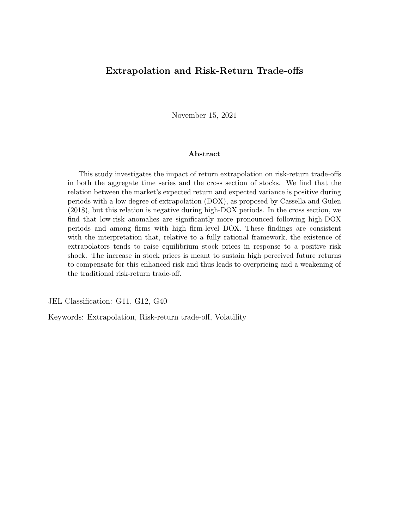## **Extrapolation and Risk-Return Trade-offs**

November 15, 2021

### **Abstract**

This study investigates the impact of return extrapolation on risk-return trade-offs in both the aggregate time series and the cross section of stocks. We find that the relation between the market's expected return and expected variance is positive during periods with a low degree of extrapolation (DOX), as proposed by [Cassella and Gulen](#page-28-0) ([2018](#page-28-0)), but this relation is negative during high-DOX periods. In the cross section, we find that low-risk anomalies are significantly more pronounced following high-DOX periods and among firms with high firm-level DOX. These findings are consistent with the interpretation that, relative to a fully rational framework, the existence of extrapolators tends to raise equilibrium stock prices in response to a positive risk shock. The increase in stock prices is meant to sustain high perceived future returns to compensate for this enhanced risk and thus leads to overpricing and a weakening of the traditional risk-return trade-off.

JEL Classification: G11, G12, G40

Keywords: Extrapolation, Risk-return trade-off, Volatility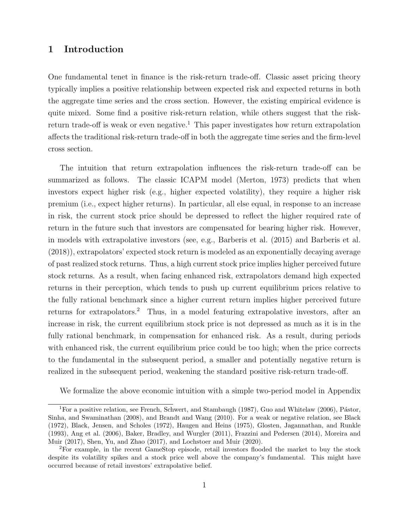## **1 Introduction**

One fundamental tenet in finance is the risk-return trade-off. Classic asset pricing theory typically implies a positive relationship between expected risk and expected returns in both the aggregate time series and the cross section. However, the existing empirical evidence is quite mixed. Some find a positive risk-return relation, while others suggest that the risk-return trade-off is weak or even negative.<sup>[1](#page-1-0)</sup> This paper investigates how return extrapolation affects the traditional risk-return trade-off in both the aggregate time series and the firm-level cross section.

The intuition that return extrapolation influences the risk-return trade-off can be summarized as follows. The classic ICAPM model [\(Merton,](#page-30-0) [1973](#page-30-0)) predicts that when investors expect higher risk (e.g., higher expected volatility), they require a higher risk premium (i.e., expect higher returns). In particular, all else equal, in response to an increase in risk, the current stock price should be depressed to reflect the higher required rate of return in the future such that investors are compensated for bearing higher risk. However, in models with extrapolative investors (see, e.g., [Barberis et al.](#page-27-0) [\(2015](#page-27-0)) and [Barberis et al.](#page-27-1) ([2018\)](#page-27-1)), extrapolators' expected stock return is modeled as an exponentially decaying average of past realized stock returns. Thus, a high current stock price implies higher perceived future stock returns. As a result, when facing enhanced risk, extrapolators demand high expected returns in their perception, which tends to push up current equilibrium prices relative to the fully rational benchmark since a higher current return implies higher perceived future returns for extrapolators.<sup>[2](#page-1-1)</sup> Thus, in a model featuring extrapolative investors, after an increase in risk, the current equilibrium stock price is not depressed as much as it is in the fully rational benchmark, in compensation for enhanced risk. As a result, during periods with enhanced risk, the current equilibrium price could be too high; when the price corrects to the fundamental in the subsequent period, a smaller and potentially negative return is realized in the subsequent period, weakening the standard positive risk-return trade-off.

We formalize the above economic intuition with a simple two-period model in Appendix

<span id="page-1-0"></span><sup>&</sup>lt;sup>1</sup>For a positive relation, see [French, Schwert, and Stambaugh](#page-28-1) [\(1987](#page-28-1)), [Guo and Whitelaw](#page-29-0) [\(2006](#page-29-0)), Pástor, [Sinha, and Swaminathan](#page-30-1) ([2008\)](#page-30-1), and [Brandt and Wang](#page-27-2) ([2010\)](#page-27-2). For a weak or negative relation, see [Black](#page-27-3) ([1972\)](#page-27-3), [Black, Jensen, and Scholes](#page-27-4) ([1972\)](#page-27-4), [Haugen and Heins](#page-29-1) [\(1975](#page-29-1)), [Glosten, Jagannathan, and Runkle](#page-29-2) ([1993\)](#page-29-2), [Ang et al.](#page-27-5) ([2006\)](#page-27-5), [Baker, Bradley, and Wurgler](#page-27-6) ([2011\)](#page-27-6), [Frazzini and Pedersen](#page-28-2) ([2014\)](#page-28-2), [Moreira and](#page-30-2) [Muir](#page-30-2) ([2017](#page-30-2)), [Shen, Yu, and Zhao](#page-30-3) ([2017\)](#page-30-3), and [Lochstoer and Muir](#page-29-3) ([2020\)](#page-29-3).

<span id="page-1-1"></span><sup>2</sup>For example, in the recent GameStop episode, retail investors flooded the market to buy the stock despite its volatility spikes and a stock price well above the company's fundamental. This might have occurred because of retail investors' extrapolative belief.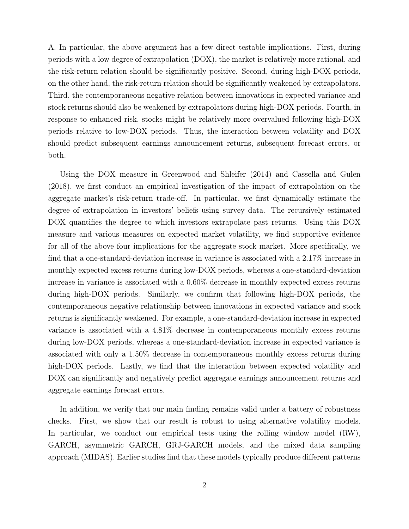A. In particular, the above argument has a few direct testable implications. First, during periods with a low degree of extrapolation (DOX), the market is relatively more rational, and the risk-return relation should be significantly positive. Second, during high-DOX periods, on the other hand, the risk-return relation should be significantly weakened by extrapolators. Third, the contemporaneous negative relation between innovations in expected variance and stock returns should also be weakened by extrapolators during high-DOX periods. Fourth, in response to enhanced risk, stocks might be relatively more overvalued following high-DOX periods relative to low-DOX periods. Thus, the interaction between volatility and DOX should predict subsequent earnings announcement returns, subsequent forecast errors, or both.

Using the DOX measure in [Greenwood and Shleifer](#page-29-4) ([2014](#page-29-4)) and [Cassella and Gulen](#page-28-0) ([2018\)](#page-28-0), we first conduct an empirical investigation of the impact of extrapolation on the aggregate market's risk-return trade-off. In particular, we first dynamically estimate the degree of extrapolation in investors' beliefs using survey data. The recursively estimated DOX quantifies the degree to which investors extrapolate past returns. Using this DOX measure and various measures on expected market volatility, we find supportive evidence for all of the above four implications for the aggregate stock market. More specifically, we find that a one-standard-deviation increase in variance is associated with a 2.17% increase in monthly expected excess returns during low-DOX periods, whereas a one-standard-deviation increase in variance is associated with a 0.60% decrease in monthly expected excess returns during high-DOX periods. Similarly, we confirm that following high-DOX periods, the contemporaneous negative relationship between innovations in expected variance and stock returns is significantly weakened. For example, a one-standard-deviation increase in expected variance is associated with a 4.81% decrease in contemporaneous monthly excess returns during low-DOX periods, whereas a one-standard-deviation increase in expected variance is associated with only a 1.50% decrease in contemporaneous monthly excess returns during high-DOX periods. Lastly, we find that the interaction between expected volatility and DOX can significantly and negatively predict aggregate earnings announcement returns and aggregate earnings forecast errors.

In addition, we verify that our main finding remains valid under a battery of robustness checks. First, we show that our result is robust to using alternative volatility models. In particular, we conduct our empirical tests using the rolling window model (RW), GARCH, asymmetric GARCH, GRJ-GARCH models, and the mixed data sampling approach (MIDAS). Earlier studies find that these models typically produce different patterns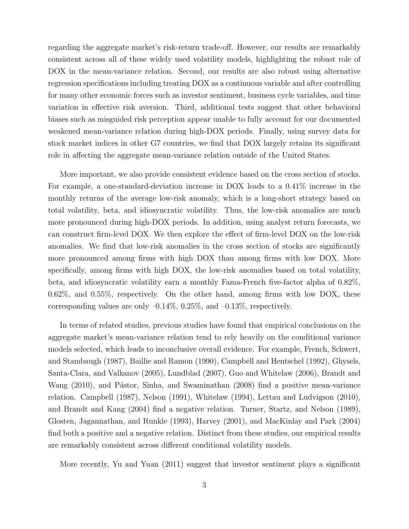regarding the aggregate market's risk-return trade-off. However, our results are remarkably consistent across all of these widely used volatility models, highlighting the robust role of DOX in the mean-variance relation. Second, our results are also robust using alternative regression specifications including treating DOX as a continuous variable and after controlling for many other economic forces such as investor sentiment, business cycle variables, and time variation in effective risk aversion. Third, additional tests suggest that other behavioral biases such as misguided risk perception appear unable to fully account for our documented weakened mean-variance relation during high-DOX periods. Finally, using survey data for stock market indices in other G7 countries, we find that DOX largely retains its significant role in affecting the aggregate mean-variance relation outside of the United States.

More important, we also provide consistent evidence based on the cross section of stocks. For example, a one-standard-deviation increase in DOX leads to a 0.41% increase in the monthly returns of the average low-risk anomaly, which is a long-short strategy based on total volatility, beta, and idiosyncratic volatility. Thus, the low-risk anomalies are much more pronounced during high-DOX periods. In addition, using analyst return forecasts, we can construct firm-level DOX. We then explore the effect of firm-level DOX on the low-risk anomalies. We find that low-risk anomalies in the cross section of stocks are significantly more pronounced among firms with high DOX than among firms with low DOX. More specifically, among firms with high DOX, the low-risk anomalies based on total volatility, beta, and idiosyncratic volatility earn a monthly Fama-French five-factor alpha of 0.82%, 0.62%, and 0.55%, respectively. On the other hand, among firms with low DOX, these corresponding values are only  $-0.14\%$ , 0.25%, and  $-0.13\%$ , respectively.

In terms of related studies, previous studies have found that empirical conclusions on the aggregate market's mean-variance relation tend to rely heavily on the conditional variance models selected, which leads to inconclusive overall evidence. For example, [French, Schwert,](#page-28-1) [and Stambaugh](#page-28-1) ([1987](#page-28-1)), [Baillie and Ramon](#page-27-7) ([1990\)](#page-27-7), [Campbell and Hentschel](#page-28-3) ([1992](#page-28-3)), [Ghysels,](#page-29-5) [Santa-Clara, and Valkanov](#page-29-5) [\(2005\)](#page-29-5), [Lundblad](#page-29-6) ([2007](#page-29-6)), [Guo and Whitelaw](#page-29-0) ([2006](#page-29-0)), [Brandt and](#page-27-2) [Wang](#page-27-2) ([2010](#page-27-2)), and Pástor, Sinha, and Swaminathan ([2008](#page-30-1)) find a positive mean-variance relation. [Campbell](#page-28-4) ([1987\)](#page-28-4), [Nelson](#page-30-4) [\(1991\)](#page-30-4), [Whitelaw](#page-30-5) [\(1994\)](#page-30-5), [Lettau and Ludvigson](#page-29-7) ([2010](#page-29-7)), and [Brandt and Kang](#page-27-8) [\(2004\)](#page-27-8) find a negative relation. [Turner, Startz, and Nelson](#page-30-6) ([1989](#page-30-6)), [Glosten, Jagannathan, and Runkle](#page-29-2) ([1993](#page-29-2)), [Harvey](#page-29-8) [\(2001](#page-29-8)), and [MacKinlay and Park](#page-30-7) [\(2004](#page-30-7)) find both a positive and a negative relation. Distinct from these studies, our empirical results are remarkably consistent across different conditional volatility models.

More recently, [Yu and Yuan](#page-30-8) ([2011](#page-30-8)) suggest that investor sentiment plays a significant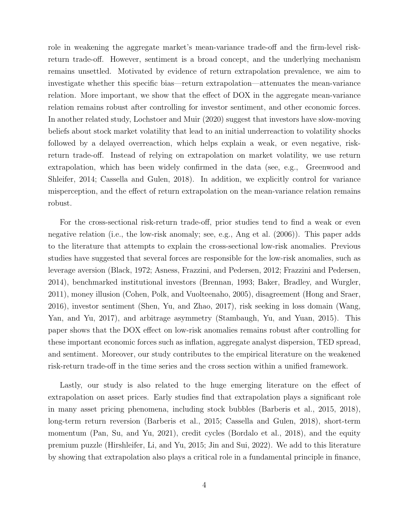role in weakening the aggregate market's mean-variance trade-off and the firm-level riskreturn trade-off. However, sentiment is a broad concept, and the underlying mechanism remains unsettled. Motivated by evidence of return extrapolation prevalence, we aim to investigate whether this specific bias—return extrapolation—attenuates the mean-variance relation. More important, we show that the effect of DOX in the aggregate mean-variance relation remains robust after controlling for investor sentiment, and other economic forces. In another related study, [Lochstoer and Muir](#page-29-3) [\(2020\)](#page-29-3) suggest that investors have slow-moving beliefs about stock market volatility that lead to an initial underreaction to volatility shocks followed by a delayed overreaction, which helps explain a weak, or even negative, riskreturn trade-off. Instead of relying on extrapolation on market volatility, we use return extrapolation, which has been widely confirmed in the data (see, e.g., [Greenwood and](#page-29-4) [Shleifer](#page-29-4), [2014;](#page-29-4) [Cassella and Gulen,](#page-28-0) [2018](#page-28-0)). In addition, we explicitly control for variance misperception, and the effect of return extrapolation on the mean-variance relation remains robust.

For the cross-sectional risk-return trade-off, prior studies tend to find a weak or even negative relation (i.e., the low-risk anomaly; see, e.g., [Ang et al.](#page-27-5) ([2006](#page-27-5))). This paper adds to the literature that attempts to explain the cross-sectional low-risk anomalies. Previous studies have suggested that several forces are responsible for the low-risk anomalies, such as leverage aversion ([Black](#page-27-3), [1972;](#page-27-3) [Asness, Frazzini, and Pedersen,](#page-27-9) [2012](#page-27-9); [Frazzini and Pedersen,](#page-28-2) [2014](#page-28-2)), benchmarked institutional investors ([Brennan](#page-28-5), [1993;](#page-28-5) [Baker, Bradley, and Wurgler,](#page-27-6) [2011](#page-27-6)), money illusion ([Cohen, Polk, and Vuolteenaho,](#page-28-6) [2005\)](#page-28-6), disagreement ([Hong and Sraer,](#page-29-9) [2016](#page-29-9)), investor sentiment [\(Shen, Yu, and Zhao](#page-30-3), [2017](#page-30-3)), risk seeking in loss domain [\(Wang,](#page-30-9) [Yan, and Yu,](#page-30-9) [2017\)](#page-30-9), and arbitrage asymmetry [\(Stambaugh, Yu, and Yuan,](#page-30-10) [2015\)](#page-30-10). This paper shows that the DOX effect on low-risk anomalies remains robust after controlling for these important economic forces such as inflation, aggregate analyst dispersion, TED spread, and sentiment. Moreover, our study contributes to the empirical literature on the weakened risk-return trade-off in the time series and the cross section within a unified framework.

Lastly, our study is also related to the huge emerging literature on the effect of extrapolation on asset prices. Early studies find that extrapolation plays a significant role in many asset pricing phenomena, including stock bubbles ([Barberis et al.,](#page-27-0) [2015](#page-27-0), [2018](#page-27-1)), long-term return reversion [\(Barberis et al.,](#page-27-0) [2015](#page-27-0); [Cassella and Gulen,](#page-28-0) [2018](#page-28-0)), short-term momentum [\(Pan, Su, and Yu,](#page-30-11) [2021](#page-30-11)), credit cycles ([Bordalo et al.](#page-27-10), [2018](#page-27-10)), and the equity premium puzzle [\(Hirshleifer, Li, and Yu](#page-29-10), [2015](#page-29-10); [Jin and Sui](#page-29-11), [2022\)](#page-29-11). We add to this literature by showing that extrapolation also plays a critical role in a fundamental principle in finance,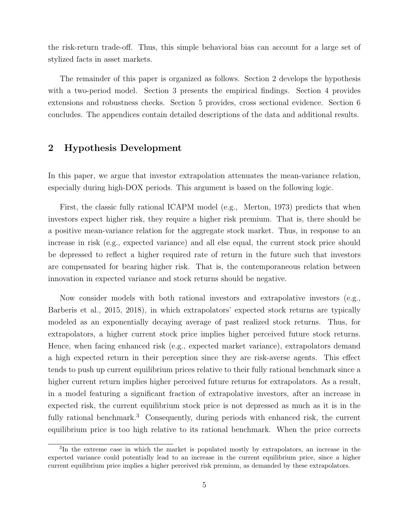the risk-return trade-off. Thus, this simple behavioral bias can account for a large set of stylized facts in asset markets.

The remainder of this paper is organized as follows. Section [2](#page-5-0) develops the hypothesis with a two-period model. Section [3](#page-7-0) presents the empirical findings. Section [4](#page-13-0) provides extensions and robustness checks. Section [5](#page-20-0) provides, cross sectional evidence. Section [6](#page-26-0) concludes. The appendices contain detailed descriptions of the data and additional results.

## <span id="page-5-0"></span>**2 Hypothesis Development**

In this paper, we argue that investor extrapolation attenuates the mean-variance relation, especially during high-DOX periods. This argument is based on the following logic.

First, the classic fully rational ICAPM model (e.g., [Merton](#page-30-0), [1973\)](#page-30-0) predicts that when investors expect higher risk, they require a higher risk premium. That is, there should be a positive mean-variance relation for the aggregate stock market. Thus, in response to an increase in risk (e.g., expected variance) and all else equal, the current stock price should be depressed to reflect a higher required rate of return in the future such that investors are compensated for bearing higher risk. That is, the contemporaneous relation between innovation in expected variance and stock returns should be negative.

Now consider models with both rational investors and extrapolative investors (e.g., [Barberis et al.,](#page-27-0) [2015,](#page-27-0) [2018\)](#page-27-1), in which extrapolators' expected stock returns are typically modeled as an exponentially decaying average of past realized stock returns. Thus, for extrapolators, a higher current stock price implies higher perceived future stock returns. Hence, when facing enhanced risk (e.g., expected market variance), extrapolators demand a high expected return in their perception since they are risk-averse agents. This effect tends to push up current equilibrium prices relative to their fully rational benchmark since a higher current return implies higher perceived future returns for extrapolators. As a result, in a model featuring a significant fraction of extrapolative investors, after an increase in expected risk, the current equilibrium stock price is not depressed as much as it is in the fully rational benchmark.<sup>[3](#page-5-1)</sup> Consequently, during periods with enhanced risk, the current equilibrium price is too high relative to its rational benchmark. When the price corrects

<span id="page-5-1"></span><sup>&</sup>lt;sup>3</sup>In the extreme case in which the market is populated mostly by extrapolators, an increase in the expected variance could potentially lead to an increase in the current equilibrium price, since a higher current equilibrium price implies a higher perceived risk premium, as demanded by these extrapolators.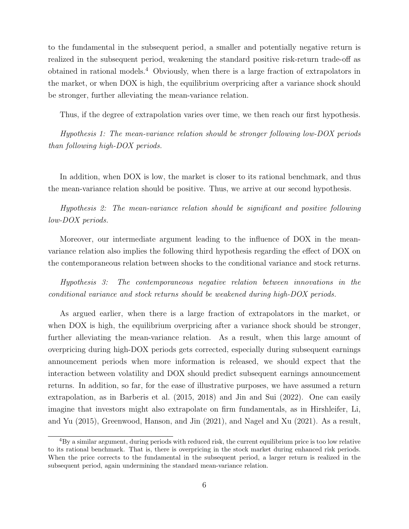to the fundamental in the subsequent period, a smaller and potentially negative return is realized in the subsequent period, weakening the standard positive risk-return trade-off as obtained in rational models.[4](#page-6-0) Obviously, when there is a large fraction of extrapolators in the market, or when DOX is high, the equilibrium overpricing after a variance shock should be stronger, further alleviating the mean-variance relation.

Thus, if the degree of extrapolation varies over time, we then reach our first hypothesis.

*Hypothesis 1: The mean-variance relation should be stronger following low-DOX periods than following high-DOX periods.*

In addition, when DOX is low, the market is closer to its rational benchmark, and thus the mean-variance relation should be positive. Thus, we arrive at our second hypothesis.

*Hypothesis 2: The mean-variance relation should be significant and positive following low-DOX periods.*

Moreover, our intermediate argument leading to the influence of DOX in the meanvariance relation also implies the following third hypothesis regarding the effect of DOX on the contemporaneous relation between shocks to the conditional variance and stock returns.

*Hypothesis 3: The contemporaneous negative relation between innovations in the conditional variance and stock returns should be weakened during high-DOX periods.*

As argued earlier, when there is a large fraction of extrapolators in the market, or when DOX is high, the equilibrium overpricing after a variance shock should be stronger, further alleviating the mean-variance relation. As a result, when this large amount of overpricing during high-DOX periods gets corrected, especially during subsequent earnings announcement periods when more information is released, we should expect that the interaction between volatility and DOX should predict subsequent earnings announcement returns. In addition, so far, for the ease of illustrative purposes, we have assumed a return extrapolation, as in [Barberis et al.](#page-27-0) [\(2015,](#page-27-0) [2018](#page-27-1)) and [Jin and Sui](#page-29-11) [\(2022\)](#page-29-11). One can easily imagine that investors might also extrapolate on firm fundamentals, as in [Hirshleifer, Li,](#page-29-10) [and Yu](#page-29-10) [\(2015\)](#page-29-10), [Greenwood, Hanson, and Jin](#page-29-12) [\(2021\)](#page-29-12), and [Nagel and Xu](#page-30-12) ([2021](#page-30-12)). As a result,

<span id="page-6-0"></span><sup>4</sup>By a similar argument, during periods with reduced risk, the current equilibrium price is too low relative to its rational benchmark. That is, there is overpricing in the stock market during enhanced risk periods. When the price corrects to the fundamental in the subsequent period, a larger return is realized in the subsequent period, again undermining the standard mean-variance relation.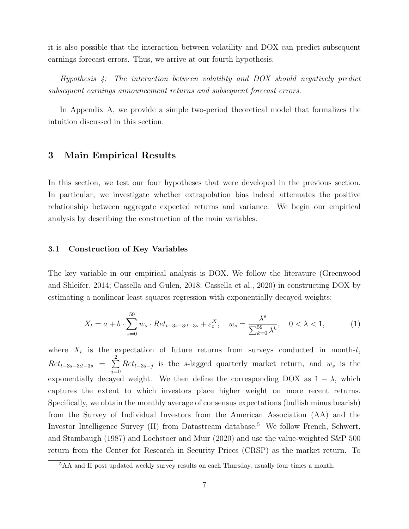it is also possible that the interaction between volatility and DOX can predict subsequent earnings forecast errors. Thus, we arrive at our fourth hypothesis.

*Hypothesis 4: The interaction between volatility and DOX should negatively predict subsequent earnings announcement returns and subsequent forecast errors.*

<span id="page-7-0"></span>In Appendix A, we provide a simple two-period theoretical model that formalizes the intuition discussed in this section.

## **3 Main Empirical Results**

In this section, we test our four hypotheses that were developed in the previous section. In particular, we investigate whether extrapolation bias indeed attenuates the positive relationship between aggregate expected returns and variance. We begin our empirical analysis by describing the construction of the main variables.

### **3.1 Construction of Key Variables**

The key variable in our empirical analysis is DOX. We follow the literature ([Greenwood](#page-29-4) [and Shleifer,](#page-29-4) [2014](#page-29-4); [Cassella and Gulen,](#page-28-0) [2018](#page-28-0); [Cassella et al.,](#page-28-7) [2020](#page-28-7)) in constructing DOX by estimating a nonlinear least squares regression with exponentially decayed weights:

<span id="page-7-2"></span>
$$
X_t = a + b \cdot \sum_{s=0}^{59} w_s \cdot Ret_{t-3s-3:t-3s} + \varepsilon_t^X, \quad w_s = \frac{\lambda^s}{\sum_{k=0}^{59} \lambda^k}, \quad 0 < \lambda < 1,\tag{1}
$$

where  $X_t$  is the expectation of future returns from surveys conducted in month- $t$ ,  $Ret_{t-3s-3:t-3s} = \sum_{k=0}^{2}$  $\sum_{j=0}$  *Ret*<sub>*t*−3*s*−*j*</sub> is the *s*-lagged quarterly market return, and *w<sub>s</sub>* is the exponentially decayed weight. We then define the corresponding DOX as  $1 - \lambda$ , which captures the extent to which investors place higher weight on more recent returns. Specifically, we obtain the monthly average of consensus expectations (bullish minus bearish) from the Survey of Individual Investors from the American Association (AA) and the Investor Intelligence Survey (II) from Datastream database.<sup>[5](#page-7-1)</sup> We follow [French, Schwert,](#page-28-1) [and Stambaugh](#page-28-1) [\(1987](#page-28-1)) and [Lochstoer and Muir](#page-29-3) [\(2020](#page-29-3)) and use the value-weighted S&P 500 return from the Center for Research in Security Prices (CRSP) as the market return. To

<span id="page-7-1"></span><sup>&</sup>lt;sup>5</sup>AA and II post updated weekly survey results on each Thursday, usually four times a month.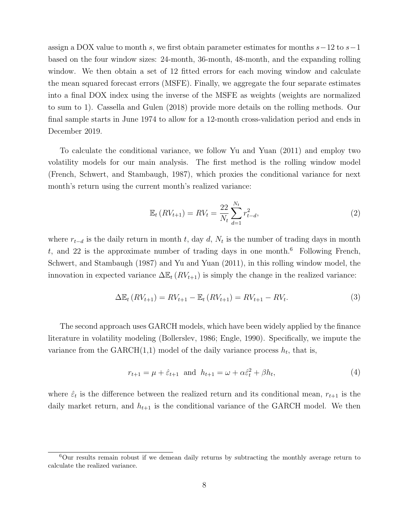assign a DOX value to month *s*, we first obtain parameter estimates for months *s−*12 to *s−*1 based on the four window sizes: 24-month, 36-month, 48-month, and the expanding rolling window. We then obtain a set of 12 fitted errors for each moving window and calculate the mean squared forecast errors (MSFE). Finally, we aggregate the four separate estimates into a final DOX index using the inverse of the MSFE as weights (weights are normalized to sum to 1). [Cassella and Gulen](#page-28-0) [\(2018\)](#page-28-0) provide more details on the rolling methods. Our final sample starts in June 1974 to allow for a 12-month cross-validation period and ends in December 2019.

To calculate the conditional variance, we follow [Yu and Yuan](#page-30-8) ([2011\)](#page-30-8) and employ two volatility models for our main analysis. The first method is the rolling window model ([French, Schwert, and Stambaugh](#page-28-1), [1987\)](#page-28-1), which proxies the conditional variance for next month's return using the current month's realized variance:

$$
\mathbb{E}_t(RV_{t+1}) = RV_t = \frac{22}{N_t} \sum_{d=1}^{N_t} r_{t-d}^2,
$$
\n(2)

where  $r_{t-d}$  is the daily return in month *t*, day *d*,  $N_t$  is the number of trading days in month *t*, and 22 is the approximate number of trading days in one month.[6](#page-8-0) Following [French,](#page-28-1) [Schwert, and Stambaugh](#page-28-1) [\(1987\)](#page-28-1) and [Yu and Yuan](#page-30-8) ([2011\)](#page-30-8), in this rolling window model, the innovation in expected variance  $\Delta \mathbb{E}_t (RV_{t+1})$  is simply the change in the realized variance:

$$
\Delta \mathbb{E}_t (RV_{t+1}) = RV_{t+1} - \mathbb{E}_t (RV_{t+1}) = RV_{t+1} - RV_t.
$$
\n(3)

The second approach uses GARCH models, which have been widely applied by the finance literature in volatility modeling ([Bollerslev,](#page-27-11) [1986](#page-27-11); [Engle,](#page-28-8) [1990](#page-28-8)). Specifically, we impute the variance from the  $GARCH(1,1)$  model of the daily variance process  $h_t$ , that is,

$$
r_{t+1} = \mu + \hat{\varepsilon}_{t+1} \text{ and } h_{t+1} = \omega + \alpha \hat{\varepsilon}_t^2 + \beta h_t,\tag{4}
$$

where  $\hat{\varepsilon}_t$  is the difference between the realized return and its conditional mean,  $r_{t+1}$  is the daily market return, and  $h_{t+1}$  is the conditional variance of the GARCH model. We then

<span id="page-8-0"></span><sup>6</sup>Our results remain robust if we demean daily returns by subtracting the monthly average return to calculate the realized variance.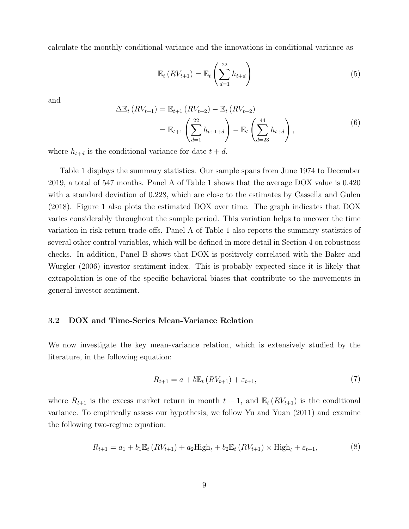calculate the monthly conditional variance and the innovations in conditional variance as

$$
\mathbb{E}_t\left(RV_{t+1}\right) = \mathbb{E}_t\left(\sum_{d=1}^{22} h_{t+d}\right) \tag{5}
$$

and

$$
\Delta \mathbb{E}_{t} \left( RV_{t+1} \right) = \mathbb{E}_{t+1} \left( RV_{t+2} \right) - \mathbb{E}_{t} \left( RV_{t+2} \right) \n= \mathbb{E}_{t+1} \left( \sum_{d=1}^{22} h_{t+1+d} \right) - \mathbb{E}_{t} \left( \sum_{d=23}^{44} h_{t+d} \right),
$$
\n(6)

where  $h_{t+d}$  is the conditional variance for date  $t+d$ .

Table [1](#page-33-0) displays the summary statistics. Our sample spans from June 1974 to December 2019, a total of 547 months. Panel A of Table [1](#page-33-0) shows that the average DOX value is 0.420 with a standard deviation of 0.228, which are close to the estimates by [Cassella and Gulen](#page-28-0) ([2018\)](#page-28-0). Figure [1](#page-31-0) also plots the estimated DOX over time. The graph indicates that DOX varies considerably throughout the sample period. This variation helps to uncover the time variation in risk-return trade-offs. Panel A of Table [1](#page-33-0) also reports the summary statistics of several other control variables, which will be defined in more detail in Section [4](#page-13-0) on robustness checks. In addition, Panel B shows that DOX is positively correlated with the [Baker and](#page-27-12) [Wurgler](#page-27-12) [\(2006\)](#page-27-12) investor sentiment index. This is probably expected since it is likely that extrapolation is one of the specific behavioral biases that contribute to the movements in general investor sentiment.

### **3.2 DOX and Time-Series Mean-Variance Relation**

We now investigate the key mean-variance relation, which is extensively studied by the literature, in the following equation:

$$
R_{t+1} = a + b \mathbb{E}_t (RV_{t+1}) + \varepsilon_{t+1},
$$
\n(7)

where  $R_{t+1}$  is the excess market return in month  $t+1$ , and  $\mathbb{E}_t(RV_{t+1})$  is the conditional variance. To empirically assess our hypothesis, we follow [Yu and Yuan](#page-30-8) [\(2011\)](#page-30-8) and examine the following two-regime equation:

<span id="page-9-0"></span>
$$
R_{t+1} = a_1 + b_1 \mathbb{E}_t (RV_{t+1}) + a_2 \text{High}_t + b_2 \mathbb{E}_t (RV_{t+1}) \times \text{High}_t + \varepsilon_{t+1},
$$
 (8)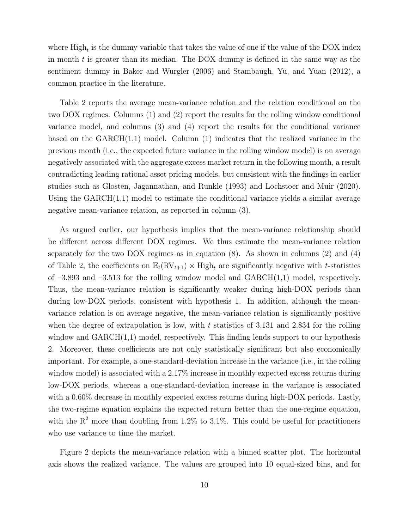where  $\text{High}_t$  is the dummy variable that takes the value of one if the value of the DOX index in month *t* is greater than its median. The DOX dummy is defined in the same way as the sentiment dummy in [Baker and Wurgler](#page-27-12) ([2006](#page-27-12)) and [Stambaugh, Yu, and Yuan](#page-30-13) ([2012](#page-30-13)), a common practice in the literature.

Table [2](#page-34-0) reports the average mean-variance relation and the relation conditional on the two DOX regimes. Columns (1) and (2) report the results for the rolling window conditional variance model, and columns (3) and (4) report the results for the conditional variance based on the  $GARCH(1,1)$  model. Column (1) indicates that the realized variance in the previous month (i.e., the expected future variance in the rolling window model) is on average negatively associated with the aggregate excess market return in the following month, a result contradicting leading rational asset pricing models, but consistent with the findings in earlier studies such as [Glosten, Jagannathan, and Runkle](#page-29-2) ([1993](#page-29-2)) and [Lochstoer and Muir](#page-29-3) ([2020](#page-29-3)). Using the GARCH(1,1) model to estimate the conditional variance yields a similar average negative mean-variance relation, as reported in column (3).

As argued earlier, our hypothesis implies that the mean-variance relationship should be different across different DOX regimes. We thus estimate the mean-variance relation separately for the two DOX regimes as in equation  $(8)$  $(8)$ . As shown in columns  $(2)$  and  $(4)$ of Table [2](#page-34-0), the coefficients on  $\mathbb{E}_t(\text{RV}_{t+1}) \times \text{High}_t$  are significantly negative with *t*-statistics of  $-3.893$  and  $-3.513$  for the rolling window model and  $GARCH(1,1)$  model, respectively. Thus, the mean-variance relation is significantly weaker during high-DOX periods than during low-DOX periods, consistent with hypothesis 1. In addition, although the meanvariance relation is on average negative, the mean-variance relation is significantly positive when the degree of extrapolation is low, with *t* statistics of 3.131 and 2.834 for the rolling window and GARCH(1,1) model, respectively. This finding lends support to our hypothesis 2. Moreover, these coefficients are not only statistically significant but also economically important. For example, a one-standard-deviation increase in the variance (i.e., in the rolling window model) is associated with a 2.17% increase in monthly expected excess returns during low-DOX periods, whereas a one-standard-deviation increase in the variance is associated with a 0.60% decrease in monthly expected excess returns during high-DOX periods. Lastly, the two-regime equation explains the expected return better than the one-regime equation, with the  $R^2$  more than doubling from 1.2% to 3.1%. This could be useful for practitioners who use variance to time the market.

Figure [2](#page-31-1) depicts the mean-variance relation with a binned scatter plot. The horizontal axis shows the realized variance. The values are grouped into 10 equal-sized bins, and for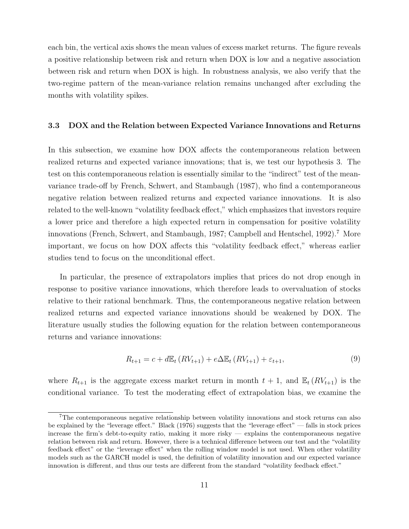each bin, the vertical axis shows the mean values of excess market returns. The figure reveals a positive relationship between risk and return when DOX is low and a negative association between risk and return when DOX is high. In robustness analysis, we also verify that the two-regime pattern of the mean-variance relation remains unchanged after excluding the months with volatility spikes.

### **3.3 DOX and the Relation between Expected Variance Innovations and Returns**

In this subsection, we examine how DOX affects the contemporaneous relation between realized returns and expected variance innovations; that is, we test our hypothesis 3. The test on this contemporaneous relation is essentially similar to the "indirect" test of the meanvariance trade-off by [French, Schwert, and Stambaugh](#page-28-1) ([1987\)](#page-28-1), who find a contemporaneous negative relation between realized returns and expected variance innovations. It is also related to the well-known "volatility feedback effect," which emphasizes that investors require a lower price and therefore a high expected return in compensation for positive volatility innovations ([French, Schwert, and Stambaugh](#page-28-1), [1987;](#page-28-1) [Campbell and Hentschel](#page-28-3), [1992](#page-28-3)).<sup>[7](#page-11-0)</sup> More important, we focus on how DOX affects this "volatility feedback effect," whereas earlier studies tend to focus on the unconditional effect.

In particular, the presence of extrapolators implies that prices do not drop enough in response to positive variance innovations, which therefore leads to overvaluation of stocks relative to their rational benchmark. Thus, the contemporaneous negative relation between realized returns and expected variance innovations should be weakened by DOX. The literature usually studies the following equation for the relation between contemporaneous returns and variance innovations:

$$
R_{t+1} = c + d\mathbb{E}_t (RV_{t+1}) + e\Delta \mathbb{E}_t (RV_{t+1}) + \varepsilon_{t+1},
$$
\n(9)

where  $R_{t+1}$  is the aggregate excess market return in month  $t+1$ , and  $\mathbb{E}_t(RV_{t+1})$  is the conditional variance. To test the moderating effect of extrapolation bias, we examine the

<span id="page-11-0"></span><sup>7</sup>The contemporaneous negative relationship between volatility innovations and stock returns can also be explained by the "leverage effect." [Black](#page-27-13) [\(1976](#page-27-13)) suggests that the "leverage effect" — falls in stock prices increase the firm's debt-to-equity ratio, making it more risky — explains the contemporaneous negative relation between risk and return. However, there is a technical difference between our test and the "volatility feedback effect" or the "leverage effect" when the rolling window model is not used. When other volatility models such as the GARCH model is used, the definition of volatility innovation and our expected variance innovation is different, and thus our tests are different from the standard "volatility feedback effect."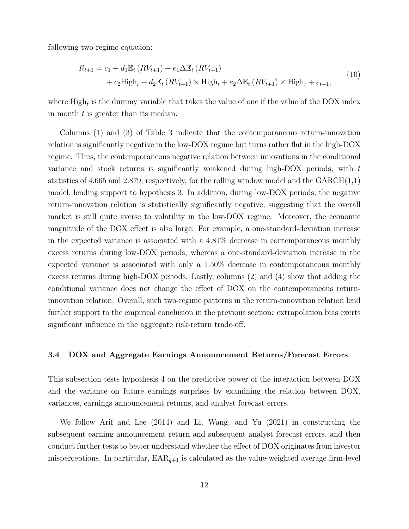following two-regime equation:

$$
R_{t+1} = c_1 + d_1 \mathbb{E}_t (RV_{t+1}) + e_1 \Delta \mathbb{E}_t (RV_{t+1})
$$
  
+ 
$$
c_2 \text{High}_t + d_2 \mathbb{E}_t (RV_{t+1}) \times \text{High}_t + e_2 \Delta \mathbb{E}_t (RV_{t+1}) \times \text{High}_t + \varepsilon_{t+1},
$$
 (10)

where  $\text{High}_t$  is the dummy variable that takes the value of one if the value of the DOX index in month *t* is greater than its median.

Columns (1) and (3) of Table [3](#page-35-0) indicate that the contemporaneous return-innovation relation is significantly negative in the low-DOX regime but turns rather flat in the high-DOX regime. Thus, the contemporaneous negative relation between innovations in the conditional variance and stock returns is significantly weakened during high-DOX periods, with *t* statistics of 4.665 and 2.879, respectively, for the rolling window model and the  $GARCH(1,1)$ model, lending support to hypothesis 3. In addition, during low-DOX periods, the negative return-innovation relation is statistically significantly negative, suggesting that the overall market is still quite averse to volatility in the low-DOX regime. Moreover, the economic magnitude of the DOX effect is also large. For example, a one-standard-deviation increase in the expected variance is associated with a 4.81% decrease in contemporaneous monthly excess returns during low-DOX periods, whereas a one-standard-deviation increase in the expected variance is associated with only a 1.50% decrease in contemporaneous monthly excess returns during high-DOX periods. Lastly, columns (2) and (4) show that adding the conditional variance does not change the effect of DOX on the contemporaneous returninnovation relation. Overall, such two-regime patterns in the return-innovation relation lend further support to the empirical conclusion in the previous section: extrapolation bias exerts significant influence in the aggregate risk-return trade-off.

### **3.4 DOX and Aggregate Earnings Announcement Returns/Forecast Errors**

This subsection tests hypothesis 4 on the predictive power of the interaction between DOX and the variance on future earnings surprises by examining the relation between DOX, variances, earnings announcement returns, and analyst forecast errors.

We follow [Arif and Lee](#page-27-14) [\(2014\)](#page-27-14) and [Li, Wang, and Yu](#page-29-13) ([2021](#page-29-13)) in constructing the subsequent earning announcement return and subsequent analyst forecast errors, and then conduct further tests to better understand whether the effect of DOX originates from investor misperceptions. In particular,  $EAR_{q+1}$  is calculated as the value-weighted average firm-level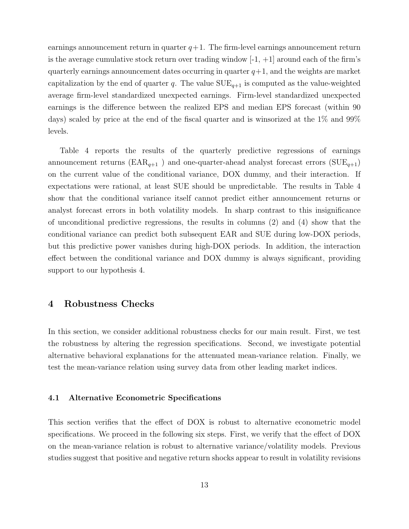earnings announcement return in quarter  $q+1$ . The firm-level earnings announcement return is the average cumulative stock return over trading window  $-1$ ,  $+1$  around each of the firm's quarterly earnings announcement dates occurring in quarter  $q+1$ , and the weights are market capitalization by the end of quarter *q*. The value  $SUE_{q+1}$  is computed as the value-weighted average firm-level standardized unexpected earnings. Firm-level standardized unexpected earnings is the difference between the realized EPS and median EPS forecast (within 90 days) scaled by price at the end of the fiscal quarter and is winsorized at the 1% and 99% levels.

Table [4](#page-36-0) reports the results of the quarterly predictive regressions of earnings announcement returns ( $\text{EAR}_{q+1}$ ) and one-quarter-ahead analyst forecast errors ( $\text{SUE}_{q+1}$ ) on the current value of the conditional variance, DOX dummy, and their interaction. If expectations were rational, at least SUE should be unpredictable. The results in Table [4](#page-36-0) show that the conditional variance itself cannot predict either announcement returns or analyst forecast errors in both volatility models. In sharp contrast to this insignificance of unconditional predictive regressions, the results in columns (2) and (4) show that the conditional variance can predict both subsequent EAR and SUE during low-DOX periods, but this predictive power vanishes during high-DOX periods. In addition, the interaction effect between the conditional variance and DOX dummy is always significant, providing support to our hypothesis 4.

## <span id="page-13-0"></span>**4 Robustness Checks**

In this section, we consider additional robustness checks for our main result. First, we test the robustness by altering the regression specifications. Second, we investigate potential alternative behavioral explanations for the attenuated mean-variance relation. Finally, we test the mean-variance relation using survey data from other leading market indices.

#### **4.1 Alternative Econometric Specifications**

This section verifies that the effect of DOX is robust to alternative econometric model specifications. We proceed in the following six steps. First, we verify that the effect of DOX on the mean-variance relation is robust to alternative variance/volatility models. Previous studies suggest that positive and negative return shocks appear to result in volatility revisions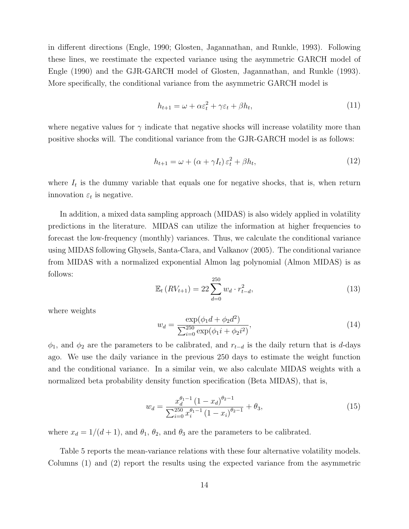in different directions ([Engle,](#page-28-8) [1990](#page-28-8); [Glosten, Jagannathan, and Runkle,](#page-29-2) [1993](#page-29-2)). Following these lines, we reestimate the expected variance using the asymmetric GARCH model of [Engle](#page-28-8) ([1990\)](#page-28-8) and the GJR-GARCH model of [Glosten, Jagannathan, and Runkle](#page-29-2) ([1993](#page-29-2)). More specifically, the conditional variance from the asymmetric GARCH model is

$$
h_{t+1} = \omega + \alpha \varepsilon_t^2 + \gamma \varepsilon_t + \beta h_t,\tag{11}
$$

where negative values for  $\gamma$  indicate that negative shocks will increase volatility more than positive shocks will. The conditional variance from the GJR-GARCH model is as follows:

$$
h_{t+1} = \omega + (\alpha + \gamma I_t) \varepsilon_t^2 + \beta h_t,\tag{12}
$$

where  $I_t$  is the dummy variable that equals one for negative shocks, that is, when return innovation  $\varepsilon_t$  is negative.

In addition, a mixed data sampling approach (MIDAS) is also widely applied in volatility predictions in the literature. MIDAS can utilize the information at higher frequencies to forecast the low-frequency (monthly) variances. Thus, we calculate the conditional variance using MIDAS following [Ghysels, Santa-Clara, and Valkanov](#page-29-5) ([2005](#page-29-5)). The conditional variance from MIDAS with a normalized exponential Almon lag polynomial (Almon MIDAS) is as follows:

$$
\mathbb{E}_{t} \left( RV_{t+1} \right) = 22 \sum_{d=0}^{250} w_d \cdot r_{t-d}^2, \tag{13}
$$

where weights

$$
w_d = \frac{\exp(\phi_1 d + \phi_2 d^2)}{\sum_{i=0}^{250} \exp(\phi_1 i + \phi_2 i^2)},
$$
\n(14)

 $\phi_1$ , and  $\phi_2$  are the parameters to be calibrated, and  $r_{t-d}$  is the daily return that is *d*-days ago. We use the daily variance in the previous 250 days to estimate the weight function and the conditional variance. In a similar vein, we also calculate MIDAS weights with a normalized beta probability density function specification (Beta MIDAS), that is,

$$
w_d = \frac{x_d^{\theta_1 - 1} (1 - x_d)^{\theta_2 - 1}}{\sum_{i=0}^{250} x_i^{\theta_1 - 1} (1 - x_i)^{\theta_2 - 1}} + \theta_3,
$$
\n(15)

where  $x_d = 1/(d+1)$ , and  $\theta_1$ ,  $\theta_2$ , and  $\theta_3$  are the parameters to be calibrated.

Table [5](#page-37-0) reports the mean-variance relations with these four alternative volatility models. Columns (1) and (2) report the results using the expected variance from the asymmetric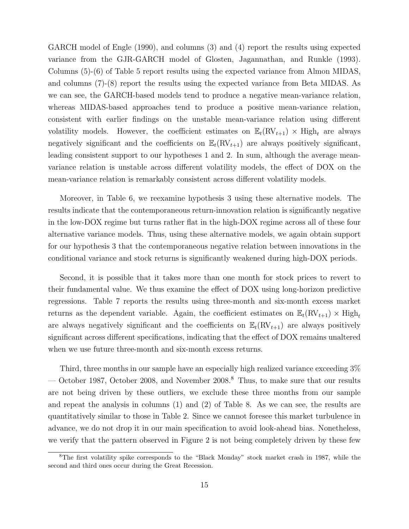GARCH model of [Engle](#page-28-8) ([1990\)](#page-28-8), and columns (3) and (4) report the results using expected variance from the GJR-GARCH model of [Glosten, Jagannathan, and Runkle](#page-29-2) ([1993](#page-29-2)). Columns (5)-(6) of Table [5](#page-37-0) report results using the expected variance from Almon MIDAS, and columns (7)-(8) report the results using the expected variance from Beta MIDAS. As we can see, the GARCH-based models tend to produce a negative mean-variance relation, whereas MIDAS-based approaches tend to produce a positive mean-variance relation, consistent with earlier findings on the unstable mean-variance relation using different volatility models. However, the coefficient estimates on  $\mathbb{E}_t(\text{RV}_{t+1}) \times \text{High}_t$  are always negatively significant and the coefficients on  $\mathbb{E}_t(\text{RV}_{t+1})$  are always positively significant, leading consistent support to our hypotheses 1 and 2. In sum, although the average meanvariance relation is unstable across different volatility models, the effect of DOX on the mean-variance relation is remarkably consistent across different volatility models.

Moreover, in Table [6,](#page-38-0) we reexamine hypothesis 3 using these alternative models. The results indicate that the contemporaneous return-innovation relation is significantly negative in the low-DOX regime but turns rather flat in the high-DOX regime across all of these four alternative variance models. Thus, using these alternative models, we again obtain support for our hypothesis 3 that the contemporaneous negative relation between innovations in the conditional variance and stock returns is significantly weakened during high-DOX periods.

Second, it is possible that it takes more than one month for stock prices to revert to their fundamental value. We thus examine the effect of DOX using long-horizon predictive regressions. Table [7](#page-39-0) reports the results using three-month and six-month excess market returns as the dependent variable. Again, the coefficient estimates on  $\mathbb{E}_t(\text{RV}_{t+1}) \times \text{High}_t$ are always negatively significant and the coefficients on  $\mathbb{E}_t(\text{RV}_{t+1})$  are always positively significant across different specifications, indicating that the effect of DOX remains unaltered when we use future three-month and six-month excess returns.

Third, three months in our sample have an especially high realized variance exceeding 3% October 19[8](#page-15-0)7, October 2008, and November 2008.<sup>8</sup> Thus, to make sure that our results are not being driven by these outliers, we exclude these three months from our sample and repeat the analysis in columns (1) and (2) of Table [8.](#page-40-0) As we can see, the results are quantitatively similar to those in Table [2.](#page-34-0) Since we cannot foresee this market turbulence in advance, we do not drop it in our main specification to avoid look-ahead bias. Nonetheless, we verify that the pattern observed in Figure [2](#page-31-1) is not being completely driven by these few

<span id="page-15-0"></span><sup>8</sup>The first volatility spike corresponds to the "Black Monday" stock market crash in 1987, while the second and third ones occur during the Great Recession.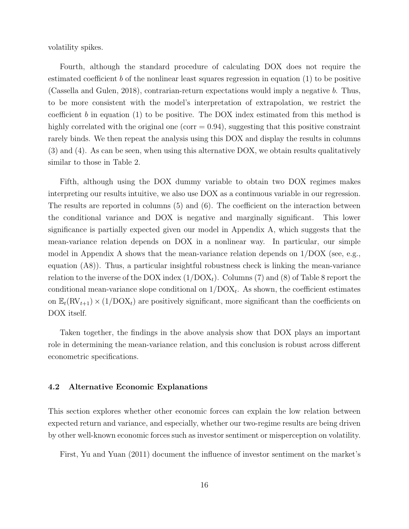volatility spikes.

Fourth, although the standard procedure of calculating DOX does not require the estimated coefficient *b* of the nonlinear least squares regression in equation [\(1](#page-7-2)) to be positive ([Cassella and Gulen,](#page-28-0) [2018\)](#page-28-0), contrarian-return expectations would imply a negative *b*. Thus, to be more consistent with the model's interpretation of extrapolation, we restrict the coefficient *b* in equation ([1\)](#page-7-2) to be positive. The DOX index estimated from this method is highly correlated with the original one (corr  $= 0.94$ ), suggesting that this positive constraint rarely binds. We then repeat the analysis using this DOX and display the results in columns (3) and (4). As can be seen, when using this alternative DOX, we obtain results qualitatively similar to those in Table [2](#page-34-0).

Fifth, although using the DOX dummy variable to obtain two DOX regimes makes interpreting our results intuitive, we also use DOX as a continuous variable in our regression. The results are reported in columns (5) and (6). The coefficient on the interaction between the conditional variance and DOX is negative and marginally significant. This lower significance is partially expected given our model in Appendix A, which suggests that the mean-variance relation depends on DOX in a nonlinear way. In particular, our simple model in Appendix A shows that the mean-variance relation depends on 1/DOX (see, e.g., equation ([A8](#page-57-0))). Thus, a particular insightful robustness check is linking the mean-variance relation to the inverse of the DOX index  $(1/DOX<sub>t</sub>)$ . Columns (7) and ([8](#page-40-0)) of Table 8 report the conditional mean-variance slope conditional on  $1/DOX_t$ . As shown, the coefficient estimates on  $\mathbb{E}_t(\text{RV}_{t+1}) \times (1/\text{DOX}_t)$  are positively significant, more significant than the coefficients on DOX itself.

Taken together, the findings in the above analysis show that DOX plays an important role in determining the mean-variance relation, and this conclusion is robust across different econometric specifications.

### **4.2 Alternative Economic Explanations**

This section explores whether other economic forces can explain the low relation between expected return and variance, and especially, whether our two-regime results are being driven by other well-known economic forces such as investor sentiment or misperception on volatility.

First, [Yu and Yuan](#page-30-8) ([2011\)](#page-30-8) document the influence of investor sentiment on the market's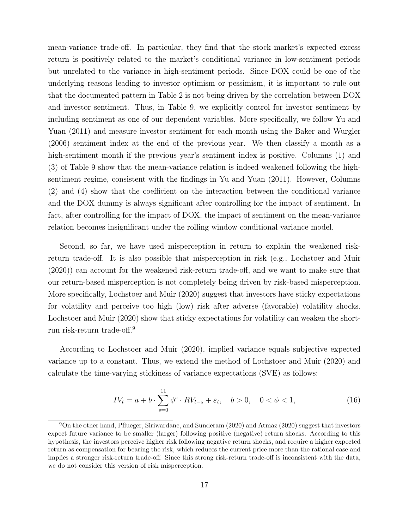mean-variance trade-off. In particular, they find that the stock market's expected excess return is positively related to the market's conditional variance in low-sentiment periods but unrelated to the variance in high-sentiment periods. Since DOX could be one of the underlying reasons leading to investor optimism or pessimism, it is important to rule out that the documented pattern in Table [2](#page-34-0) is not being driven by the correlation between DOX and investor sentiment. Thus, in Table [9](#page-41-0), we explicitly control for investor sentiment by including sentiment as one of our dependent variables. More specifically, we follow [Yu and](#page-30-8) [Yuan](#page-30-8) ([2011](#page-30-8)) and measure investor sentiment for each month using the [Baker and Wurgler](#page-27-12) ([2006\)](#page-27-12) sentiment index at the end of the previous year. We then classify a month as a high-sentiment month if the previous year's sentiment index is positive. Columns (1) and (3) of Table [9](#page-41-0) show that the mean-variance relation is indeed weakened following the highsentiment regime, consistent with the findings in [Yu and Yuan](#page-30-8) [\(2011\)](#page-30-8). However, Columns (2) and (4) show that the coefficient on the interaction between the conditional variance and the DOX dummy is always significant after controlling for the impact of sentiment. In fact, after controlling for the impact of DOX, the impact of sentiment on the mean-variance relation becomes insignificant under the rolling window conditional variance model.

Second, so far, we have used misperception in return to explain the weakened riskreturn trade-off. It is also possible that misperception in risk (e.g., [Lochstoer and Muir](#page-29-3) ([2020\)](#page-29-3)) can account for the weakened risk-return trade-off, and we want to make sure that our return-based misperception is not completely being driven by risk-based misperception. More specifically, [Lochstoer and Muir](#page-29-3) ([2020](#page-29-3)) suggest that investors have sticky expectations for volatility and perceive too high (low) risk after adverse (favorable) volatility shocks. [Lochstoer and Muir](#page-29-3) [\(2020](#page-29-3)) show that sticky expectations for volatility can weaken the shortrun risk-return trade-off.[9](#page-17-0)

According to [Lochstoer and Muir](#page-29-3) ([2020](#page-29-3)), implied variance equals subjective expected variance up to a constant. Thus, we extend the method of [Lochstoer and Muir](#page-29-3) [\(2020](#page-29-3)) and calculate the time-varying stickiness of variance expectations (SVE) as follows:

$$
IV_t = a + b \cdot \sum_{s=0}^{11} \phi^s \cdot RV_{t-s} + \varepsilon_t, \quad b > 0, \quad 0 < \phi < 1,
$$
 (16)

<span id="page-17-0"></span><sup>9</sup>On the other hand, [Pflueger, Siriwardane, and Sunderam](#page-30-14) [\(2020](#page-30-14)) and [Atmaz](#page-27-15) [\(2020](#page-27-15)) suggest that investors expect future variance to be smaller (larger) following positive (negative) return shocks. According to this hypothesis, the investors perceive higher risk following negative return shocks, and require a higher expected return as compensation for bearing the risk, which reduces the current price more than the rational case and implies a stronger risk-return trade-off. Since this strong risk-return trade-off is inconsistent with the data, we do not consider this version of risk misperception.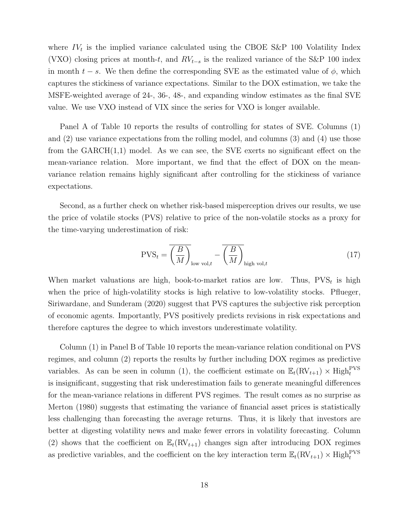where  $IV_t$  is the implied variance calculated using the CBOE S&P 100 Volatility Index (VXO) closing prices at month-*t*, and *RV<sup>t</sup>−<sup>s</sup>* is the realized variance of the S&P 100 index in month  $t - s$ . We then define the corresponding SVE as the estimated value of  $\phi$ , which captures the stickiness of variance expectations. Similar to the DOX estimation, we take the MSFE-weighted average of 24-, 36-, 48-, and expanding window estimates as the final SVE value. We use VXO instead of VIX since the series for VXO is longer available.

Panel A of Table [10](#page-42-0) reports the results of controlling for states of SVE. Columns (1) and (2) use variance expectations from the rolling model, and columns (3) and (4) use those from the  $GARCH(1,1)$  model. As we can see, the SVE exerts no significant effect on the mean-variance relation. More important, we find that the effect of DOX on the meanvariance relation remains highly significant after controlling for the stickiness of variance expectations.

Second, as a further check on whether risk-based misperception drives our results, we use the price of volatile stocks (PVS) relative to price of the non-volatile stocks as a proxy for the time-varying underestimation of risk:

$$
PVS_t = \overline{\left(\frac{B}{M}\right)}_{\text{low vol},t} - \overline{\left(\frac{B}{M}\right)}_{\text{high vol},t}
$$
 (17)

When market valuations are high, book-to-market ratios are low. Thus,  $PVS_t$  is high when the price of high-volatility stocks is high relative to low-volatility stocks. [Pflueger,](#page-30-14) [Siriwardane, and Sunderam](#page-30-14) [\(2020\)](#page-30-14) suggest that PVS captures the subjective risk perception of economic agents. Importantly, PVS positively predicts revisions in risk expectations and therefore captures the degree to which investors underestimate volatility.

Column (1) in Panel B of Table [10](#page-42-0) reports the mean-variance relation conditional on PVS regimes, and column (2) reports the results by further including DOX regimes as predictive variables. As can be seen in column (1), the coefficient estimate on  $\mathbb{E}_t(RV_{t+1}) \times \text{High}_t^{\text{PVS}}$ is insignificant, suggesting that risk underestimation fails to generate meaningful differences for the mean-variance relations in different PVS regimes. The result comes as no surprise as [Merton](#page-30-15) [\(1980\)](#page-30-15) suggests that estimating the variance of financial asset prices is statistically less challenging than forecasting the average returns. Thus, it is likely that investors are better at digesting volatility news and make fewer errors in volatility forecasting. Column (2) shows that the coefficient on  $\mathbb{E}_t(\text{RV}_{t+1})$  changes sign after introducing DOX regimes as predictive variables, and the coefficient on the key interaction term  $\mathbb{E}_t(\text{RV}_{t+1}) \times \text{High}_t^{\text{PVS}}$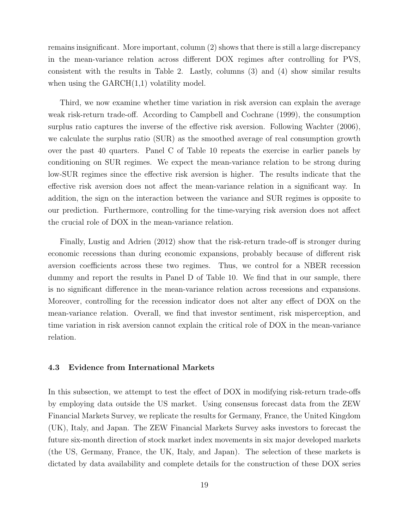remains insignificant. More important, column (2) shows that there is still a large discrepancy in the mean-variance relation across different DOX regimes after controlling for PVS, consistent with the results in Table [2](#page-34-0). Lastly, columns (3) and (4) show similar results when using the  $GARCH(1,1)$  volatility model.

Third, we now examine whether time variation in risk aversion can explain the average weak risk-return trade-off. According to [Campbell and Cochrane](#page-28-9) [\(1999\)](#page-28-9), the consumption surplus ratio captures the inverse of the effective risk aversion. Following [Wachter](#page-30-16) ([2006](#page-30-16)), we calculate the surplus ratio (SUR) as the smoothed average of real consumption growth over the past 40 quarters. Panel C of Table [10](#page-42-0) repeats the exercise in earlier panels by conditioning on SUR regimes. We expect the mean-variance relation to be strong during low-SUR regimes since the effective risk aversion is higher. The results indicate that the effective risk aversion does not affect the mean-variance relation in a significant way. In addition, the sign on the interaction between the variance and SUR regimes is opposite to our prediction. Furthermore, controlling for the time-varying risk aversion does not affect the crucial role of DOX in the mean-variance relation.

Finally, [Lustig and Adrien](#page-29-14) [\(2012](#page-29-14)) show that the risk-return trade-off is stronger during economic recessions than during economic expansions, probably because of different risk aversion coefficients across these two regimes. Thus, we control for a NBER recession dummy and report the results in Panel D of Table [10](#page-42-0). We find that in our sample, there is no significant difference in the mean-variance relation across recessions and expansions. Moreover, controlling for the recession indicator does not alter any effect of DOX on the mean-variance relation. Overall, we find that investor sentiment, risk misperception, and time variation in risk aversion cannot explain the critical role of DOX in the mean-variance relation.

### **4.3 Evidence from International Markets**

In this subsection, we attempt to test the effect of DOX in modifying risk-return trade-offs by employing data outside the US market. Using consensus forecast data from the ZEW Financial Markets Survey, we replicate the results for Germany, France, the United Kingdom (UK), Italy, and Japan. The ZEW Financial Markets Survey asks investors to forecast the future six-month direction of stock market index movements in six major developed markets (the US, Germany, France, the UK, Italy, and Japan). The selection of these markets is dictated by data availability and complete details for the construction of these DOX series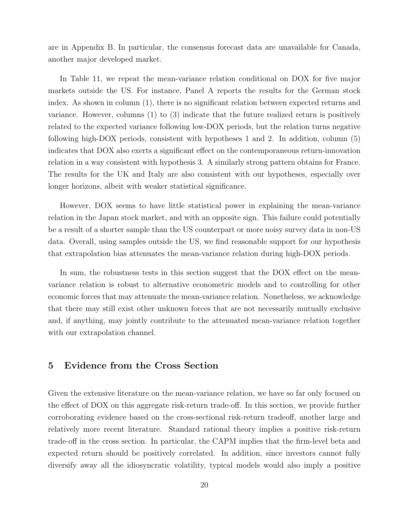are in Appendix [B](#page-58-0). In particular, the consensus forecast data are unavailable for Canada, another major developed market.

In Table [11](#page-45-0), we repeat the mean-variance relation conditional on DOX for five major markets outside the US. For instance, Panel A reports the results for the German stock index. As shown in column (1), there is no significant relation between expected returns and variance. However, columns (1) to (3) indicate that the future realized return is positively related to the expected variance following low-DOX periods, but the relation turns negative following high-DOX periods, consistent with hypotheses 1 and 2. In addition, column (5) indicates that DOX also exerts a significant effect on the contemporaneous return-innovation relation in a way consistent with hypothesis 3. A similarly strong pattern obtains for France. The results for the UK and Italy are also consistent with our hypotheses, especially over longer horizons, albeit with weaker statistical significance.

However, DOX seems to have little statistical power in explaining the mean-variance relation in the Japan stock market, and with an opposite sign. This failure could potentially be a result of a shorter sample than the US counterpart or more noisy survey data in non-US data. Overall, using samples outside the US, we find reasonable support for our hypothesis that extrapolation bias attenuates the mean-variance relation during high-DOX periods.

In sum, the robustness tests in this section suggest that the DOX effect on the meanvariance relation is robust to alternative econometric models and to controlling for other economic forces that may attenuate the mean-variance relation. Nonetheless, we acknowledge that there may still exist other unknown forces that are not necessarily mutually exclusive and, if anything, may jointly contribute to the attenuated mean-variance relation together with our extrapolation channel.

## <span id="page-20-0"></span>**5 Evidence from the Cross Section**

Given the extensive literature on the mean-variance relation, we have so far only focused on the effect of DOX on this aggregate risk-return trade-off. In this section, we provide further corroborating evidence based on the cross-sectional risk-return tradeoff, another large and relatively more recent literature. Standard rational theory implies a positive risk-return trade-off in the cross section. In particular, the CAPM implies that the firm-level beta and expected return should be positively correlated. In addition, since investors cannot fully diversify away all the idiosyncratic volatility, typical models would also imply a positive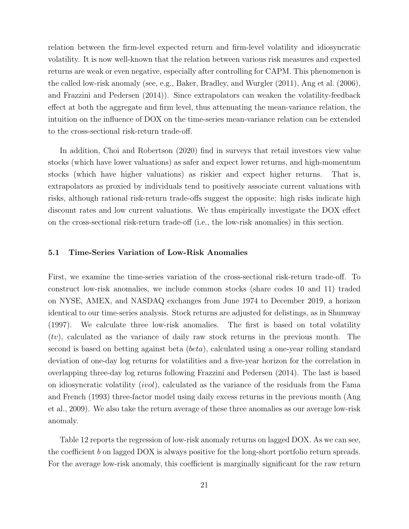relation between the firm-level expected return and firm-level volatility and idiosyncratic volatility. It is now well-known that the relation between various risk measures and expected returns are weak or even negative, especially after controlling for CAPM. This phenomenon is the called low-risk anomaly (see, e.g., [Baker, Bradley, and Wurgler](#page-27-6) ([2011](#page-27-6)), [Ang et al.](#page-27-5) ([2006](#page-27-5)), and [Frazzini and Pedersen](#page-28-2) ([2014](#page-28-2))). Since extrapolators can weaken the volatility-feedback effect at both the aggregate and firm level, thus attenuating the mean-variance relation, the intuition on the influence of DOX on the time-series mean-variance relation can be extended to the cross-sectional risk-return trade-off.

In addition, [Choi and Robertson](#page-28-10) ([2020](#page-28-10)) find in surveys that retail investors view value stocks (which have lower valuations) as safer and expect lower returns, and high-momentum stocks (which have higher valuations) as riskier and expect higher returns. That is, extrapolators as proxied by individuals tend to positively associate current valuations with risks, although rational risk-return trade-offs suggest the opposite: high risks indicate high discount rates and low current valuations. We thus empirically investigate the DOX effect on the cross-sectional risk-return trade-off (i.e., the low-risk anomalies) in this section.

### **5.1 Time-Series Variation of Low-Risk Anomalies**

First, we examine the time-series variation of the cross-sectional risk-return trade-off. To construct low-risk anomalies, we include common stocks (share codes 10 and 11) traded on NYSE, AMEX, and NASDAQ exchanges from June 1974 to December 2019, a horizon identical to our time-series analysis. Stock returns are adjusted for delistings, as in [Shumway](#page-30-17) ([1997\)](#page-30-17). We calculate three low-risk anomalies. The first is based on total volatility (*tv*), calculated as the variance of daily raw stock returns in the previous month. The second is based on betting against beta (*beta*), calculated using a one-year rolling standard deviation of one-day log returns for volatilities and a five-year horizon for the correlation in overlapping three-day log returns following [Frazzini and Pedersen](#page-28-2) ([2014](#page-28-2)). The last is based on idiosyncratic volatility (*ivol*), calculated as the variance of the residuals from the [Fama](#page-28-11) [and French](#page-28-11) ([1993](#page-28-11)) three-factor model using daily excess returns in the previous month ([Ang](#page-27-16) [et al.](#page-27-16), [2009\)](#page-27-16). We also take the return average of these three anomalies as our average low-risk anomaly.

Table [12](#page-48-0) reports the regression of low-risk anomaly returns on lagged DOX. As we can see, the coefficient *b* on lagged DOX is always positive for the long-short portfolio return spreads. For the average low-risk anomaly, this coefficient is marginally significant for the raw return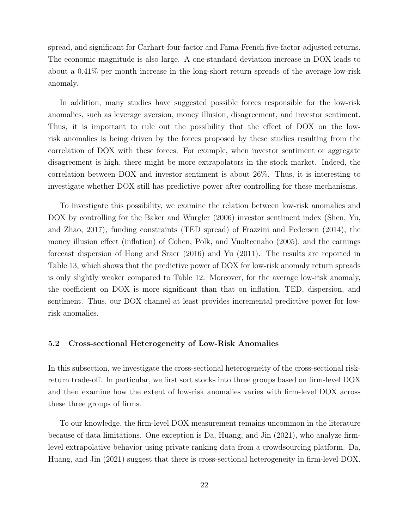spread, and significant for Carhart-four-factor and Fama-French five-factor-adjusted returns. The economic magnitude is also large. A one-standard deviation increase in DOX leads to about a 0.41% per month increase in the long-short return spreads of the average low-risk anomaly.

In addition, many studies have suggested possible forces responsible for the low-risk anomalies, such as leverage aversion, money illusion, disagreement, and investor sentiment. Thus, it is important to rule out the possibility that the effect of DOX on the lowrisk anomalies is being driven by the forces proposed by these studies resulting from the correlation of DOX with these forces. For example, when investor sentiment or aggregate disagreement is high, there might be more extrapolators in the stock market. Indeed, the correlation between DOX and investor sentiment is about 26%. Thus, it is interesting to investigate whether DOX still has predictive power after controlling for these mechanisms.

To investigate this possibility, we examine the relation between low-risk anomalies and DOX by controlling for the [Baker and Wurgler](#page-27-12) [\(2006\)](#page-27-12) investor sentiment index [\(Shen, Yu,](#page-30-3) [and Zhao](#page-30-3), [2017\)](#page-30-3), funding constraints (TED spread) of [Frazzini and Pedersen](#page-28-2) [\(2014\)](#page-28-2), the money illusion effect (inflation) of [Cohen, Polk, and Vuolteenaho](#page-28-6) [\(2005](#page-28-6)), and the earnings forecast dispersion of [Hong and Sraer](#page-29-9) ([2016\)](#page-29-9) and [Yu](#page-30-18) ([2011](#page-30-18)). The results are reported in Table [13](#page-49-0), which shows that the predictive power of DOX for low-risk anomaly return spreads is only slightly weaker compared to Table [12.](#page-48-0) Moreover, for the average low-risk anomaly, the coefficient on DOX is more significant than that on inflation, TED, dispersion, and sentiment. Thus, our DOX channel at least provides incremental predictive power for lowrisk anomalies.

#### **5.2 Cross-sectional Heterogeneity of Low-Risk Anomalies**

In this subsection, we investigate the cross-sectional heterogeneity of the cross-sectional riskreturn trade-off. In particular, we first sort stocks into three groups based on firm-level DOX and then examine how the extent of low-risk anomalies varies with firm-level DOX across these three groups of firms.

To our knowledge, the firm-level DOX measurement remains uncommon in the literature because of data limitations. One exception is [Da, Huang, and Jin](#page-28-12) [\(2021\)](#page-28-12), who analyze firmlevel extrapolative behavior using private ranking data from a crowdsourcing platform. [Da,](#page-28-12) [Huang, and Jin](#page-28-12) ([2021](#page-28-12)) suggest that there is cross-sectional heterogeneity in firm-level DOX.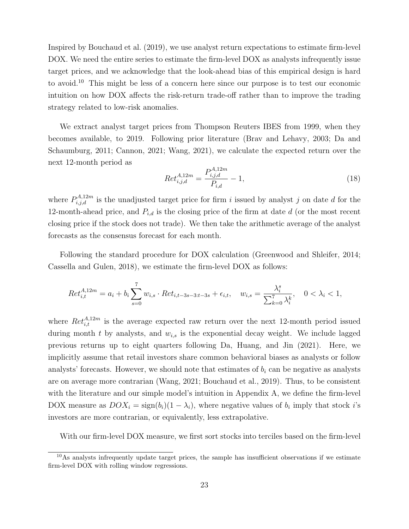Inspired by [Bouchaud et al.](#page-27-17) ([2019\)](#page-27-17), we use analyst return expectations to estimate firm-level DOX. We need the entire series to estimate the firm-level DOX as analysts infrequently issue target prices, and we acknowledge that the look-ahead bias of this empirical design is hard to avoid.[10](#page-23-0) This might be less of a concern here since our purpose is to test our economic intuition on how DOX affects the risk-return trade-off rather than to improve the trading strategy related to low-risk anomalies.

We extract analyst target prices from Thompson Reuters IBES from 1999, when they becomes available, to 2019. Following prior literature [\(Brav and Lehavy,](#page-27-18) [2003](#page-27-18); [Da and](#page-28-13) [Schaumburg](#page-28-13), [2011](#page-28-13); [Cannon](#page-28-14), [2021;](#page-28-14) [Wang](#page-30-19), [2021\)](#page-30-19), we calculate the expected return over the next 12-month period as

$$
Ret_{i,j,d}^{A,12m} = \frac{P_{i,j,d}^{A,12m}}{P_{i,d}} - 1,
$$
\n(18)

where  $P_{i,j,d}^{A,12m}$  is the unadjusted target price for firm *i* issued by analyst *j* on date *d* for the 12-month-ahead price, and  $P_{i,d}$  is the closing price of the firm at date  $d$  (or the most recent closing price if the stock does not trade). We then take the arithmetic average of the analyst forecasts as the consensus forecast for each month.

Following the standard procedure for DOX calculation ([Greenwood and Shleifer,](#page-29-4) [2014;](#page-29-4) [Cassella and Gulen](#page-28-0), [2018\)](#page-28-0), we estimate the firm-level DOX as follows:

$$
Ret_{i,t}^{A,12m} = a_i + b_i \sum_{s=0}^{7} w_{i,s} \cdot Ret_{i,t-3s-3:t-3s} + \epsilon_{i,t}, \quad w_{i,s} = \frac{\lambda_i^s}{\sum_{k=0}^{7} \lambda_i^k}, \quad 0 < \lambda_i < 1,
$$

where  $Ret_{i,t}^{A,12m}$  is the average expected raw return over the next 12-month period issued during month *t* by analysts, and *wi,s* is the exponential decay weight. We include lagged previous returns up to eight quarters following [Da, Huang, and Jin](#page-28-12) ([2021](#page-28-12)). Here, we implicitly assume that retail investors share common behavioral biases as analysts or follow analysts' forecasts. However, we should note that estimates of  $b_i$  can be negative as analysts are on average more contrarian ([Wang](#page-30-19), [2021](#page-30-19); [Bouchaud et al.](#page-27-17), [2019](#page-27-17)). Thus, to be consistent with the literature and our simple model's intuition in Appendix A, we define the firm-level DOX measure as  $DOX_i = sign(b_i)(1 - \lambda_i)$ , where negative values of  $b_i$  imply that stock *i*'s investors are more contrarian, or equivalently, less extrapolative.

With our firm-level DOX measure, we first sort stocks into terciles based on the firm-level

<span id="page-23-0"></span><sup>10</sup>As analysts infrequently update target prices, the sample has insufficient observations if we estimate firm-level DOX with rolling window regressions.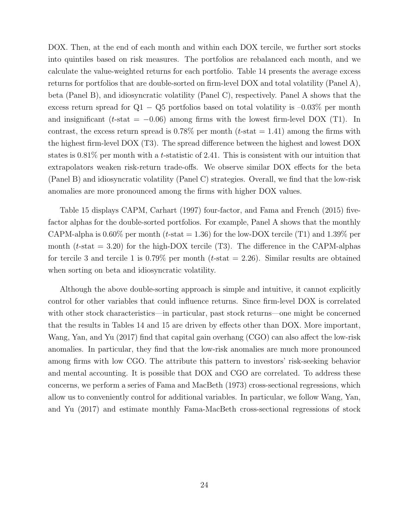DOX. Then, at the end of each month and within each DOX tercile, we further sort stocks into quintiles based on risk measures. The portfolios are rebalanced each month, and we calculate the value-weighted returns for each portfolio. Table [14](#page-50-0) presents the average excess returns for portfolios that are double-sorted on firm-level DOX and total volatility (Panel A), beta (Panel B), and idiosyncratic volatility (Panel C), respectively. Panel A shows that the excess return spread for Q1 *−* Q5 portfolios based on total volatility is –0.03% per month and insignificant ( $t$ -stat =  $-0.06$ ) among firms with the lowest firm-level DOX (T1). In contrast, the excess return spread is  $0.78\%$  per month (*t*-stat  $= 1.41$ ) among the firms with the highest firm-level DOX (T3). The spread difference between the highest and lowest DOX states is 0.81% per month with a *t*-statistic of 2.41. This is consistent with our intuition that extrapolators weaken risk-return trade-offs. We observe similar DOX effects for the beta (Panel B) and idiosyncratic volatility (Panel C) strategies. Overall, we find that the low-risk anomalies are more pronounced among the firms with higher DOX values.

Table [15](#page-52-0) displays CAPM, [Carhart](#page-28-15) [\(1997\)](#page-28-15) four-factor, and [Fama and French](#page-28-16) ([2015](#page-28-16)) fivefactor alphas for the double-sorted portfolios. For example, Panel A shows that the monthly CAPM-alpha is  $0.60\%$  per month (*t*-stat = 1.36) for the low-DOX tercile (T1) and 1.39% per month  $(t$ -stat  $= 3.20$  for the high-DOX tercile (T3). The difference in the CAPM-alphas for tercile 3 and tercile 1 is  $0.79\%$  per month (*t*-stat  $= 2.26$ ). Similar results are obtained when sorting on beta and idiosyncratic volatility.

Although the above double-sorting approach is simple and intuitive, it cannot explicitly control for other variables that could influence returns. Since firm-level DOX is correlated with other stock characteristics—in particular, past stock returns—one might be concerned that the results in Tables [14](#page-50-0) and [15](#page-52-0) are driven by effects other than DOX. More important, [Wang, Yan, and Yu](#page-30-9) [\(2017\)](#page-30-9) find that capital gain overhang (CGO) can also affect the low-risk anomalies. In particular, they find that the low-risk anomalies are much more pronounced among firms with low CGO. The attribute this pattern to investors' risk-seeking behavior and mental accounting. It is possible that DOX and CGO are correlated. To address these concerns, we perform a series of [Fama and MacBeth](#page-28-17) ([1973](#page-28-17)) cross-sectional regressions, which allow us to conveniently control for additional variables. In particular, we follow [Wang, Yan,](#page-30-9) [and Yu](#page-30-9) ([2017](#page-30-9)) and estimate monthly Fama-MacBeth cross-sectional regressions of stock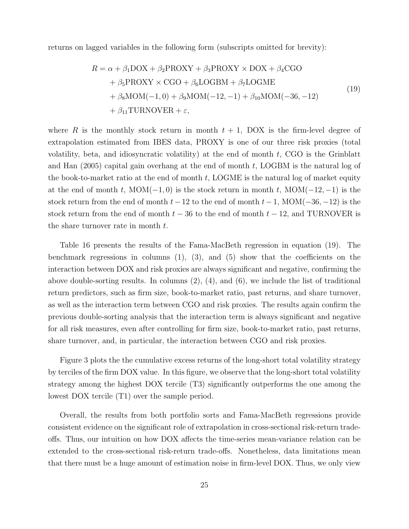returns on lagged variables in the following form (subscripts omitted for brevity):

<span id="page-25-0"></span>
$$
R = \alpha + \beta_1 \text{DOX} + \beta_2 \text{PROXY} + \beta_3 \text{PROXY} \times \text{DOX} + \beta_4 \text{CGO}
$$
  
+  $\beta_5 \text{PROXY} \times \text{CGO} + \beta_6 \text{LOGBM} + \beta_7 \text{LOGME}$   
+  $\beta_8 \text{MOM}(-1,0) + \beta_9 \text{MOM}(-12,-1) + \beta_{10} \text{MOM}(-36,-12)$   
+  $\beta_{11} \text{TURNOVER} + \varepsilon$ , (19)

where *R* is the monthly stock return in month  $t + 1$ , DOX is the firm-level degree of extrapolation estimated from IBES data, PROXY is one of our three risk proxies (total volatility, beta, and idiosyncratic volatility) at the end of month *t*, CGO is the [Grinblatt](#page-29-15) [and Han](#page-29-15) ([2005](#page-29-15)) capital gain overhang at the end of month *t*, LOGBM is the natural log of the book-to-market ratio at the end of month *t*, LOGME is the natural log of market equity at the end of month *t*, MOM(*−*1*,* 0) is the stock return in month *t*, MOM(*−*12*, −*1) is the stock return from the end of month *t−*12 to the end of month *t−*1, MOM(*−*36*, −*12) is the stock return from the end of month  $t - 36$  to the end of month  $t - 12$ , and TURNOVER is the share turnover rate in month *t*.

Table [16](#page-55-0) presents the results of the Fama-MacBeth regression in equation ([19\)](#page-25-0). The benchmark regressions in columns  $(1)$ ,  $(3)$ , and  $(5)$  show that the coefficients on the interaction between DOX and risk proxies are always significant and negative, confirming the above double-sorting results. In columns  $(2)$ ,  $(4)$ , and  $(6)$ , we include the list of traditional return predictors, such as firm size, book-to-market ratio, past returns, and share turnover, as well as the interaction term between CGO and risk proxies. The results again confirm the previous double-sorting analysis that the interaction term is always significant and negative for all risk measures, even after controlling for firm size, book-to-market ratio, past returns, share turnover, and, in particular, the interaction between CGO and risk proxies.

Figure [3](#page-32-0) plots the the cumulative excess returns of the long-short total volatility strategy by terciles of the firm DOX value. In this figure, we observe that the long-short total volatility strategy among the highest DOX tercile (T3) significantly outperforms the one among the lowest DOX tercile (T1) over the sample period.

Overall, the results from both portfolio sorts and Fama-MacBeth regressions provide consistent evidence on the significant role of extrapolation in cross-sectional risk-return tradeoffs. Thus, our intuition on how DOX affects the time-series mean-variance relation can be extended to the cross-sectional risk-return trade-offs. Nonetheless, data limitations mean that there must be a huge amount of estimation noise in firm-level DOX. Thus, we only view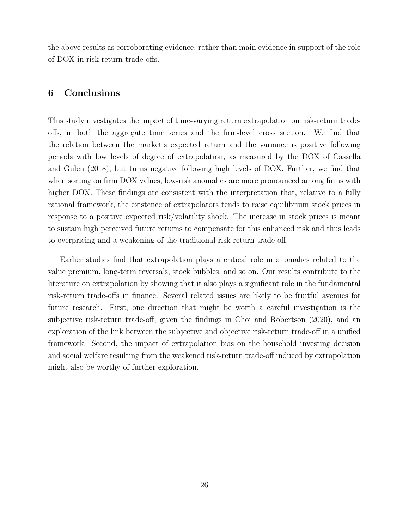<span id="page-26-0"></span>the above results as corroborating evidence, rather than main evidence in support of the role of DOX in risk-return trade-offs.

## **6 Conclusions**

This study investigates the impact of time-varying return extrapolation on risk-return tradeoffs, in both the aggregate time series and the firm-level cross section. We find that the relation between the market's expected return and the variance is positive following periods with low levels of degree of extrapolation, as measured by the DOX of [Cassella](#page-28-0) [and Gulen](#page-28-0) [\(2018\)](#page-28-0), but turns negative following high levels of DOX. Further, we find that when sorting on firm DOX values, low-risk anomalies are more pronounced among firms with higher DOX. These findings are consistent with the interpretation that, relative to a fully rational framework, the existence of extrapolators tends to raise equilibrium stock prices in response to a positive expected risk/volatility shock. The increase in stock prices is meant to sustain high perceived future returns to compensate for this enhanced risk and thus leads to overpricing and a weakening of the traditional risk-return trade-off.

Earlier studies find that extrapolation plays a critical role in anomalies related to the value premium, long-term reversals, stock bubbles, and so on. Our results contribute to the literature on extrapolation by showing that it also plays a significant role in the fundamental risk-return trade-offs in finance. Several related issues are likely to be fruitful avenues for future research. First, one direction that might be worth a careful investigation is the subjective risk-return trade-off, given the findings in [Choi and Robertson](#page-28-10) [\(2020\)](#page-28-10), and an exploration of the link between the subjective and objective risk-return trade-off in a unified framework. Second, the impact of extrapolation bias on the household investing decision and social welfare resulting from the weakened risk-return trade-off induced by extrapolation might also be worthy of further exploration.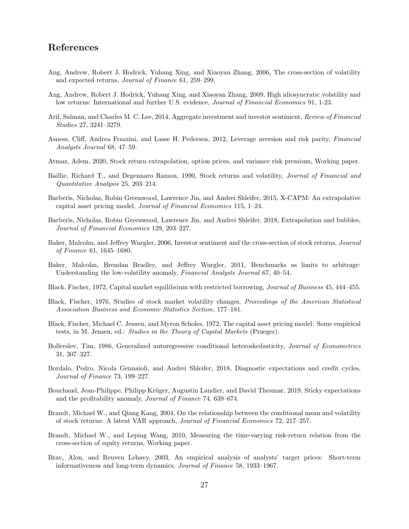## <span id="page-27-19"></span>**References**

- <span id="page-27-5"></span>Ang, Andrew, Robert J. Hodrick, Yuhang Xing, and Xiaoyan Zhang, 2006, The cross-section of volatility and expected returns, *Journal of Finance* 61, 259–299.
- <span id="page-27-16"></span>Ang, Andrew, Robert J. Hodrick, Yuhang Xing, and Xiaoyan Zhang, 2009, High idiosyncratic volatility and low returns: International and further U.S. evidence, *Journal of Financial Economics* 91, 1-23.
- <span id="page-27-14"></span>Arif, Salman, and Charles M. C. Lee, 2014, Aggregate investment and investor sentiment, *Review of Financial Studies* 27, 3241–3279.
- <span id="page-27-9"></span>Asness, Cliff, Andrea Frazzini, and Lasse H. Pedersen, 2012, Leverage aversion and risk parity, *Financial Analysts Journal* 68, 47–59.
- <span id="page-27-15"></span>Atmaz, Adem, 2020, Stock return extrapolation, option prices, and variance risk premium, Working paper.
- <span id="page-27-7"></span>Baillie, Richard T., and Degennaro Ramon, 1990, Stock returns and volatility, *Journal of Financial and Quantitative Analysis* 25, 203–214.
- <span id="page-27-0"></span>Barberis, Nicholas, Robin Greenwood, Lawrence Jin, and Andrei Shleifer, 2015, X-CAPM: An extrapolative capital asset pricing model, *Journal of Financial Economics* 115, 1–24.
- <span id="page-27-1"></span>Barberis, Nicholas, Robin Greenwood, Lawrence Jin, and Andrei Shleifer, 2018, Extrapolation and bubbles, *Journal of Financial Economics* 129, 203–227.
- <span id="page-27-12"></span>Baker, Malcolm, and Jeffrey Wurgler, 2006, Investor sentiment and the cross-section of stock returns, *Journal of Finance* 61, 1645–1680.
- <span id="page-27-6"></span>Baker, Malcolm, Brendan Bradley, and Jeffrey Wurgler, 2011, Benchmarks as limits to arbitrage: Understanding the low-volatility anomaly, *Financial Analysts Journal* 67, 40–54.
- <span id="page-27-3"></span>Black, Fischer, 1972, Capital market equilibrium with restricted borrowing, *Journal of Business* 45, 444–455.
- <span id="page-27-13"></span>Black, Fischer, 1976, Studies of stock market volatility changes, *Proceedings of the American Statistical Association Business and Economic Statistics Section*, 177–181.
- <span id="page-27-4"></span>Black, Fischer, Michael C. Jensen, and Myron Scholes, 1972, The capital asset pricing model: Some empirical tests, in M. Jensen, ed.: *Studies in the Theory of Capital Markets* (Praeger).
- <span id="page-27-11"></span>Bollerslev, Tim, 1986, Generalized autoregressive conditional heteroskedasticity, *Journal of Econometrics* 31, 307–327.
- <span id="page-27-10"></span>Bordalo, Pedro, Nicola Gennaioli, and Andrei Shleifer, 2018, Diagnostic expectations and credit cycles, *Journal of Finance* 73, 199–227.
- <span id="page-27-17"></span>Bouchaud, Jean-Philippe, Philipp Krüger, Augustin Landier, and David Thesmar, 2019, Sticky expectations and the profitability anomaly, *Journal of Finance* 74, 639–674.
- <span id="page-27-8"></span>Brandt, Michael W., and Qiang Kang, 2004, On the relationship between the conditional mean and volatility of stock returns: A latent VAR approach, *Journal of Financial Economics* 72, 217–257.
- <span id="page-27-2"></span>Brandt, Michael W., and Leping Wang, 2010, Measuring the time-varying risk-return relation from the cross-section of equity returns, Working paper.
- <span id="page-27-18"></span>Brav, Alon, and Reuven Lehavy, 2003, An empirical analysis of analysts' target prices: Short-term informativeness and long-term dynamics, *Journal of Finance* 58, 1933–1967.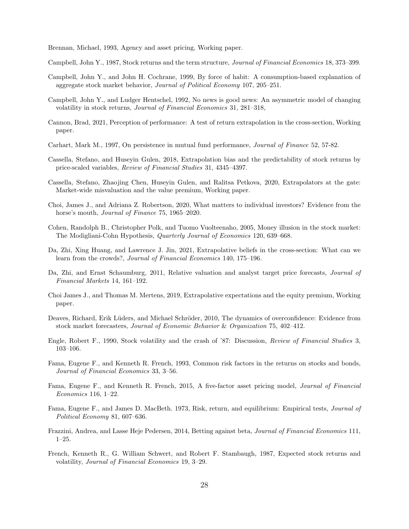<span id="page-28-21"></span><span id="page-28-20"></span><span id="page-28-19"></span><span id="page-28-18"></span><span id="page-28-5"></span>Brennan, Michael, 1993, Agency and asset pricing, Working paper.

<span id="page-28-4"></span>Campbell, John Y., 1987, Stock returns and the term structure, *Journal of Financial Economics* 18, 373–399.

- <span id="page-28-9"></span>Campbell, John Y., and John H. Cochrane, 1999, By force of habit: A consumption-based explanation of aggregate stock market behavior, *Journal of Political Economy* 107, 205–251.
- <span id="page-28-3"></span>Campbell, John Y., and Ludger Hentschel, 1992, No news is good news: An asymmetric model of changing volatility in stock returns, *Journal of Financial Economics* 31, 281–318,
- <span id="page-28-14"></span>Cannon, Brad, 2021, Perception of performance: A test of return extrapolation in the cross-section, Working paper.
- <span id="page-28-15"></span>Carhart, Mark M., 1997, On persistence in mutual fund performance, *Journal of Finance* 52, 57-82.
- <span id="page-28-0"></span>Cassella, Stefano, and Huseyin Gulen, 2018, Extrapolation bias and the predictability of stock returns by price-scaled variables, *Review of Financial Studies* 31, 4345–4397.
- <span id="page-28-7"></span>Cassella, Stefano, Zhaojing Chen, Huseyin Gulen, and Ralitsa Petkova, 2020, Extrapolators at the gate: Market-wide misvaluation and the value premium, Working paper.
- <span id="page-28-10"></span>Choi, James J., and Adriana Z. Robertson, 2020, What matters to individual investors? Evidence from the horse's mouth, *Journal of Finance* 75, 1965–2020.
- <span id="page-28-6"></span>Cohen, Randolph B., Christopher Polk, and Tuomo Vuolteenaho, 2005, Money illusion in the stock market: The Modigliani-Cohn Hypothesis, *Quarterly Journal of Economics* 120, 639–668.
- <span id="page-28-12"></span>Da, Zhi, Xing Huang, and Lawrence J. Jin, 2021, Extrapolative beliefs in the cross-section: What can we learn from the crowds?, *Journal of Financial Economics* 140, 175–196.
- <span id="page-28-13"></span>Da, Zhi, and Ernst Schaumburg, 2011, Relative valuation and analyst target price forecasts, *Journal of Financial Markets* 14, 161–192.
- <span id="page-28-22"></span>Choi James J., and Thomas M. Mertens, 2019, Extrapolative expectations and the equity premium, Working paper.
- <span id="page-28-23"></span>Deaves, Richard, Erik Lüders, and Michael Schröder, 2010, The dynamics of overconfidence: Evidence from stock market forecasters, *Journal of Economic Behavior* & *Organization* 75, 402–412.
- <span id="page-28-8"></span>Engle, Robert F., 1990, Stock volatility and the crash of '87: Discussion, *Review of Financial Studies* 3, 103–106.
- <span id="page-28-11"></span>Fama, Eugene F., and Kenneth R. French, 1993, Common risk factors in the returns on stocks and bonds, *Journal of Financial Economics* 33, 3–56.
- <span id="page-28-16"></span>Fama, Eugene F., and Kenneth R. French, 2015, A five-factor asset pricing model, *Journal of Financial Economics* 116, 1–22.
- <span id="page-28-17"></span>Fama, Eugene F., and James D. MacBeth. 1973, Risk, return, and equilibrium: Empirical tests, *Journal of Political Economy* 81, 607–636.
- <span id="page-28-2"></span>Frazzini, Andrea, and Lasse Heje Pedersen, 2014, Betting against beta, *Journal of Financial Economics* 111, 1–25.
- <span id="page-28-1"></span>French, Kenneth R., G. William Schwert, and Robert F. Stambaugh, 1987, Expected stock returns and volatility, *Journal of Financial Economics* 19, 3–29.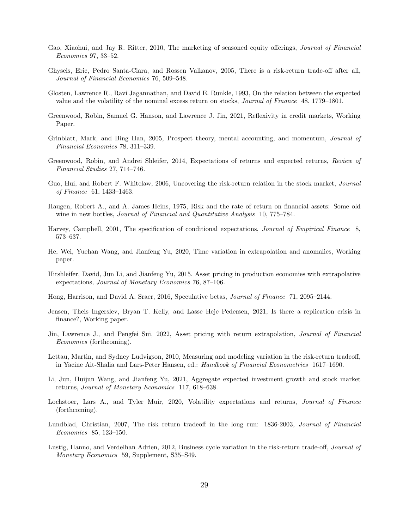- <span id="page-29-17"></span><span id="page-29-16"></span>Gao, Xiaohui, and Jay R. Ritter, 2010, The marketing of seasoned equity offerings, *Journal of Financial Economics* 97, 33–52.
- <span id="page-29-5"></span>Ghysels, Eric, Pedro Santa-Clara, and Rossen Valkanov, 2005, There is a risk-return trade-off after all, *Journal of Financial Economics* 76, 509–548.
- <span id="page-29-2"></span>Glosten, Lawrence R., Ravi Jagannathan, and David E. Runkle, 1993, On the relation between the expected value and the volatility of the nominal excess return on stocks, *Journal of Finance* 48, 1779–1801.
- <span id="page-29-12"></span>Greenwood, Robin, Samuel G. Hanson, and Lawrence J. Jin, 2021, Reflexivity in credit markets, Working Paper.
- <span id="page-29-15"></span>Grinblatt, Mark, and Bing Han, 2005, Prospect theory, mental accounting, and momentum, *Journal of Financial Economics* 78, 311–339.
- <span id="page-29-4"></span>Greenwood, Robin, and Andrei Shleifer, 2014, Expectations of returns and expected returns, *Review of Financial Studies* 27, 714–746.
- <span id="page-29-0"></span>Guo, Hui, and Robert F. Whitelaw, 2006, Uncovering the risk-return relation in the stock market, *Journal of Finance* 61, 1433–1463.
- <span id="page-29-1"></span>Haugen, Robert A., and A. James Heins, 1975, Risk and the rate of return on financial assets: Some old wine in new bottles, *Journal of Financial and Quantitative Analysis* 10, 775–784.
- <span id="page-29-8"></span>Harvey, Campbell, 2001, The specification of conditional expectations, *Journal of Empirical Finance* 8, 573–637.
- <span id="page-29-18"></span>He, Wei, Yuehan Wang, and Jianfeng Yu, 2020, Time variation in extrapolation and anomalies, Working paper.
- <span id="page-29-10"></span>Hirshleifer, David, Jun Li, and Jianfeng Yu, 2015. Asset pricing in production economies with extrapolative expectations, *Journal of Monetary Economics* 76, 87–106.
- <span id="page-29-9"></span>Hong, Harrison, and David A. Sraer, 2016, Speculative betas, *Journal of Finance* 71, 2095–2144.
- Jensen, Theis Ingerslev, Bryan T. Kelly, and Lasse Heje Pedersen, 2021, Is there a replication crisis in finance?, Working paper.
- <span id="page-29-11"></span>Jin, Lawrence J., and Pengfei Sui, 2022, Asset pricing with return extrapolation, *Journal of Financial Economics* (forthcoming).
- <span id="page-29-7"></span>Lettau, Martin, and Sydney Ludvigson, 2010, Measuring and modeling variation in the risk-return tradeoff, in Yacine Ait-Shalia and Lars-Peter Hansen, ed.: *Handbook of Financial Econometrics* 1617–1690.
- <span id="page-29-13"></span>Li, Jun, Huijun Wang, and Jianfeng Yu, 2021, Aggregate expected investment growth and stock market returns, *Journal of Monetary Economics* 117, 618–638.
- <span id="page-29-3"></span>Lochstoer, Lars A., and Tyler Muir, 2020, Volatility expectations and returns, *Journal of Finance* (forthcoming).
- <span id="page-29-6"></span>Lundblad, Christian, 2007, The risk return tradeoff in the long run: 1836-2003, *Journal of Financial Economics* 85, 123–150.
- <span id="page-29-14"></span>Lustig, Hanno, and Verdelhan Adrien, 2012, Business cycle variation in the risk-return trade-off, *Journal of Monetary Economics* 59, Supplement, S35–S49.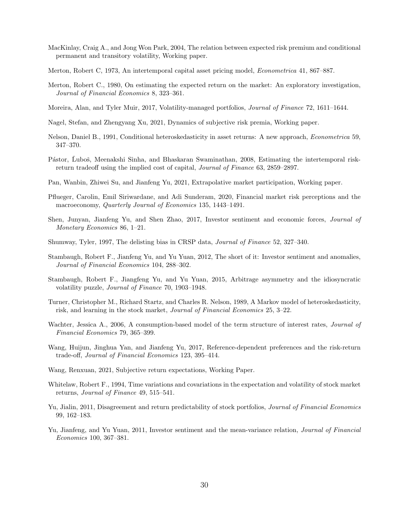- <span id="page-30-20"></span><span id="page-30-7"></span>MacKinlay, Craig A., and Jong Won Park, 2004, The relation between expected risk premium and conditional permanent and transitory volatility, Working paper.
- <span id="page-30-0"></span>Merton, Robert C, 1973, An intertemporal capital asset pricing model, *Econometrica* 41, 867–887.
- <span id="page-30-15"></span>Merton, Robert C., 1980, On estimating the expected return on the market: An exploratory investigation, *Journal of Financial Economics* 8, 323–361.
- <span id="page-30-2"></span>Moreira, Alan, and Tyler Muir, 2017, Volatility-managed portfolios, *Journal of Finance* 72, 1611–1644.
- <span id="page-30-12"></span>Nagel, Stefan, and Zhengyang Xu, 2021, Dynamics of subjective risk premia, Working paper.
- <span id="page-30-4"></span>Nelson, Daniel B., 1991, Conditional heteroskedasticity in asset returns: A new approach, *Econometrica* 59, 347–370.
- <span id="page-30-1"></span>Pástor, Luboš, Meenakshi Sinha, and Bhaskaran Swaminathan, 2008, Estimating the intertemporal riskreturn tradeoff using the implied cost of capital, *Journal of Finance* 63, 2859–2897.
- <span id="page-30-11"></span>Pan, Wanbin, Zhiwei Su, and Jianfeng Yu, 2021, Extrapolative market participation, Working paper.
- <span id="page-30-14"></span>Pflueger, Carolin, Emil Siriwardane, and Adi Sunderam, 2020, Financial market risk perceptions and the macroeconomy, *Quarterly Journal of Economics* 135, 1443–1491.
- <span id="page-30-3"></span>Shen, Junyan, Jianfeng Yu, and Shen Zhao, 2017, Investor sentiment and economic forces, *Journal of Monetary Economics* 86, 1–21.
- <span id="page-30-17"></span>Shumway, Tyler, 1997, The delisting bias in CRSP data, *Journal of Finance* 52, 327–340.
- <span id="page-30-13"></span>Stambaugh, Robert F., Jianfeng Yu, and Yu Yuan, 2012, The short of it: Investor sentiment and anomalies, *Journal of Financial Economics* 104, 288–302.
- <span id="page-30-10"></span>Stambaugh, Robert F., Jiangfeng Yu, and Yu Yuan, 2015, Arbitrage asymmetry and the idiosyncratic volatility puzzle, *Journal of Finance* 70, 1903–1948.
- <span id="page-30-6"></span>Turner, Christopher M., Richard Startz, and Charles R. Nelson, 1989, A Markov model of heteroskedasticity, risk, and learning in the stock market, *Journal of Financial Economics* 25, 3–22.
- <span id="page-30-16"></span>Wachter, Jessica A., 2006, A consumption-based model of the term structure of interest rates, *Journal of Financial Economics* 79, 365–399.
- <span id="page-30-9"></span>Wang, Huijun, Jinghua Yan, and Jianfeng Yu, 2017, Reference-dependent preferences and the risk-return trade-off, *Journal of Financial Economics* 123, 395–414.
- <span id="page-30-19"></span>Wang, Renxuan, 2021, Subjective return expectations, Working Paper.
- <span id="page-30-5"></span>Whitelaw, Robert F., 1994, Time variations and covariations in the expectation and volatility of stock market returns, *Journal of Finance* 49, 515–541.
- <span id="page-30-18"></span>Yu, Jialin, 2011, Disagreement and return predictability of stock portfolios, *Journal of Financial Economics* 99, 162–183.
- <span id="page-30-8"></span>Yu, Jianfeng, and Yu Yuan, 2011, Investor sentiment and the mean-variance relation, *Journal of Financial Economics* 100, 367–381.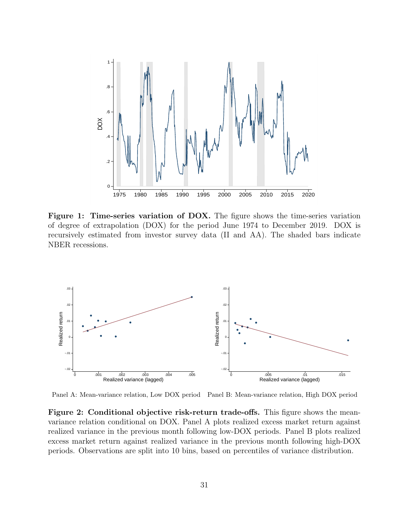<span id="page-31-0"></span>

**Figure 1: Time-series variation of DOX.** The figure shows the time-series variation of degree of extrapolation (DOX) for the period June 1974 to December 2019. DOX is recursively estimated from investor survey data (II and AA). The shaded bars indicate NBER recessions.

<span id="page-31-1"></span>

Panel A: Mean-variance relation, Low DOX period Panel B: Mean-variance relation, High DOX period

**Figure 2: Conditional objective risk-return trade-offs.** This figure shows the meanvariance relation conditional on DOX. Panel A plots realized excess market return against realized variance in the previous month following low-DOX periods. Panel B plots realized excess market return against realized variance in the previous month following high-DOX periods. Observations are split into 10 bins, based on percentiles of variance distribution.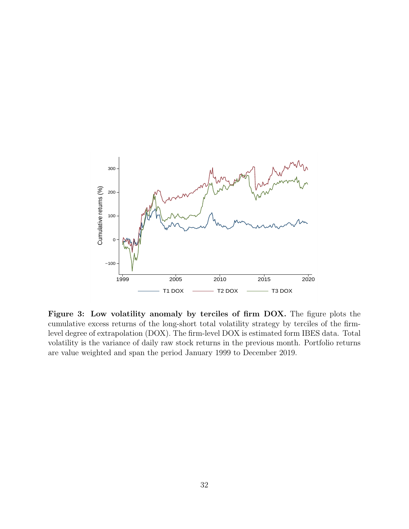<span id="page-32-0"></span>

**Figure 3: Low volatility anomaly by terciles of firm DOX.** The figure plots the cumulative excess returns of the long-short total volatility strategy by terciles of the firmlevel degree of extrapolation (DOX). The firm-level DOX is estimated form IBES data. Total volatility is the variance of daily raw stock returns in the previous month. Portfolio returns are value weighted and span the period January 1999 to December 2019.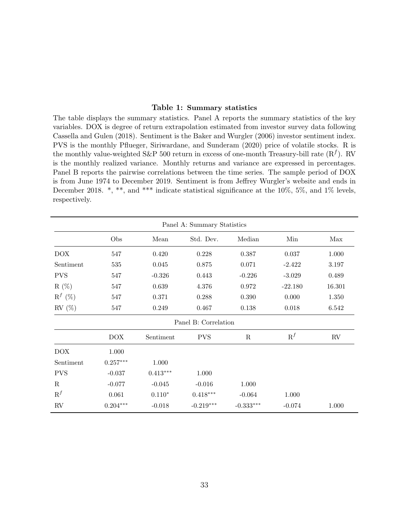### **Table 1: Summary statistics**

<span id="page-33-0"></span>The table displays the summary statistics. Panel A reports the summary statistics of the key variables. DOX is degree of return extrapolation estimated from investor survey data following [Cassella and Gulen](#page-28-0) ([2018](#page-28-0)). Sentiment is the [Baker and Wurgler](#page-27-12) ([2006\)](#page-27-12) investor sentiment index. PVS is the monthly [Pflueger, Siriwardane, and Sunderam](#page-30-14) [\(2020](#page-30-14)) price of volatile stocks. R is the monthly value-weighted S&P 500 return in excess of one-month Treasury-bill rate  $(R^f)$ . RV is the monthly realized variance. Monthly returns and variance are expressed in percentages. Panel B reports the pairwise correlations between the time series. The sample period of DOX is from June 1974 to December 2019. Sentiment is from Jeffrey Wurgler's website and ends in December 2018. \*, \*\*, and \*\*\* indicate statistical significance at the 10%, 5%, and 1% levels, respectively.

| Panel A: Summary Statistics |                        |            |                      |             |           |          |
|-----------------------------|------------------------|------------|----------------------|-------------|-----------|----------|
|                             | Obs                    | Mean       | Std. Dev.            | Median      | Min       | Max      |
| <b>DOX</b>                  | 547                    | 0.420      | 0.228                | 0.387       | 0.037     | 1.000    |
| Sentiment                   | 535                    | 0.045      | 0.875                | 0.071       | $-2.422$  | 3.197    |
| <b>PVS</b>                  | 547                    | $-0.326$   | 0.443                | $-0.226$    | $-3.029$  | 0.489    |
| $R(\%)$                     | 547                    | 0.639      | 4.376                | 0.972       | $-22.180$ | 16.301   |
| $R^f$ (%)                   | 547                    | 0.371      | 0.288                | 0.390       | 0.000     | 1.350    |
| $RV(S_0)$                   | 547                    | 0.249      | 0.467                | $0.138\,$   | 0.018     | 6.542    |
|                             |                        |            | Panel B: Correlation |             |           |          |
|                             | <b>DOX</b>             | Sentiment  | <b>PVS</b>           | R           | $R^f$     | $\rm RV$ |
| <b>DOX</b>                  | $1.000\,$              |            |                      |             |           |          |
| Sentiment                   | $0.257^{\ast\ast\ast}$ | 1.000      |                      |             |           |          |
| <b>PVS</b>                  | $-0.037$               | $0.413***$ | 1.000                |             |           |          |
| $\mathbf R$                 | $-0.077$               | $-0.045$   | $-0.016$             | 1.000       |           |          |
| $R^f$                       | 0.061                  | $0.110*$   | $0.418***$           | $-0.064$    | 1.000     |          |
| RV                          | $0.204***$             | $-0.018$   | $-0.219***$          | $-0.333***$ | $-0.074$  | 1.000    |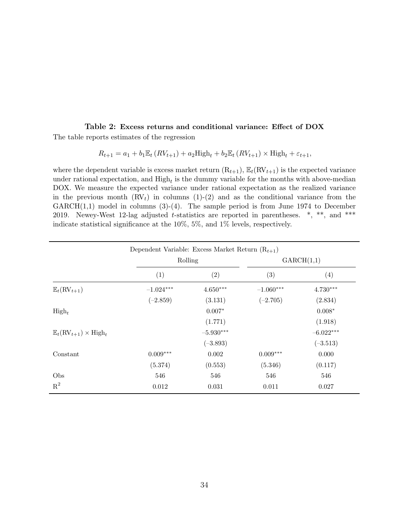### <span id="page-34-0"></span>**Table 2: Excess returns and conditional variance: Effect of DOX** The table reports estimates of the regression

$$
R_{t+1} = a_1 + b_1 \mathbb{E}_t (RV_{t+1}) + a_2 \text{High}_t + b_2 \mathbb{E}_t (RV_{t+1}) \times \text{High}_t + \varepsilon_{t+1},
$$

where the dependent variable is excess market return  $(R_{t+1}), E_t(RV_{t+1})$  is the expected variance under rational expectation, and  $\text{High}_t$  is the dummy variable for the months with above-median DOX. We measure the expected variance under rational expectation as the realized variance in the previous month  $(RV_t)$  in columns  $(1)-(2)$  and as the conditional variance from the  $GARCH(1,1)$  model in columns  $(3)-(4)$ . The sample period is from June 1974 to December 2019. Newey-West 12-lag adjusted *t*-statistics are reported in parentheses. \*, \*\*, and \*\*\* indicate statistical significance at the 10%, 5%, and 1% levels, respectively.

|                                                          | Dependent Variable: Excess Market Return $(R_{t+1})$ |             |             |             |  |
|----------------------------------------------------------|------------------------------------------------------|-------------|-------------|-------------|--|
|                                                          |                                                      | Rolling     |             | GARCH(1,1)  |  |
|                                                          | (1)                                                  | (2)         | (3)         | (4)         |  |
| $\mathbb{E}_t(\mathrm{RV}_{t+1})$                        | $-1.024***$                                          | $4.650***$  | $-1.060***$ | $4.730***$  |  |
|                                                          | $(-2.859)$                                           | (3.131)     | $(-2.705)$  | (2.834)     |  |
| $High_t$                                                 |                                                      | $0.007*$    |             | $0.008*$    |  |
|                                                          |                                                      | (1.771)     |             | (1.918)     |  |
| $\mathbb{E}_t(\mathrm{RV}_{t+1}) \times \mathrm{High}_t$ |                                                      | $-5.930***$ |             | $-6.022***$ |  |
|                                                          |                                                      | $(-3.893)$  |             | $(-3.513)$  |  |
| Constant                                                 | $0.009***$                                           | 0.002       | $0.009***$  | 0.000       |  |
|                                                          | (5.374)                                              | (0.553)     | (5.346)     | (0.117)     |  |
| Obs                                                      | 546                                                  | 546         | 546         | 546         |  |
| $R^2$                                                    | 0.012                                                | 0.031       | 0.011       | 0.027       |  |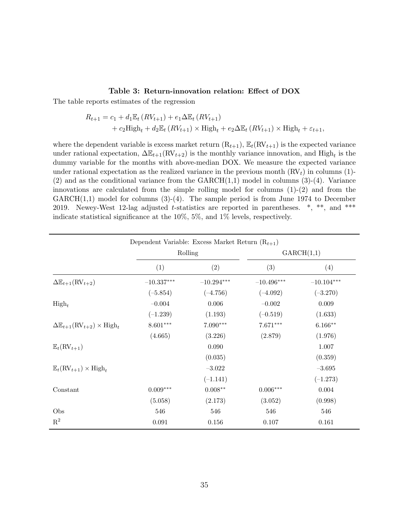#### **Table 3: Return-innovation relation: Effect of DOX**

<span id="page-35-0"></span>The table reports estimates of the regression

$$
R_{t+1} = c_1 + d_1 \mathbb{E}_t (RV_{t+1}) + e_1 \Delta \mathbb{E}_t (RV_{t+1})
$$
  
+ 
$$
c_2 \text{High}_t + d_2 \mathbb{E}_t (RV_{t+1}) \times \text{High}_t + e_2 \Delta \mathbb{E}_t (RV_{t+1}) \times \text{High}_t + \varepsilon_{t+1},
$$

where the dependent variable is excess market return  $(R_{t+1}), \mathbb{E}_t(RV_{t+1})$  is the expected variance under rational expectation,  $\Delta \mathbb{E}_{t+1}(\text{RV}_{t+2})$  is the monthly variance innovation, and  $\text{High}_t$  is the dummy variable for the months with above-median DOX. We measure the expected variance under rational expectation as the realized variance in the previous month  $\left(\text{RV}_t\right)$  in columns (1)- $(2)$  and as the conditional variance from the GARCH $(1,1)$  model in columns  $(3)-(4)$ . Variance innovations are calculated from the simple rolling model for columns  $(1)-(2)$  and from the  $GARCH(1,1)$  model for columns  $(3)-(4)$ . The sample period is from June 1974 to December 2019. Newey-West 12-lag adjusted *t*-statistics are reported in parentheses. \*, \*\*, and \*\*\* indicate statistical significance at the 10%, 5%, and 1% levels, respectively.

|                                                                 | Dependent Variable: Excess Market Return $(R_{t+1})$ |              |              |              |
|-----------------------------------------------------------------|------------------------------------------------------|--------------|--------------|--------------|
|                                                                 | Rolling                                              |              | GARCH(1,1)   |              |
|                                                                 | (1)                                                  | (2)          | (3)          | (4)          |
| $\Delta \mathbb{E}_{t+1}(\text{RV}_{t+2})$                      | $-10.337^{\ast\ast\ast}$                             | $-10.294***$ | $-10.496***$ | $-10.104***$ |
|                                                                 | $(-5.854)$                                           | $(-4.756)$   | $(-4.092)$   | $(-3.270)$   |
| $\mathrm{High}_t$                                               | $-0.004$                                             | 0.006        | $-0.002$     | 0.009        |
|                                                                 | $(-1.239)$                                           | (1.193)      | $(-0.519)$   | (1.633)      |
| $\Delta \mathbb{E}_{t+1}(\text{RV}_{t+2}) \times \text{High}_t$ | $8.601***$                                           | $7.090***$   | $7.671***$   | $6.166**$    |
|                                                                 | (4.665)                                              | (3.226)      | (2.879)      | (1.976)      |
| $\mathbb{E}_t(\mathrm{RV}_{t+1})$                               |                                                      | 0.090        |              | 1.007        |
|                                                                 |                                                      | (0.035)      |              | (0.359)      |
| $\mathbb{E}_t(\mathrm{RV}_{t+1}) \times \mathrm{High}_t$        |                                                      | $-3.022$     |              | $-3.695$     |
|                                                                 |                                                      | $(-1.141)$   |              | $(-1.273)$   |
| Constant                                                        | $0.009***$                                           | $0.008**$    | $0.006***$   | 0.004        |
|                                                                 | (5.058)                                              | (2.173)      | (3.052)      | (0.998)      |
| Obs                                                             | 546                                                  | 546          | 546          | 546          |
| $\mathbf{R}^2$                                                  | 0.091                                                | 0.156        | 0.107        | 0.161        |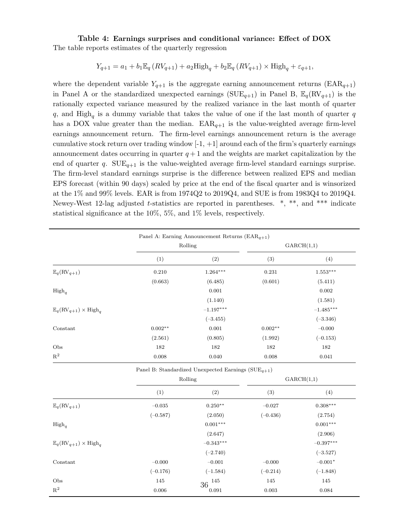### <span id="page-36-0"></span>**Table 4: Earnings surprises and conditional variance: Effect of DOX** The table reports estimates of the quarterly regression

$$
Y_{q+1} = a_1 + b_1 \mathbb{E}_q (RV_{q+1}) + a_2 \text{High}_q + b_2 \mathbb{E}_q (RV_{q+1}) \times \text{High}_q + \varepsilon_{q+1},
$$

where the dependent variable  $Y_{q+1}$  is the aggregate earning announcement returns (EAR<sub>q+1</sub>) in Panel A or the standardized unexpected earnings ( $SUE_{q+1}$ ) in Panel B,  $\mathbb{E}_q(RV_{q+1})$  is the rationally expected variance measured by the realized variance in the last month of quarter *q*, and High*<sup>q</sup>* is a dummy variable that takes the value of one if the last month of quarter *q* has a DOX value greater than the median.  $EAR_{q+1}$  is the value-weighted average firm-level earnings announcement return. The firm-level earnings announcement return is the average cumulative stock return over trading window  $[-1, +1]$  around each of the firm's quarterly earnings announcement dates occurring in quarter  $q+1$  and the weights are market capitalization by the end of quarter *q*.  $\text{SUE}_{q+1}$  is the value-weighted average firm-level standard earnings surprise. The firm-level standard earnings surprise is the difference between realized EPS and median EPS forecast (within 90 days) scaled by price at the end of the fiscal quarter and is winsorized at the 1% and 99% levels. EAR is from 1974Q2 to 2019Q4, and SUE is from 1983Q4 to 2019Q4. Newey-West 12-lag adjusted *t*-statistics are reported in parentheses. \*, \*\*, and \*\*\* indicate statistical significance at the 10%, 5%, and 1% levels, respectively.

|                                                          |           | Rolling     |           | GARCH(1,1)             |  |
|----------------------------------------------------------|-----------|-------------|-----------|------------------------|--|
|                                                          | (1)       | (2)         | (3)       | (4)                    |  |
| $\mathbb{E}_q(\mathrm{RV}_{q+1})$                        | 0.210     | $1.264***$  | 0.231     | $1.553^{\ast\ast\ast}$ |  |
|                                                          | (0.663)   | (6.485)     | (0.601)   | (5.411)                |  |
| $High_q$                                                 |           | 0.001       |           | 0.002                  |  |
|                                                          |           | (1.140)     |           | (1.581)                |  |
| $\mathbb{E}_q(\mathrm{RV}_{q+1}) \times \mathrm{High}_q$ |           | $-1.197***$ |           | $-1.485***$            |  |
|                                                          |           | $(-3.455)$  |           | $(-3.346)$             |  |
| Constant                                                 | $0.002**$ | 0.001       | $0.002**$ | $-0.000$               |  |
|                                                          | (2.561)   | (0.805)     | (1.992)   | $(-0.153)$             |  |
| Obs                                                      | 182       | 182         | 182       | 182                    |  |
| $\mathbf{R}^2$                                           | 0.008     | 0.040       | 0.008     | 0.041                  |  |

|                                                          |            | Rolling     |            | GARCH(1,1)  |
|----------------------------------------------------------|------------|-------------|------------|-------------|
|                                                          | (1)        | (2)         | (3)        | (4)         |
| $\mathbb{E}_q(\mathrm{RV}_{q+1})$                        | $-0.035$   | $0.250**$   | $-0.027$   | $0.308***$  |
|                                                          | $(-0.587)$ | (2.050)     | $(-0.436)$ | (2.754)     |
| $High_q$                                                 |            | $0.001***$  |            | $0.001***$  |
|                                                          |            | (2.647)     |            | (2.906)     |
| $\mathbb{E}_q(\mathrm{RV}_{q+1}) \times \mathrm{High}_q$ |            | $-0.343***$ |            | $-0.397***$ |
|                                                          |            | $(-2.740)$  |            | $(-3.527)$  |
| Constant                                                 | $-0.000$   | $-0.001$    | $-0.000$   | $-0.001*$   |
|                                                          | $(-0.176)$ | $(-1.584)$  | $(-0.214)$ | $(-1.848)$  |
| Obs                                                      | 145        | 145<br>36   | 145        | 145         |
| $\mathbb{R}^2$                                           | 0.006      | 0.091       | 0.003      | 0.084       |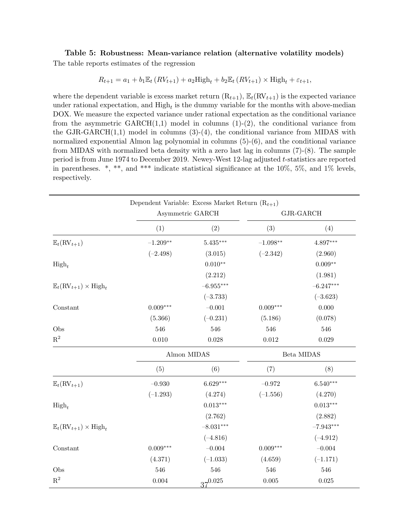## <span id="page-37-0"></span>**Table 5: Robustness: Mean-variance relation (alternative volatility models)** The table reports estimates of the regression

$$
R_{t+1} = a_1 + b_1 \mathbb{E}_t (RV_{t+1}) + a_2 \text{High}_t + b_2 \mathbb{E}_t (RV_{t+1}) \times \text{High}_t + \varepsilon_{t+1},
$$

where the dependent variable is excess market return  $(R_{t+1}), E_t(RV_{t+1})$  is the expected variance under rational expectation, and  $\text{High}_t$  is the dummy variable for the months with above-median DOX. We measure the expected variance under rational expectation as the conditional variance from the asymmetric  $GARCH(1,1)$  model in columns  $(1)-(2)$ , the conditional variance from the GJR-GARCH $(1,1)$  model in columns  $(3)-(4)$ , the conditional variance from MIDAS with normalized exponential Almon lag polynomial in columns  $(5)-(6)$ , and the conditional variance from MIDAS with normalized beta density with a zero last lag in columns (7)-(8). The sample period is from June 1974 to December 2019. Newey-West 12-lag adjusted *t*-statistics are reported in parentheses.  $*, **$ , and  $***$  indicate statistical significance at the 10%, 5%, and 1% levels, respectively.

|                                                          | Dependent Variable: Excess Market Return $(R_{t+1})$ |                  |            |             |
|----------------------------------------------------------|------------------------------------------------------|------------------|------------|-------------|
|                                                          |                                                      | Asymmetric GARCH |            | GJR-GARCH   |
|                                                          | (1)                                                  | (2)              | (3)        | (4)         |
| $\mathbb{E}_{t}(\mathrm{RV}_{t+1})$                      | $-1.209**$                                           | $5.435***$       | $-1.098**$ | 4.897***    |
|                                                          | $(-2.498)$                                           | (3.015)          | $(-2.342)$ | (2.960)     |
| $\mathrm{High}_t$                                        |                                                      | $0.010**$        |            | $0.009**$   |
|                                                          |                                                      | (2.212)          |            | (1.981)     |
| $\mathbb{E}_t(\mathrm{RV}_{t+1}) \times \mathrm{High}_t$ |                                                      | $-6.955***$      |            | $-6.247***$ |
|                                                          |                                                      | $(-3.733)$       |            | $(-3.623)$  |
| Constant                                                 | $0.009***$                                           | $-0.001$         | $0.009***$ | 0.000       |
|                                                          | (5.366)                                              | $(-0.231)$       | (5.186)    | (0.078)     |
| Obs                                                      | 546                                                  | 546              | 546        | 546         |
| $\mathbf{R}^2$                                           | 0.010                                                | $0.028\,$        | $0.012\,$  | 0.029       |
|                                                          |                                                      | Almon MIDAS      |            | Beta MIDAS  |
|                                                          | (5)                                                  | (6)              | (7)        | (8)         |
| $\mathbb{E}_t(\mathrm{RV}_{t+1})$                        | $-0.930$                                             | $6.629***$       | $-0.972$   | $6.540***$  |
|                                                          | $(-1.293)$                                           | (4.274)          | $(-1.556)$ | (4.270)     |
| $\mathrm{High}_t$                                        |                                                      | $0.013***$       |            | $0.013***$  |
|                                                          |                                                      | (2.762)          |            | (2.882)     |
| $\mathbb{E}_t(\mathrm{RV}_{t+1}) \times \mathrm{High}_t$ |                                                      | $-8.031***$      |            | $-7.943***$ |
|                                                          |                                                      | $(-4.816)$       |            | $(-4.912)$  |
| Constant                                                 | $0.009***$                                           | $-0.004$         | $0.009***$ | $-0.004$    |
|                                                          | (4.371)                                              | $(-1.033)$       | (4.659)    | $(-1.171)$  |
| Obs                                                      | 546                                                  | 546              | 546        | 546         |
| $\mathbf{R}^2$                                           | $\,0.004\,$                                          | $37^{0.025}$     | $0.005\,$  | 0.025       |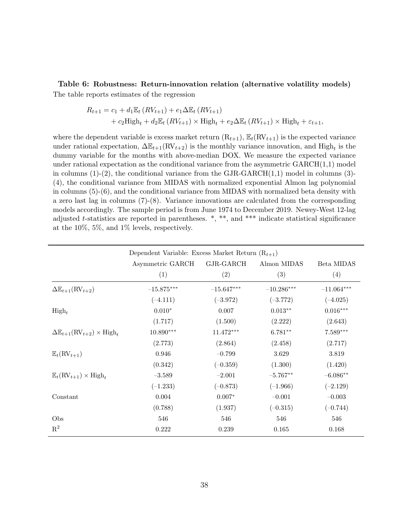<span id="page-38-0"></span>**Table 6: Robustness: Return-innovation relation (alternative volatility models)** The table reports estimates of the regression

$$
R_{t+1} = c_1 + d_1 \mathbb{E}_t (RV_{t+1}) + e_1 \Delta \mathbb{E}_t (RV_{t+1})
$$
  
+ 
$$
c_2 \text{High}_t + d_2 \mathbb{E}_t (RV_{t+1}) \times \text{High}_t + e_2 \Delta \mathbb{E}_t (RV_{t+1}) \times \text{High}_t + \varepsilon_{t+1},
$$

where the dependent variable is excess market return  $(R_{t+1}), E_t(RV_{t+1})$  is the expected variance under rational expectation,  $\Delta \mathbb{E}_{t+1}(\text{RV}_{t+2})$  is the monthly variance innovation, and  $\text{High}_t$  is the dummy variable for the months with above-median DOX. We measure the expected variance under rational expectation as the conditional variance from the asymmetric  $GARCH(1,1)$  model in columns  $(1)-(2)$ , the conditional variance from the GJR-GARCH $(1,1)$  model in columns  $(3)$ -(4), the conditional variance from MIDAS with normalized exponential Almon lag polynomial in columns (5)-(6), and the conditional variance from MIDAS with normalized beta density with a zero last lag in columns  $(7)-(8)$ . Variance innovations are calculated from the corresponding models accordingly. The sample period is from June 1974 to December 2019. Newey-West 12-lag adjusted *t*-statistics are reported in parentheses. \*, \*\*, and \*\*\* indicate statistical significance at the 10%, 5%, and 1% levels, respectively.

|                                                                 | Dependent Variable: Excess Market Return $(R_{t+1})$ |              |              |              |
|-----------------------------------------------------------------|------------------------------------------------------|--------------|--------------|--------------|
|                                                                 | Asymmetric GARCH                                     | GJR-GARCH    | Almon MIDAS  | Beta MIDAS   |
|                                                                 | (1)                                                  | (2)          | (3)          | (4)          |
| $\Delta \mathbb{E}_{t+1}(\text{RV}_{t+2})$                      | $-15.875***$                                         | $-15.647***$ | $-10.286***$ | $-11.064***$ |
|                                                                 | $(-4.111)$                                           | $(-3.972)$   | $(-3.772)$   | $(-4.025)$   |
| $High_t$                                                        | $0.010*$                                             | 0.007        | $0.013**$    | $0.016***$   |
|                                                                 | (1.717)                                              | (1.500)      | (2.222)      | (2.643)      |
| $\Delta \mathbb{E}_{t+1}(\text{RV}_{t+2}) \times \text{High}_t$ | $10.890***$                                          | 11.472***    | $6.781**$    | $7.589***$   |
|                                                                 | (2.773)                                              | (2.864)      | (2.458)      | (2.717)      |
| $\mathbb{E}_t(\mathrm{RV}_{t+1})$                               | 0.946                                                | $-0.799$     | 3.629        | 3.819        |
|                                                                 | (0.342)                                              | $(-0.359)$   | (1.300)      | (1.420)      |
| $\mathbb{E}_t(\mathrm{RV}_{t+1}) \times \mathrm{High}_t$        | $-3.589$                                             | $-2.001$     | $-5.767**$   | $-6.086**$   |
|                                                                 | $(-1.233)$                                           | $(-0.873)$   | $(-1.966)$   | $(-2.129)$   |
| Constant                                                        | 0.004                                                | $0.007*$     | $-0.001$     | $-0.003$     |
|                                                                 | (0.788)                                              | (1.937)      | $(-0.315)$   | $(-0.744)$   |
| Obs                                                             | 546                                                  | 546          | 546          | 546          |
| $R^2$                                                           | 0.222                                                | 0.239        | 0.165        | 0.168        |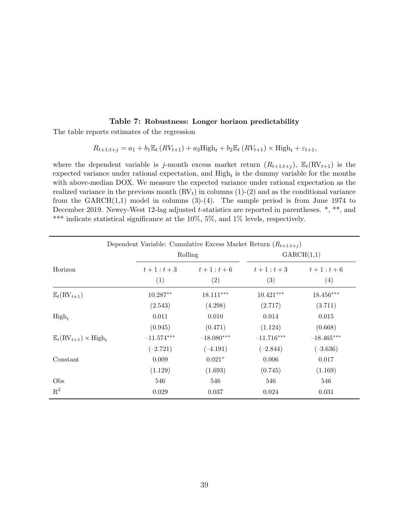### **Table 7: Robustness: Longer horizon predictability**

<span id="page-39-0"></span>The table reports estimates of the regression

 $R_{t+1:t+j} = a_1 + b_1 \mathbb{E}_t (RV_{t+1}) + a_2 \text{High}_t + b_2 \mathbb{E}_t (RV_{t+1}) \times \text{High}_t + \varepsilon_{t+1},$ 

where the dependent variable is *j*-month excess market return  $(R_{t+1:t+j}), \mathbb{E}_t(RV_{t+1})$  is the expected variance under rational expectation, and High*<sup>t</sup>* is the dummy variable for the months with above-median DOX. We measure the expected variance under rational expectation as the realized variance in the previous month  $\left(\text{RV}_t\right)$  in columns  $(1)-(2)$  and as the conditional variance from the  $GARCH(1,1)$  model in columns  $(3)-(4)$ . The sample period is from June 1974 to December 2019. Newey-West 12-lag adjusted *t*-statistics are reported in parentheses. \*, \*\*, and \*\*\* indicate statistical significance at the 10%, 5%, and 1% levels, respectively.

| Dependent Variable: Cumulative Excess Market Return $(R_{t+1:t+j})$ |              |                       |              |              |  |
|---------------------------------------------------------------------|--------------|-----------------------|--------------|--------------|--|
|                                                                     |              | GARCH(1,1)<br>Rolling |              |              |  |
| Horizon                                                             | $t+1:t+3$    | $t+1:t+6$             | $t+1:t+3$    | $t+1 : t+6$  |  |
|                                                                     | (1)          | (2)                   | (3)          | (4)          |  |
| $\mathbb{E}_t(\mathrm{RV}_{t+1})$                                   | $10.287**$   | $18.111***$           | $10.421***$  | $18.456***$  |  |
|                                                                     | (2.543)      | (4.298)               | (2.717)      | (3.711)      |  |
| $High_t$                                                            | 0.011        | 0.010                 | 0.014        | 0.015        |  |
|                                                                     | (0.945)      | (0.471)               | (1.124)      | (0.668)      |  |
| $\mathbb{E}_t(\mathrm{RV}_{t+1}) \times \mathrm{High}_t$            | $-11.574***$ | $-18.080***$          | $-11.716***$ | $-18.465***$ |  |
|                                                                     | $(-2.721)$   | $(-4.191)$            | $(-2.844)$   | $(-3.636)$   |  |
| Constant                                                            | 0.009        | $0.021*$              | 0.006        | 0.017        |  |
|                                                                     | (1.129)      | (1.693)               | (0.745)      | (1.169)      |  |
| Obs                                                                 | 546          | 546                   | 546          | 546          |  |
| $R^2$                                                               | 0.029        | 0.037                 | 0.024        | 0.031        |  |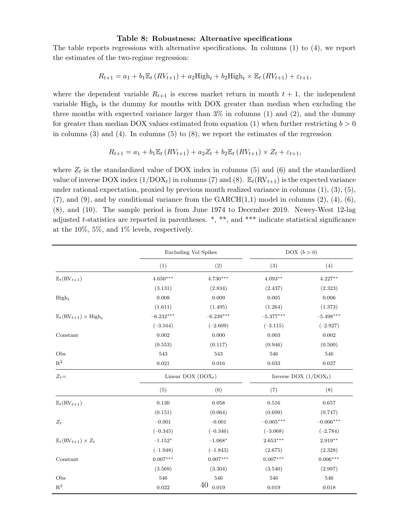#### **Table 8: Robustness: Alternative specifications**

<span id="page-40-0"></span>The table reports regressions with alternative specifications. In columns (1) to (4), we report the estimates of the two-regime regression:

$$
R_{t+1} = a_1 + b_1 \mathbb{E}_t (RV_{t+1}) + a_2 \text{High}_t + b_2 \text{High}_t \times \mathbb{E}_t (RV_{t+1}) + \varepsilon_{t+1},
$$

where the dependent variable  $R_{t+1}$  is excess market return in month  $t+1$ , the independent variable High*<sup>t</sup>* is the dummy for months with DOX greater than median when excluding the three months with expected variance larger than  $3\%$  in columns (1) and (2), and the dummy for greater than median DOX values estimated from equation  $(1)$  $(1)$  $(1)$  when further restricting  $b > 0$ in columns  $(3)$  and  $(4)$ . In columns  $(5)$  to  $(8)$ , we report the estimates of the regression

$$
R_{t+1} = a_1 + b_1 \mathbb{E}_t (RV_{t+1}) + a_2 Z_t + b_2 \mathbb{E}_t (RV_{t+1}) \times Z_t + \varepsilon_{t+1},
$$

where  $Z_t$  is the standardized value of DOX index in columns  $(5)$  and  $(6)$  and the standardized value of inverse DOX index  $(1/DOX_t)$  in columns (7) and (8).  $\mathbb{E}_t(RV_{t+1})$  is the expected variance under rational expectation, proxied by previous month realized variance in columns  $(1), (3), (5)$ ,  $(7)$ , and  $(9)$ , and by conditional variance from the GARCH $(1,1)$  model in columns  $(2)$ ,  $(4)$ ,  $(6)$ , (8), and (10). The sample period is from June 1974 to December 2019. Newey-West 12-lag adjusted *t*-statistics are reported in parentheses. \*, \*\*, and \*\*\* indicate statistical significance at the 10%, 5%, and 1% levels, respectively.

|                                                          |             | <b>Excluding Vol Spikes</b> |                         | DOX $(b > 0)$ |
|----------------------------------------------------------|-------------|-----------------------------|-------------------------|---------------|
|                                                          | (1)         | (2)                         | (3)                     | (4)           |
| $\mathbb{E}_t(\mathrm{RV}_{t+1})$                        | $4.650***$  | $4.730***$                  | $4.093**$               | $4.227**$     |
|                                                          | (3.131)     | (2.834)                     | (2.437)                 | (2.323)       |
| $High_t$                                                 | 0.008       | 0.009                       | 0.005                   | 0.006         |
|                                                          | (1.611)     | (1.495)                     | (1.264)                 | (1.373)       |
| $\mathbb{E}_t(\mathrm{RV}_{t+1}) \times \mathrm{High}_t$ | $-6.232***$ | $-6.239***$                 | $-5.377***$             | $-5.498***$   |
|                                                          | $(-3.164)$  | $(-2.609)$                  | $(-3.115)$              | $(-2.927)$    |
| Constant                                                 | 0.002       | 0.000                       | 0.003                   | 0.002         |
|                                                          | (0.553)     | (0.117)                     | (0.946)                 | (0.500)       |
| Obs                                                      | 543         | 543                         | 546                     | 546           |
| $\mathbf{R}^2$                                           | 0.021       | 0.016                       | 0.033                   | 0.027         |
| $Z_t =$                                                  |             | Linear DOX $(DOX_t)$        | Inverse DOX $(1/DOX_t)$ |               |
|                                                          | (5)         | (6)                         | (7)                     | (8)           |
| $\mathbb{E}_t(\mathrm{RV}_{t+1})$                        | 0.130       | 0.058                       | 0.516                   | 0.657         |
|                                                          | (0.151)     | (0.064)                     | (0.699)                 | (0.747)       |
| $Z_t$                                                    | $-0.001$    | $-0.001$                    | $-0.005***$             | $-0.006***$   |
|                                                          | $(-0.345)$  | $(-0.346)$                  | $(-3.068)$              | $(-2.784)$    |
| $\mathbb{E}_t(\mathrm{RV}_{t+1})\times Z_t$              | $-1.152*$   | $-1.068*$                   | $2.653***$              | $2.919**$     |
|                                                          | $(-1.948)$  | $(-1.843)$                  | (2.675)                 | (2.328)       |
| Constant                                                 | $0.007***$  | $0.007***$                  | $0.007***$              | $0.006***$    |
|                                                          | (3.569)     | (3.304)                     | (3.540)                 | (2.997)       |
| Obs                                                      | 546         | 546                         | 546                     | 546           |
| $\mathbf{R}^2$                                           | $\,0.022\,$ | 40<br>0.019                 | 0.019                   | 0.018         |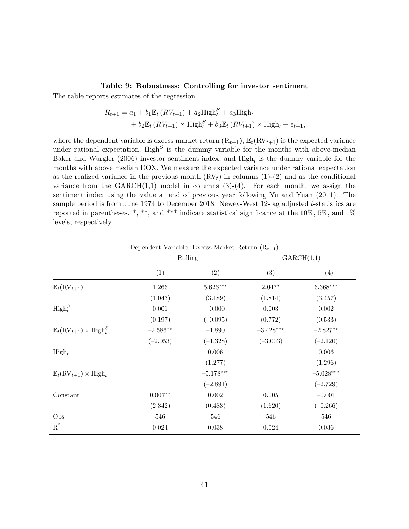### **Table 9: Robustness: Controlling for investor sentiment**

<span id="page-41-0"></span>The table reports estimates of the regression

$$
R_{t+1} = a_1 + b_1 \mathbb{E}_t (RV_{t+1}) + a_2 \text{High}_t^S + a_3 \text{High}_t
$$
  
+ 
$$
b_2 \mathbb{E}_t (RV_{t+1}) \times \text{High}_t^S + b_3 \mathbb{E}_t (RV_{t+1}) \times \text{High}_t + \varepsilon_{t+1},
$$

where the dependent variable is excess market return  $(R_{t+1}), \mathbb{E}_t(RV_{t+1})$  is the expected variance under rational expectation, High*<sup>S</sup>* is the dummy variable for the months with above-median [Baker and Wurgler](#page-27-12) ([2006\)](#page-27-12) investor sentiment index, and High*<sup>t</sup>* is the dummy variable for the months with above median DOX. We measure the expected variance under rational expectation as the realized variance in the previous month  $\rm (RV_t)$  in columns  $(1)-(2)$  and as the conditional variance from the  $GARCH(1,1)$  model in columns  $(3)-(4)$ . For each month, we assign the sentiment index using the value at end of previous year following [Yu and Yuan](#page-30-8) [\(2011](#page-30-8)). The sample period is from June 1974 to December 2018. Newey-West 12-lag adjusted *t*-statistics are reported in parentheses. \*, \*\*, and \*\*\* indicate statistical significance at the  $10\%$ , 5%, and  $1\%$ levels, respectively.

|                                                            | Dependent Variable: Excess Market Return $(R_{t+1})$ |             |             |             |
|------------------------------------------------------------|------------------------------------------------------|-------------|-------------|-------------|
|                                                            |                                                      | Rolling     |             | GARCH(1,1)  |
|                                                            | (1)                                                  | (2)         | (3)         | (4)         |
| $\mathbb{E}_t(\mathrm{RV}_{t+1})$                          | 1.266                                                | $5.626***$  | $2.047*$    | $6.368***$  |
|                                                            | (1.043)                                              | (3.189)     | (1.814)     | (3.457)     |
| $\mathrm{High}_{t}^{S}$                                    | 0.001                                                | $-0.000$    | 0.003       | 0.002       |
|                                                            | (0.197)                                              | $(-0.095)$  | (0.772)     | (0.533)     |
| $\mathbb{E}_t(\mathrm{RV}_{t+1}) \times \mathrm{High}_t^S$ | $-2.586**$                                           | $-1.890$    | $-3.428***$ | $-2.827**$  |
|                                                            | $(-2.053)$                                           | $(-1.328)$  | $(-3.003)$  | $(-2.120)$  |
| $\mathrm{High}_t$                                          |                                                      | 0.006       |             | 0.006       |
|                                                            |                                                      | (1.277)     |             | (1.296)     |
| $\mathbb{E}_t(\mathrm{RV}_{t+1}) \times \mathrm{High}_t$   |                                                      | $-5.178***$ |             | $-5.028***$ |
|                                                            |                                                      | $(-2.891)$  |             | $(-2.729)$  |
| Constant                                                   | $0.007**$                                            | 0.002       | 0.005       | $-0.001$    |
|                                                            | (2.342)                                              | (0.483)     | (1.620)     | $(-0.266)$  |
| Obs                                                        | 546                                                  | 546         | 546         | 546         |
| $R^2$                                                      | 0.024                                                | 0.038       | 0.024       | 0.036       |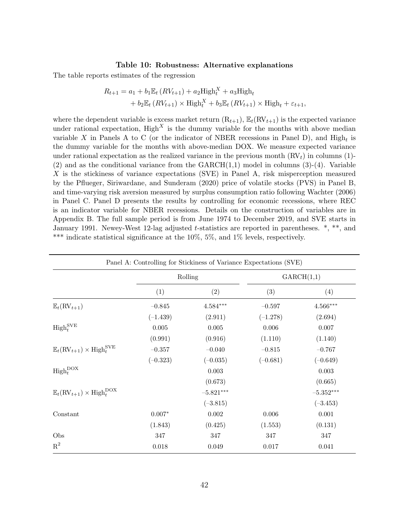### **Table 10: Robustness: Alternative explanations**

<span id="page-42-0"></span>The table reports estimates of the regression

$$
R_{t+1} = a_1 + b_1 \mathbb{E}_t (RV_{t+1}) + a_2 \text{High}_t^X + a_3 \text{High}_t
$$
  
+ 
$$
b_2 \mathbb{E}_t (RV_{t+1}) \times \text{High}_t^X + b_3 \mathbb{E}_t (RV_{t+1}) \times \text{High}_t + \varepsilon_{t+1},
$$

where the dependent variable is excess market return  $(R_{t+1}), E_t(RV_{t+1})$  is the expected variance under rational expectation,  $\text{High}^X$  is the dummy variable for the months with above median variable *X* in Panels A to C (or the indicator of NBER recessions in Panel D), and  $\text{High}_t$  is the dummy variable for the months with above-median DOX. We measure expected variance under rational expectation as the realized variance in the previous month (RV*t*) in columns (1)-  $(2)$  and as the conditional variance from the GARCH $(1,1)$  model in columns  $(3)-(4)$ . Variable *X* is the stickiness of variance expectations (SVE) in Panel A, risk misperception measured by the [Pflueger, Siriwardane, and Sunderam](#page-30-14) ([2020\)](#page-30-14) price of volatile stocks (PVS) in Panel B, and time-varying risk aversion measured by surplus consumption ratio following [Wachter](#page-30-16) ([2006\)](#page-30-16) in Panel C. Panel D presents the results by controlling for economic recessions, where REC is an indicator variable for NBER recessions. Details on the construction of variables are in Appendix [B.](#page-58-0) The full sample period is from June 1974 to December 2019, and SVE starts in January 1991. Newey-West 12-lag adjusted *t*-statistics are reported in parentheses. \*, \*\*, and \*\*\* indicate statistical significance at the 10%, 5%, and 1% levels, respectively.

| Panel A: Controlling for Stickiness of Variance Expectations (SVE)        |            |             |            |                        |
|---------------------------------------------------------------------------|------------|-------------|------------|------------------------|
|                                                                           | Rolling    |             | GARCH(1,1) |                        |
|                                                                           | (1)        | (2)         | (3)        | (4)                    |
| $\mathbb{E}_t(\mathrm{RV}_{t+1})$                                         | $-0.845$   | $4.584***$  | $-0.597$   | $4.566^{\ast\ast\ast}$ |
|                                                                           | $(-1.439)$ | (2.911)     | $(-1.278)$ | (2.694)                |
| $\operatorname{High}_{t}^{\text{SVE}}$                                    | 0.005      | 0.005       | 0.006      | 0.007                  |
|                                                                           | (0.991)    | (0.916)     | (1.110)    | (1.140)                |
| $\mathbb{E}_t(\mathrm{RV}_{t+1}) \times \mathrm{High}^{\mathrm{SVE}}_t$   | $-0.357$   | $-0.040$    | $-0.815$   | $-0.767$               |
|                                                                           | $(-0.323)$ | $(-0.035)$  | $(-0.681)$ | $(-0.649)$             |
| $\operatorname{High}_{t}^{\text{DOX}}$                                    |            | 0.003       |            | 0.003                  |
|                                                                           |            | (0.673)     |            | (0.665)                |
| $\mathbb{E}_t(\mathrm{RV}_{t+1}) \times \mathrm{High}_{t}^{\mathrm{DOX}}$ |            | $-5.821***$ |            | $-5.352***$            |
|                                                                           |            | $(-3.815)$  |            | $(-3.453)$             |
| Constant                                                                  | $0.007*$   | 0.002       | 0.006      | $0.001\,$              |
|                                                                           | (1.843)    | (0.425)     | (1.553)    | (0.131)                |
| Obs                                                                       | 347        | 347         | 347        | 347                    |
| $\mathbf{R}^2$                                                            | $0.018\,$  | 0.049       | 0.017      | 0.041                  |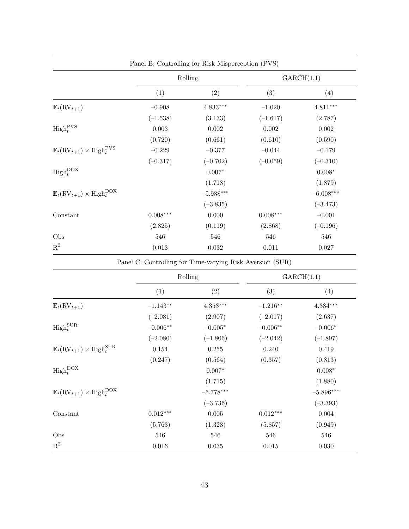|                                                                           | Panel B: Controlling for Risk Misperception (PVS) |                                                           |            |                        |  |
|---------------------------------------------------------------------------|---------------------------------------------------|-----------------------------------------------------------|------------|------------------------|--|
|                                                                           | Rolling                                           |                                                           | GARCH(1,1) |                        |  |
|                                                                           | (1)                                               | (2)                                                       | (3)        | (4)                    |  |
| $\mathbb{E}_t(\mathrm{RV}_{t+1})$                                         | $-0.908$                                          | $4.833***$                                                | $-1.020$   | $4.811^{\ast\ast\ast}$ |  |
|                                                                           | $(-1.538)$                                        | (3.133)                                                   | $(-1.617)$ | (2.787)                |  |
| $\operatorname{High}^{\operatorname{PVS}}_t$                              | 0.003                                             | 0.002                                                     | 0.002      | 0.002                  |  |
|                                                                           | (0.720)                                           | (0.661)                                                   | (0.610)    | (0.590)                |  |
| $\mathbb{E}_t(\mathrm{RV}_{t+1}) \times \mathrm{High}_t^{\mathrm{PVS}}$   | $-0.229$                                          | $-0.377$                                                  | $-0.044$   | $-0.179$               |  |
|                                                                           | $(-0.317)$                                        | $(-0.702)$                                                | $(-0.059)$ | $(-0.310)$             |  |
| $\operatorname{High}_{t}^{\text{DOX}}$                                    |                                                   | $0.007*$                                                  |            | $0.008*$               |  |
|                                                                           |                                                   | (1.718)                                                   |            | (1.879)                |  |
| $\mathbb{E}_t(\mathrm{RV}_{t+1}) \times \mathrm{High}_{t}^{\mathrm{DOX}}$ |                                                   | $-5.938***$                                               |            | $-6.008***$            |  |
|                                                                           |                                                   | $(-3.835)$                                                |            | $(-3.473)$             |  |
| Constant                                                                  | $0.008***$                                        | 0.000                                                     | $0.008***$ | $-0.001$               |  |
|                                                                           | (2.825)                                           | (0.119)                                                   | (2.868)    | $(-0.196)$             |  |
| Obs                                                                       | 546                                               | 546                                                       | 546        | 546                    |  |
| $R^2$                                                                     | $\,0.013\,$                                       | 0.032                                                     | $0.011\,$  | $0.027\,$              |  |
|                                                                           |                                                   | Panel C: Controlling for Time-varying Risk Aversion (SUR) |            |                        |  |
|                                                                           |                                                   | Rolling                                                   |            | GARCH(1,1)             |  |
|                                                                           |                                                   |                                                           |            |                        |  |

|                                                                         |            | Rolling     | GARCH(1,1)  |                        |  |
|-------------------------------------------------------------------------|------------|-------------|-------------|------------------------|--|
|                                                                         | (1)        | (2)         | (3)         | (4)                    |  |
| $\mathbb{E}_t(\mathrm{RV}_{t+1})$                                       | $-1.143**$ | $4.353***$  | $-1.216**$  | $4.384^{\ast\ast\ast}$ |  |
|                                                                         | $(-2.081)$ | (2.907)     | $(-2.017)$  | (2.637)                |  |
| $\operatorname{High}^{\operatorname{SUR}}_t$                            | $-0.006**$ | $-0.005*$   | $-0.006**$  | $-0.006*$              |  |
|                                                                         | $(-2.080)$ | $(-1.806)$  | $(-2.042)$  | $(-1.897)$             |  |
| $\mathbb{E}_t(\mathrm{RV}_{t+1}) \times \mathrm{High}^{\mathrm{SUR}}_t$ | 0.154      | 0.255       | 0.240       | 0.419                  |  |
|                                                                         | (0.247)    | (0.564)     | (0.357)     | (0.813)                |  |
| $\operatorname{High}_{t}^{\text{DOX}}$                                  |            | $0.007*$    |             | $0.008*$               |  |
|                                                                         |            | (1.715)     |             | (1.880)                |  |
| $\mathbb{E}_t(\mathrm{RV}_{t+1}) \times \mathrm{High}_t^{\mathrm{DOX}}$ |            | $-5.778***$ |             | $-5.896***$            |  |
|                                                                         |            | $(-3.736)$  |             | $(-3.393)$             |  |
| Constant                                                                | $0.012***$ | $0.005\,$   | $0.012***$  | $\,0.004\,$            |  |
|                                                                         | (5.763)    | (1.323)     | (5.857)     | (0.949)                |  |
| Obs                                                                     | 546        | 546         | 546         | 546                    |  |
| $\mathbf{R}^2$                                                          | $0.016\,$  | $0.035\,$   | $\,0.015\,$ | $0.030\,$              |  |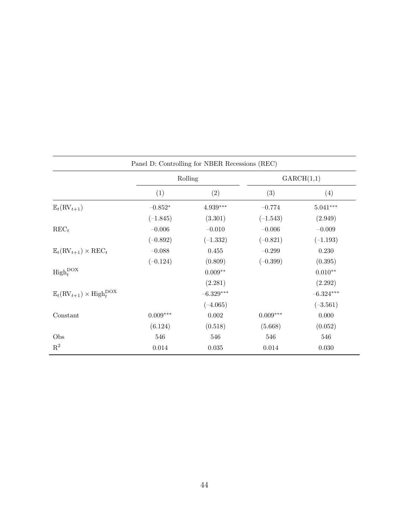| Panel D: Controlling for NBER Recessions (REC)                            |            |                        |            |             |  |  |  |  |
|---------------------------------------------------------------------------|------------|------------------------|------------|-------------|--|--|--|--|
|                                                                           |            | Rolling                | GARCH(1,1) |             |  |  |  |  |
|                                                                           | (1)        | (2)                    | (3)        | (4)         |  |  |  |  |
| $\mathbb{E}_t(\mathrm{RV}_{t+1})$                                         | $-0.852*$  | $4.939^{\ast\ast\ast}$ | $-0.774$   | $5.041***$  |  |  |  |  |
|                                                                           | $(-1.845)$ | (3.301)                | $(-1.543)$ | (2.949)     |  |  |  |  |
| $\text{REC}_t$                                                            | $-0.006$   | $-0.010$               | $-0.006$   | $-0.009$    |  |  |  |  |
|                                                                           | $(-0.892)$ | $(-1.332)$             | $(-0.821)$ | $(-1.193)$  |  |  |  |  |
| $\mathbb{E}_t(\mathrm{RV}_{t+1}) \times \mathrm{REC}_t$                   | $-0.088$   | 0.455                  | $-0.299$   | 0.230       |  |  |  |  |
|                                                                           | $(-0.124)$ | (0.809)                | $(-0.399)$ | (0.395)     |  |  |  |  |
| $\operatorname{High}_{t}^{\text{DOX}}$                                    |            | $0.009**$              |            | $0.010**$   |  |  |  |  |
|                                                                           |            | (2.281)                |            | (2.292)     |  |  |  |  |
| $\mathbb{E}_t(\mathrm{RV}_{t+1}) \times \mathrm{High}_{t}^{\mathrm{DOX}}$ |            | $-6.329***$            |            | $-6.324***$ |  |  |  |  |
|                                                                           |            | $(-4.065)$             |            | $(-3.561)$  |  |  |  |  |
| Constant                                                                  | $0.009***$ | 0.002                  | $0.009***$ | 0.000       |  |  |  |  |
|                                                                           | (6.124)    | (0.518)                | (5.668)    | (0.052)     |  |  |  |  |
| Obs                                                                       | 546        | 546                    | 546        | 546         |  |  |  |  |
| $\mathbf{R}^2$                                                            | $0.014\,$  | 0.035                  | 0.014      | 0.030       |  |  |  |  |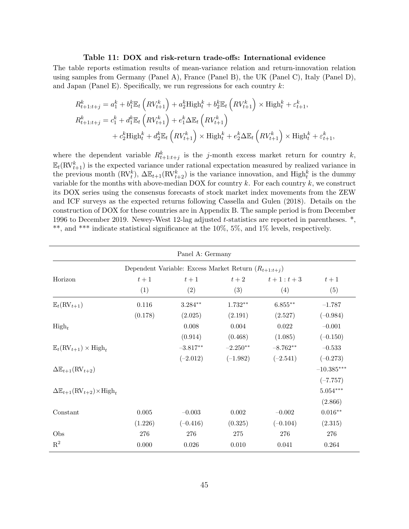#### **Table 11: DOX and risk-return trade-offs: International evidence**

<span id="page-45-0"></span>The table reports estimation results of mean-variance relation and return-innovation relation using samples from Germany (Panel A), France (Panel B), the UK (Panel C), Italy (Panel D), and Japan (Panel E). Specifically, we run regressions for each country *k*:

$$
R_{t+1:t+j}^{k} = a_{1}^{k} + b_{1}^{k} \mathbb{E}_{t} \left( RV_{t+1}^{k} \right) + a_{2}^{k} \text{High}_{t}^{k} + b_{2}^{k} \mathbb{E}_{t} \left( RV_{t+1}^{k} \right) \times \text{High}_{t}^{k} + \varepsilon_{t+1}^{k},
$$
  

$$
R_{t+1:t+j}^{k} = c_{1}^{k} + d_{1}^{k} \mathbb{E}_{t} \left( RV_{t+1}^{k} \right) + e_{1}^{k} \Delta \mathbb{E}_{t} \left( RV_{t+1}^{k} \right)
$$
  

$$
+ c_{2}^{k} \text{High}_{t}^{k} + d_{2}^{k} \mathbb{E}_{t} \left( RV_{t+1}^{k} \right) \times \text{High}_{t}^{k} + e_{2}^{k} \Delta \mathbb{E}_{t} \left( RV_{t+1}^{k} \right) \times \text{High}_{t}^{k} + \varepsilon_{t+1}^{k},
$$

where the dependent variable  $R_{t+1:t+j}^k$  is the *j*-month excess market return for country *k*,  $\mathbb{E}_{t}(\text{RV}_{t+1}^{k})$  is the expected variance under rational expectation measured by realized variance in the previous month  $(RV_t^k)$ ,  $\Delta \mathbb{E}_{t+1}(RV_{t+2}^k)$  is the variance innovation, and High<sub>t</sub><sup>k</sup> is the dummy variable for the months with above-median DOX for country *k*. For each country *k*, we construct its DOX series using the consensus forecasts of stock market index movements from the ZEW and ICF surveys as the expected returns following [Cassella and Gulen](#page-28-0) ([2018\)](#page-28-0). Details on the construction of DOX for these countries are in Appendix [B.](#page-58-0) The sample period is from December 1996 to December 2019. Newey-West 12-lag adjusted *t*-statistics are reported in parentheses. \*, \*\*, and \*\*\* indicate statistical significance at the 10%, 5%, and 1% levels, respectively.

|                                                                     |                                                          | Panel A: Germany |            |             |              |  |  |  |  |
|---------------------------------------------------------------------|----------------------------------------------------------|------------------|------------|-------------|--------------|--|--|--|--|
|                                                                     | Dependent Variable: Excess Market Return $(R_{t+1:t+j})$ |                  |            |             |              |  |  |  |  |
| Horizon                                                             | $t+1$                                                    | $t+1$            | $t+2$      | $t+1 : t+3$ | $t+1$        |  |  |  |  |
|                                                                     | (1)                                                      | (2)              | (3)        | (4)         | (5)          |  |  |  |  |
| $\mathbb{E}_t(\mathrm{RV}_{t+1})$                                   | 0.116                                                    | $3.284**$        | $1.732**$  | $6.855**$   | $-1.787$     |  |  |  |  |
|                                                                     | (0.178)                                                  | (2.025)          | (2.191)    | (2.527)     | $(-0.984)$   |  |  |  |  |
| $High_t$                                                            |                                                          | 0.008            | 0.004      | 0.022       | $-0.001$     |  |  |  |  |
|                                                                     |                                                          | (0.914)          | (0.468)    | (1.085)     | $(-0.150)$   |  |  |  |  |
| $\mathbb{E}_t(\mathrm{RV}_{t+1}) \times \mathrm{High}_t$            |                                                          | $-3.817**$       | $-2.250**$ | $-8.762**$  | $-0.533$     |  |  |  |  |
|                                                                     |                                                          | $(-2.012)$       | $(-1.982)$ | $(-2.541)$  | $(-0.273)$   |  |  |  |  |
| $\Delta \mathbb{E}_{t+1}(\text{RV}_{t+2})$                          |                                                          |                  |            |             | $-10.385***$ |  |  |  |  |
|                                                                     |                                                          |                  |            |             | $(-7.757)$   |  |  |  |  |
| $\Delta \mathbb{E}_{t+1}(\mathrm{RV}_{t+2}) \times \mathrm{High}_t$ |                                                          |                  |            |             | $5.054***$   |  |  |  |  |
|                                                                     |                                                          |                  |            |             | (2.866)      |  |  |  |  |
| Constant                                                            | 0.005                                                    | $-0.003$         | 0.002      | $-0.002$    | $0.016**$    |  |  |  |  |
|                                                                     | (1.226)                                                  | $(-0.416)$       | (0.325)    | $(-0.104)$  | (2.315)      |  |  |  |  |
| Obs                                                                 | 276                                                      | 276              | 275        | 276         | 276          |  |  |  |  |
| $R^2$                                                               | 0.000                                                    | $0.026\,$        | 0.010      | 0.041       | 0.264        |  |  |  |  |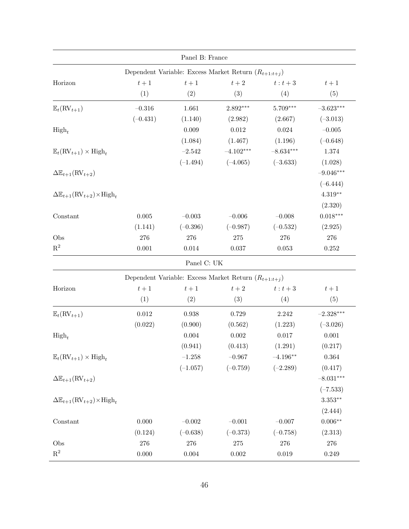|                                                                     |             | Panel B: France |                                                          |             |                        |  |  |  |  |
|---------------------------------------------------------------------|-------------|-----------------|----------------------------------------------------------|-------------|------------------------|--|--|--|--|
| Dependent Variable: Excess Market Return $(R_{t+1:t+j})$            |             |                 |                                                          |             |                        |  |  |  |  |
| Horizon                                                             | $t+1$       | $t+1$           | $t+2$                                                    | $t:t+3$     | $t+1$                  |  |  |  |  |
|                                                                     | (1)         | (2)             | (3)                                                      | (4)         | (5)                    |  |  |  |  |
| $\mathbb{E}_{t}(\text{RV}_{t+1})$                                   | $-0.316$    | 1.661           | $2.892***$                                               | 5.709***    | $-3.623***$            |  |  |  |  |
|                                                                     | $(-0.431)$  | (1.140)         | (2.982)                                                  | (2.667)     | $(-3.013)$             |  |  |  |  |
| $\mathrm{High}_t$                                                   |             | 0.009           | $0.012\,$                                                | 0.024       | $-0.005$               |  |  |  |  |
|                                                                     |             | (1.084)         | (1.467)                                                  | (1.196)     | $(-0.648)$             |  |  |  |  |
| $\mathbb{E}_t(\mathrm{RV}_{t+1}) \times \mathrm{High}_t$            |             | $-2.542$        | $-4.102***$                                              | $-8.634***$ | 1.374                  |  |  |  |  |
|                                                                     |             | $(-1.494)$      | $(-4.065)$                                               | $(-3.633)$  | (1.028)                |  |  |  |  |
| $\Delta \mathbb{E}_{t+1}(\text{RV}_{t+2})$                          |             |                 |                                                          |             | $-9.046***$            |  |  |  |  |
|                                                                     |             |                 |                                                          |             | $(-6.444)$             |  |  |  |  |
| $\Delta \mathbb{E}_{t+1}(\mathrm{RV}_{t+2}) \times \mathrm{High}_t$ |             |                 |                                                          |             | $4.319**$              |  |  |  |  |
|                                                                     |             |                 |                                                          |             | (2.320)                |  |  |  |  |
| Constant                                                            | $0.005\,$   | $-0.003\,$      | $-0.006$                                                 | $-0.008$    | $0.018^{\ast\ast\ast}$ |  |  |  |  |
|                                                                     | (1.141)     | $(-0.396)$      | $(-0.987)$                                               | $(-0.532)$  | (2.925)                |  |  |  |  |
| Obs                                                                 | 276         | 276             | $275\,$                                                  | 276         | 276                    |  |  |  |  |
| $\mathbf{R}^2$                                                      | $0.001\,$   | $0.014\,$       | 0.037                                                    | 0.053       | 0.252                  |  |  |  |  |
|                                                                     |             | Panel C: UK     |                                                          |             |                        |  |  |  |  |
|                                                                     |             |                 | Dependent Variable: Excess Market Return $(R_{t+1:t+j})$ |             |                        |  |  |  |  |
| Horizon                                                             | $t+1$       | $t+1$           | $t+2\,$                                                  | $t:t+3$     | $t+1$                  |  |  |  |  |
|                                                                     | (1)         | (2)             | (3)                                                      | (4)         | (5)                    |  |  |  |  |
| $\mathbb{E}_t(\mathrm{RV}_{t+1})$                                   | $\,0.012\,$ | $\,0.938\,$     | 0.729                                                    | 2.242       | $-2.328***$            |  |  |  |  |
|                                                                     | (0.022)     | (0.900)         | (0.562)                                                  | (1.223)     | $(-3.026)$             |  |  |  |  |
| $\mathrm{High}_t$                                                   |             | $0.004\,$       | $0.002\,$                                                | 0.017       | 0.001                  |  |  |  |  |
|                                                                     |             | (0.941)         | (0.413)                                                  | (1.291)     | (0.217)                |  |  |  |  |
| $\mathbb{E}_t(\mathrm{RV}_{t+1}) \times \mathrm{High}_t$            |             | $-1.258$        | $-0.967$                                                 | $-4.196**$  | $\,0.364\,$            |  |  |  |  |
|                                                                     |             | $(-1.057)$      | $(-0.759)$                                               | $(-2.289)$  | (0.417)                |  |  |  |  |
| $\Delta \mathbb{E}_{t+1}(\text{RV}_{t+2})$                          |             |                 |                                                          |             | $-8.031***$            |  |  |  |  |
|                                                                     |             |                 |                                                          |             | $(-7.533)$             |  |  |  |  |
| $\Delta \mathbb{E}_{t+1}(\mathrm{RV}_{t+2}) \times \mathrm{High}_t$ |             |                 |                                                          |             | $3.353**$              |  |  |  |  |
|                                                                     |             |                 |                                                          |             | (2.444)                |  |  |  |  |
| Constant                                                            | $0.000\,$   | $-0.002\,$      | $-0.001$                                                 | $-0.007$    | $0.006**$              |  |  |  |  |
|                                                                     | (0.124)     | $(-0.638)$      | $(-0.373)$                                               | $(-0.758)$  | (2.313)                |  |  |  |  |
| Obs                                                                 | 276         | $276\,$         | $275\,$                                                  | 276         | 276                    |  |  |  |  |
| $\mathbf{R}^2$                                                      | 0.000       | $0.004\,$       | $0.002\,$                                                | 0.019       | 0.249                  |  |  |  |  |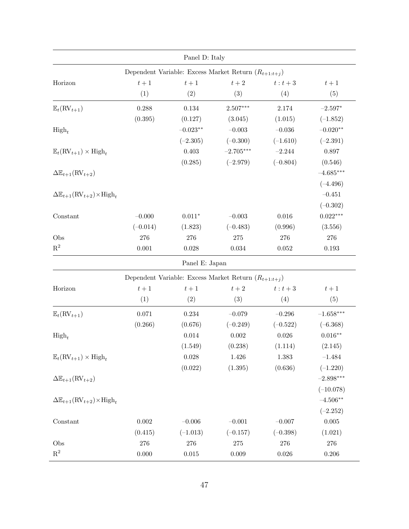|                                                                 |            | Panel D: Italy |                                                          |            |                    |
|-----------------------------------------------------------------|------------|----------------|----------------------------------------------------------|------------|--------------------|
|                                                                 |            |                | Dependent Variable: Excess Market Return $(R_{t+1:t+j})$ |            |                    |
| Horizon                                                         | $t+1$      | $t+1$          | $t+2\,$                                                  | $t:t+3$    | $t+1$              |
|                                                                 | (1)        | (2)            | (3)                                                      | (4)        | (5)                |
| $\mathbb{E}_t(\mathrm{RV}_{t+1})$                               | 0.288      | $0.134\,$      | $2.507***$                                               | 2.174      | $-2.597*$          |
|                                                                 | (0.395)    | (0.127)        | (3.045)                                                  | (1.015)    | $(-1.852)$         |
| $\mathrm{High}_t$                                               |            | $-0.023**$     | $-0.003$                                                 | $-0.036$   | $-0.020**$         |
|                                                                 |            | $(-2.305)$     | $(-0.300)$                                               | $(-1.610)$ | $(-2.391)$         |
| $\mathbb{E}_t(\mathrm{RV}_{t+1}) \times \mathrm{High}_t$        |            | $0.403\,$      | $-2.705***$                                              | $-2.244$   | 0.897              |
|                                                                 |            | (0.285)        | $(-2.979)$                                               | $(-0.804)$ | (0.546)            |
| $\Delta \mathbb{E}_{t+1}(\text{RV}_{t+2})$                      |            |                |                                                          |            | $-4.685***$        |
|                                                                 |            |                |                                                          |            | $(-4.496)$         |
| $\Delta \mathbb{E}_{t+1}(\text{RV}_{t+2}) \times \text{High}_t$ |            |                |                                                          |            | $-0.451$           |
|                                                                 |            |                |                                                          |            | $(-0.302)$         |
| Constant                                                        | $-0.000$   | $0.011*$       | $-0.003$                                                 | 0.016      | $0.022***$         |
|                                                                 | $(-0.014)$ | (1.823)        | $(-0.483)$                                               | (0.996)    | (3.556)            |
| Obs                                                             | 276        | $276\,$        | $275\,$                                                  | $276\,$    | 276                |
| $\mathbf{R}^2$                                                  | 0.001      | 0.028          | $\,0.034\,$                                              | $0.052\,$  | $0.193\,$          |
|                                                                 |            | Panel E: Japan |                                                          |            |                    |
|                                                                 |            |                | Dependent Variable: Excess Market Return $(R_{t+1:t+j})$ |            |                    |
| Horizon                                                         | $t+1$      | $t+1\,$        | $t+2$                                                    | $t:t+3$    | $t+1$              |
|                                                                 | (1)        | (2)            | (3)                                                      | (4)        | (5)                |
| $\mathbb{E}_t(\mathrm{RV}_{t+1})$                               | 0.071      | $0.234\,$      | $-0.079$                                                 | $-0.296$   | $-1.658***$        |
|                                                                 | (0.266)    | (0.676)        | $(-0.249)$                                               | $(-0.522)$ | $(-6.368)$         |
| $\mathrm{High}_t$                                               |            | $0.014\,$      | 0.002                                                    | 0.026      | $0.016^{\ast\ast}$ |
|                                                                 |            | (1.549)        | (0.238)                                                  | (1.114)    | (2.145)            |
| $\mathbb{E}_t(\mathrm{RV}_{t+1}) \times \mathrm{High}_t$        |            | $0.028\,$      | 1.426                                                    | $1.383\,$  | $-1.484$           |
|                                                                 |            | (0.022)        | (1.395)                                                  | (0.636)    | $(-1.220)$         |
| $\Delta \mathbb{E}_{t+1}(\text{RV}_{t+2})$                      |            |                |                                                          |            | $-2.898***$        |
|                                                                 |            |                |                                                          |            | $(-10.078)$        |
| $\Delta \mathbb{E}_{t+1}(\text{RV}_{t+2}) \times \text{High}_t$ |            |                |                                                          |            | $-4.506**$         |
|                                                                 |            |                |                                                          |            | $(-2.252)$         |
| Constant                                                        | $0.002\,$  | $-0.006\,$     | $-0.001$                                                 | $-0.007$   | $0.005\,$          |
|                                                                 | (0.415)    | $(-1.013)$     | $(-0.157)$                                               | $(-0.398)$ | (1.021)            |
| Obs                                                             | 276        | 276            | $275\,$                                                  | 276        | 276                |
| $\mathbf{R}^2$                                                  | $0.000\,$  | $0.015\,$      | 0.009                                                    | 0.026      | 0.206              |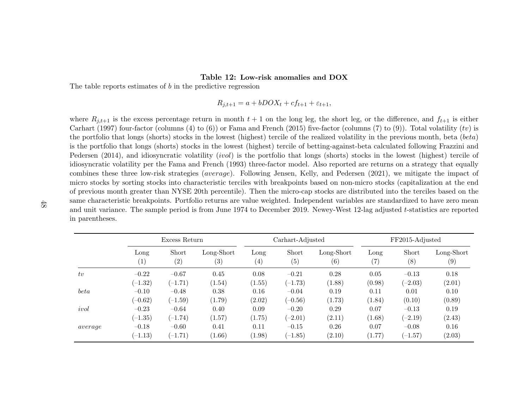### **Table 12: Low-risk anomalies and DOX**

The table reports estimates of *b* in the predictive regression

$$
R_{j,t+1} = a + bDOX_t + cf_{t+1} + \varepsilon_{t+1},
$$

where  $R_{j,t+1}$  is the excess percentage return in month  $t+1$  on the long leg, the short leg, or the difference, and  $f_{t+1}$  is either [Carhart](#page-28-18) ([1997](#page-28-18)) four-factor (columns (4) to (6)) or Fama and [French](#page-28-19) ([2015](#page-28-19)) five-factor (columns (7) to (9)). Total volatility (*tv*) is the portfolio that longs (shorts) stocks in the lowest (highest) tercile of the realized volatility in the previous month, beta (*beta*) is the portfolio that longs (shorts) stocks in the lowest (highest) tercile of betting-against-beta calculated following [Frazzini](#page-28-20) and [Pedersen](#page-28-20) ([2014](#page-28-20)), and idiosyncratic volatility (*ivol*) is the portfolio that longs (shorts) stocks in the lowest (highest) tercile of idiosyncratic volatility per the Fama and [French](#page-28-21) ([1993](#page-28-21)) three-factor model. Also reported are returns on <sup>a</sup> strategy that equally combines these three low-risk strategies (*average*). Following Jensen, Kelly, and [Pedersen](#page-29-16) ([2021](#page-29-16)), we mitigate the impact of micro stocks by sorting stocks into characteristic terciles with breakpoints based on non-micro stocks (capitalization at the end of previous month greater than NYSE 20th percentile). Then the micro-cap stocks are distributed into the terciles based on the same characteristic breakpoints. Portfolio returns are value weighted. Independent variables are standardized to have zero mean and unit variance. The sample period is from June 1974 to December 2019. Newey-West 12-lag adjusted *<sup>t</sup>*-statistics are reported in parentheses.

<span id="page-48-0"></span>

|         |                  | Excess Return     |                   |                   | Carhart-Adjusted  |            |                   | FF2015-Adjusted  |                   |  |
|---------|------------------|-------------------|-------------------|-------------------|-------------------|------------|-------------------|------------------|-------------------|--|
|         | Long             | Short             | Long-Short        | Long              | Short             | Long-Short | Long              | Short            | Long-Short        |  |
|         | $\left(1\right)$ | $\left( 2\right)$ | $\left( 3\right)$ | $\left( 4\right)$ | $\left( 5\right)$ | (6)        | $\left( 7\right)$ | $\left(8\right)$ | $\left( 9\right)$ |  |
| tv      | $-0.22$          | $-0.67$           | 0.45              | 0.08              | $-0.21$           | 0.28       | 0.05              | $-0.13$          | 0.18              |  |
|         | $(-1.32)$        | $(-1.71)$         | (1.54)            | (1.55)            | $(-1.73)$         | (1.88)     | (0.98)            | $(-2.03)$        | (2.01)            |  |
| beta    | $-0.10$          | $-0.48$           | 0.38              | 0.16              | $-0.04$           | 0.19       | 0.11              | 0.01             | 0.10              |  |
|         | $(-0.62)$        | $(-1.59)$         | (1.79)            | (2.02)            | $(-0.56)$         | (1.73)     | (1.84)            | (0.10)           | (0.89)            |  |
| ivol    | $-0.23$          | $-0.64$           | 0.40              | 0.09              | $-0.20$           | 0.29       | 0.07              | $-0.13$          | 0.19              |  |
|         | $(-1.35)$        | $(-1.74)$         | (1.57)            | (1.75)            | $(-2.01)$         | (2.11)     | (1.68)            | $(-2.19)$        | (2.43)            |  |
| average | $-0.18$          | $-0.60$           | 0.41              | 0.11              | $-0.15$           | 0.26       | 0.07              | $-0.08$          | 0.16              |  |
|         | $(-1.13)$        | $(-1.71)$         | (1.66)            | (1.98)            | $(-1.85)$         | (2.10)     | (1.77)            | $(-1.57)$        | (2.03)            |  |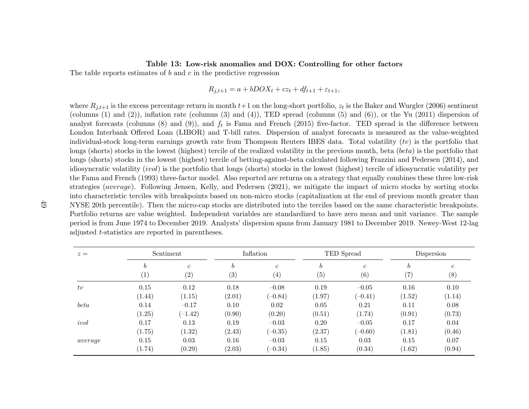### **Table 13: Low-risk anomalies and DOX: Controlling for other factors**

The table reports estimates of *b* and *<sup>c</sup>* in the predictive regression

# $R_{j,t+1} = a + bDOX_t + cz_t + df_{t+1} + \varepsilon_{t+1},$

where  $R_{j,t+1}$  is the excess percentage return in month  $t+1$  on the long-short portfolio,  $z_t$  is the Baker and [Wurgler](#page-27-19) ([2006](#page-27-19)) sentiment (columns (1) and (2)), inflation rate (columns (3) and (4)), TED spread (columns (5) and (6)), or the [Yu](#page-30-20) ([2011](#page-30-20)) dispersion of analyst forecasts (columns  $(8)$  and  $(9)$ ), and  $f_t$  is Fama and [French](#page-28-19) ([2015](#page-28-19)) five-factor. TED spread is the difference between London Interbank Offered Loan (LIBOR) and T-bill rates. Dispersion of analyst forecasts is measured as the value-weighted individual-stock long-term earnings growth rate from Thompson Reuters IBES data. Total volatility (*tv*) is the portfolio that longs (shorts) stocks in the lowest (highest) tercile of the realized volatility in the previous month, beta (*beta*) is the portfolio thatlongs (shorts) stocks in the lowest (highest) tercile of betting-against-beta calculated following Frazzini and [Pedersen](#page-28-20) ([2014](#page-28-20)), and idiosyncratic volatility (*ivol*) is the portfolio that longs (shorts) stocks in the lowest (highest) tercile of idiosyncratic volatility perthe Fama and [French](#page-28-21) ([1993](#page-28-21)) three-factor model. Also reported are returns on <sup>a</sup> strategy that equally combines these three low-risk strategies (*average*). Following [Jensen,](#page-29-16) Kelly, and Pedersen ([2021](#page-29-16)), we mitigate the impact of micro stocks by sorting stocks into characteristic terciles with breakpoints based on non-micro stocks (capitalization at the end of previous month greater than NYSE 20th percentile). Then the micro-cap stocks are distributed into the terciles based on the same characteristic breakpoints.Portfolio returns are value weighted. Independent variables are standardized to have zero mean and unit variance. The sample period is from June 1974 to December 2019. Analysts' dispersion spans from January 1981 to December 2019. Newey-West 12-lagadjusted *<sup>t</sup>*-statistics are reported in parentheses.

<span id="page-49-0"></span>

| $z =$   |                   | Sentiment      | Inflation |                |        | TED Spread       |        | Dispersion     |  |
|---------|-------------------|----------------|-----------|----------------|--------|------------------|--------|----------------|--|
|         | b                 | $\mathfrak{c}$ | b         | $\mathfrak{c}$ | b      | $\boldsymbol{c}$ | b      | $\mathfrak{c}$ |  |
|         | $\left( 1\right)$ | (2)            | (3)       | (4)            | (5)    | (6)              | (7)    | (8)            |  |
| tv      | 0.15              | 0.12           | 0.18      | $-0.08$        | 0.19   | $-0.05$          | 0.16   | 0.10           |  |
|         | (1.44)            | (1.15)         | (2.01)    | $(-0.84)$      | (1.97) | $(-0.41)$        | (1.52) | (1.14)         |  |
| beta    | 0.14              | $-0.17$        | 0.10      | 0.02           | 0.05   | 0.21             | 0.11   | 0.08           |  |
|         | (1.25)            | $(-1.42)$      | (0.90)    | (0.20)         | (0.51) | (1.74)           | (0.91) | (0.73)         |  |
| ivol    | 0.17              | 0.13           | 0.19      | $-0.03$        | 0.20   | $-0.05$          | 0.17   | 0.04           |  |
|         | (1.75)            | (1.32)         | (2.43)    | $(-0.35)$      | (2.37) | $(-0.60)$        | (1.81) | (0.46)         |  |
| average | 0.15              | 0.03           | 0.16      | $-0.03$        | 0.15   | 0.03             | 0.15   | 0.07           |  |
|         | (1.74)            | (0.29)         | (2.03)    | $(-0.34)$      | (1.85) | (0.34)           | (1.62) | (0.94)         |  |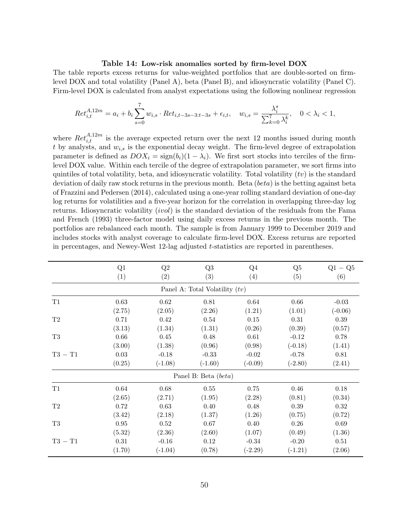#### **Table 14: Low-risk anomalies sorted by firm-level DOX**

<span id="page-50-0"></span>The table reports excess returns for value-weighted portfolios that are double-sorted on firmlevel DOX and total volatility (Panel A), beta (Panel B), and idiosyncratic volatility (Panel C). Firm-level DOX is calculated from analyst expectations using the following nonlinear regression

$$
Ret_{i,t}^{A,12m} = a_i + b_i \sum_{s=0}^{7} w_{i,s} \cdot Ret_{i,t-3s-3:t-3s} + \epsilon_{i,t}, \quad w_{i,s} = \frac{\lambda_i^s}{\sum_{k=0}^{7} \lambda_i^k}, \quad 0 < \lambda_i < 1,
$$

where  $Ret_{i,t}^{A,12m}$  is the average expected return over the next 12 months issued during month *t* by analysts, and *wi,s* is the exponential decay weight. The firm-level degree of extrapolation parameter is defined as  $DOX_i = sign(b_i)(1 - \lambda_i)$ . We first sort stocks into terciles of the firmlevel DOX value. Within each tercile of the degree of extrapolation parameter, we sort firms into quintiles of total volatility, beta, and idiosyncratic volatility. Total volatility (*tv*) is the standard deviation of daily raw stock returns in the previous month. Beta (*beta*) is the betting against beta of [Frazzini and Pedersen](#page-28-2) [\(2014](#page-28-2)), calculated using a one-year rolling standard deviation of one-day log returns for volatilities and a five-year horizon for the correlation in overlapping three-day log returns. Idiosyncratic volatility (*ivol*) is the standard deviation of the residuals from the [Fama](#page-28-11) [and French](#page-28-11) [\(1993\)](#page-28-11) three-factor model using daily excess returns in the previous month. The portfolios are rebalanced each month. The sample is from January 1999 to December 2019 and includes stocks with analyst coverage to calculate firm-level DOX. Excess returns are reported in percentages, and Newey-West 12-lag adjusted *t*-statistics are reported in parentheses.

|           | Q1         | Q2        | Q3                               | Q <sub>4</sub> | Q5        | $Q1 - Q5$ |
|-----------|------------|-----------|----------------------------------|----------------|-----------|-----------|
|           | (1)        | (2)       | (3)                              | (4)            | (5)       | (6)       |
|           |            |           | Panel A: Total Volatility $(tv)$ |                |           |           |
| T1        | $0.63\,$   | $0.62\,$  | $0.81\,$                         | $0.64\,$       | $0.66\,$  | $-0.03$   |
|           | (2.75)     | (2.05)    | (2.26)                           | (1.21)         | (1.01)    | $(-0.06)$ |
| T2        | 0.71       | 0.42      | 0.54                             | 0.15           | 0.31      | 0.39      |
|           | (3.13)     | (1.34)    | (1.31)                           | (0.26)         | (0.39)    | (0.57)    |
| T3        | $0.66\,$   | 0.45      | 0.48                             | 0.61           | $-0.12$   | 0.78      |
|           | (3.00)     | (1.38)    | (0.96)                           | (0.98)         | $(-0.18)$ | (1.41)    |
| $T3 - T1$ | $0.03\,$   | $-0.18$   | $-0.33$                          | $-0.02$        | $-0.78$   | $0.81\,$  |
|           | (0.25)     | $(-1.08)$ | $(-1.60)$                        | $(-0.09)$      | $(-2.80)$ | (2.41)    |
|           |            |           | Panel B: Beta (beta)             |                |           |           |
| T1        | 0.64       | 0.68      | 0.55                             | 0.75           | 0.46      | 0.18      |
|           | (2.65)     | (2.71)    | (1.95)                           | (2.28)         | (0.81)    | (0.34)    |
| T2        | 0.72       | 0.63      | 0.40                             | 0.48           | $0.39\,$  | 0.32      |
|           | (3.42)     | (2.18)    | (1.37)                           | (1.26)         | (0.75)    | (0.72)    |
| T3        | $\rm 0.95$ | 0.52      | 0.67                             | 0.40           | 0.26      | 0.69      |
|           | (5.32)     | (2.36)    | (2.60)                           | (1.07)         | (0.49)    | (1.36)    |
| $T3 - T1$ | 0.31       | $-0.16$   | 0.12                             | $-0.34$        | $-0.20$   | 0.51      |
|           | (1.70)     | $(-1.04)$ | (0.78)                           | $(-2.29)$      | $(-1.21)$ | (2.06)    |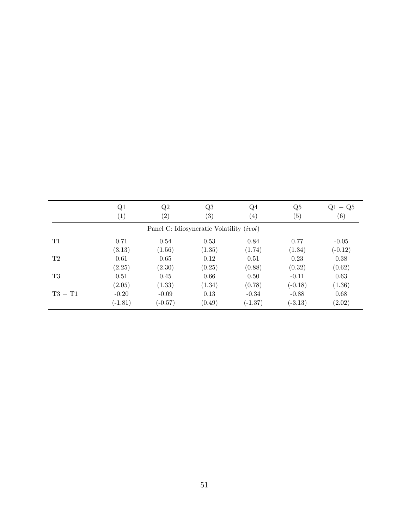|           | Q1               | Q2                | Q3                                              | $Q_4$             | Q5        | $Q1 - Q5$ |
|-----------|------------------|-------------------|-------------------------------------------------|-------------------|-----------|-----------|
|           | $\left(1\right)$ | $\left( 2\right)$ | $\left( 3\right)$                               | $\left( 4\right)$ | (5)       | (6)       |
|           |                  |                   | Panel C: Idiosyncratic Volatility <i>(ivol)</i> |                   |           |           |
| T1        | 0.71             | 0.54              | 0.53                                            | 0.84              | 0.77      | $-0.05$   |
|           | (3.13)           | (1.56)            | (1.35)                                          | (1.74)            | (1.34)    | $(-0.12)$ |
| T2        | 0.61             | 0.65              | 0.12                                            | 0.51              | 0.23      | 0.38      |
|           | (2.25)           | (2.30)            | (0.25)                                          | (0.88)            | (0.32)    | (0.62)    |
| T3        | 0.51             | 0.45              | 0.66                                            | 0.50              | $-0.11$   | 0.63      |
|           | (2.05)           | (1.33)            | (1.34)                                          | (0.78)            | $(-0.18)$ | (1.36)    |
| $T3 - T1$ | $-0.20$          | $-0.09$           | 0.13                                            | $-0.34$           | $-0.88$   | 0.68      |
|           | $(-1.81)$        | $(-0.57)$         | (0.49)                                          | $(-1.37)$         | $(-3.13)$ | (2.02)    |
|           |                  |                   |                                                 |                   |           |           |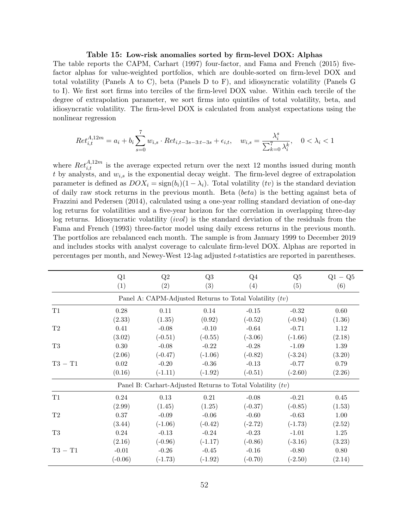### **Table 15: Low-risk anomalies sorted by firm-level DOX: Alphas**

<span id="page-52-0"></span>The table reports the CAPM, [Carhart](#page-28-15) ([1997\)](#page-28-15) four-factor, and [Fama and French](#page-28-16) [\(2015\)](#page-28-16) fivefactor alphas for value-weighted portfolios, which are double-sorted on firm-level DOX and total volatility (Panels A to C), beta (Panels D to F), and idiosyncratic volatility (Panels G to I). We first sort firms into terciles of the firm-level DOX value. Within each tercile of the degree of extrapolation parameter, we sort firms into quintiles of total volatility, beta, and idiosyncratic volatility. The firm-level DOX is calculated from analyst expectations using the nonlinear regression

$$
Ret_{i,t}^{A,12m} = a_i + b_i \sum_{s=0}^{7} w_{i,s} \cdot Ret_{i,t-3s-3:t-3s} + \epsilon_{i,t}, \quad w_{i,s} = \frac{\lambda_i^s}{\sum_{k=0}^{7} \lambda_i^k}, \quad 0 < \lambda_i < 1
$$

where  $Ret_{i,t}^{A,12m}$  is the average expected return over the next 12 months issued during month *t* by analysts, and *wi,s* is the exponential decay weight. The firm-level degree of extrapolation parameter is defined as  $DOX_i = sign(b_i)(1 - \lambda_i)$ . Total volatility (*tv*) is the standard deviation of daily raw stock returns in the previous month. Beta (*beta*) is the betting against beta of [Frazzini and Pedersen](#page-28-2) ([2014\)](#page-28-2), calculated using a one-year rolling standard deviation of one-day log returns for volatilities and a five-year horizon for the correlation in overlapping three-day log returns. Idiosyncratic volatility (*ivol*) is the standard deviation of the residuals from the [Fama and French](#page-28-11) ([1993\)](#page-28-11) three-factor model using daily excess returns in the previous month. The portfolios are rebalanced each month. The sample is from January 1999 to December 2019 and includes stocks with analyst coverage to calculate firm-level DOX. Alphas are reported in percentages per month, and Newey-West 12-lag adjusted *t*-statistics are reported in parentheses.

|                | Q1         | Q2        | Q3        | $Q_4$                                                        | Q5        | $Q1 - Q5$ |
|----------------|------------|-----------|-----------|--------------------------------------------------------------|-----------|-----------|
|                | (1)        | (2)       | (3)       | (4)                                                          | (5)       | (6)       |
|                |            |           |           | Panel A: CAPM-Adjusted Returns to Total Volatility $(tv)$    |           |           |
| T1             | 0.28       | 0.11      | 0.14      | $-0.15$                                                      | $-0.32$   | 0.60      |
|                | (2.33)     | (1.35)    | (0.92)    | $(-0.52)$                                                    | $(-0.94)$ | (1.36)    |
| T2             | 0.41       | $-0.08$   | $-0.10$   | $-0.64$                                                      | $-0.71$   | 1.12      |
|                | (3.02)     | $(-0.51)$ | $(-0.55)$ | $(-3.06)$                                                    | $(-1.66)$ | (2.18)    |
| T <sub>3</sub> | $0.30\,$   | $-0.08$   | $-0.22$   | $-0.28$                                                      | $-1.09$   | 1.39      |
|                | (2.06)     | $(-0.47)$ | $(-1.06)$ | $(-0.82)$                                                    | $(-3.24)$ | (3.20)    |
| $T3 - T1$      | $\rm 0.02$ | $-0.20$   | $-0.36$   | $-0.13$                                                      | $-0.77$   | 0.79      |
|                | (0.16)     | $(-1.11)$ | $(-1.92)$ | $(-0.51)$                                                    | $(-2.60)$ | (2.26)    |
|                |            |           |           | Panel B: Carhart-Adjusted Returns to Total Volatility $(tv)$ |           |           |
| T1             | 0.24       | 0.13      | 0.21      | $-0.08$                                                      | $-0.21$   | 0.45      |
|                | (2.99)     | (1.45)    | (1.25)    | $(-0.37)$                                                    | $(-0.85)$ | (1.53)    |
| T2             | 0.37       | $-0.09$   | $-0.06$   | $-0.60$                                                      | $-0.63$   | 1.00      |
|                | (3.44)     | $(-1.06)$ | $(-0.42)$ | $(-2.72)$                                                    | $(-1.73)$ | (2.52)    |
| T3             | 0.24       | $-0.13$   | $-0.24$   | $-0.23$                                                      | $-1.01$   | 1.25      |
|                | (2.16)     | $(-0.96)$ | $(-1.17)$ | $(-0.86)$                                                    | $(-3.16)$ | (3.23)    |
| $T3 - T1$      | $-0.01$    | $-0.26$   | $-0.45$   | $-0.16$                                                      | $-0.80$   | 0.80      |
|                | $(-0.06)$  | $(-1.73)$ | $(-1.92)$ | $(-0.70)$                                                    | $(-2.50)$ | (2.14)    |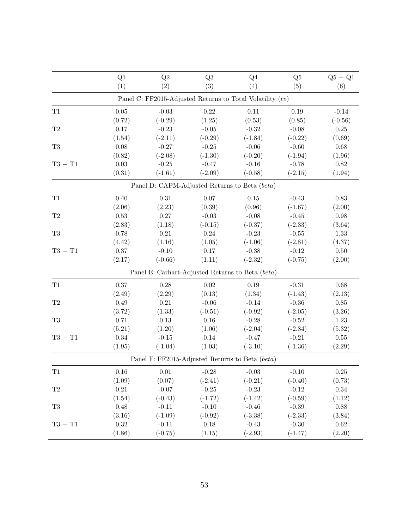|                | Q1       | Q2                                                          | Q <sub>3</sub> | Q4        | Q <sub>5</sub> | $Q5 - Q1$  |
|----------------|----------|-------------------------------------------------------------|----------------|-----------|----------------|------------|
|                | (1)      | (2)                                                         | (3)            | (4)       | (5)            | (6)        |
|                |          | Panel C: FF2015-Adjusted Returns to Total Volatility $(tv)$ |                |           |                |            |
| T1             | 0.05     | $-0.03$                                                     | 0.22           | 0.11      | $0.19\,$       | $-0.14$    |
|                | (0.72)   | $(-0.29)$                                                   | (1.25)         | (0.53)    | (0.85)         | $(-0.56)$  |
| $\mathrm{T}2$  | $0.17\,$ | $-0.23$                                                     | $-0.05$        | $-0.32$   | $-0.08$        | $0.25\,$   |
|                | (1.54)   | $(-2.11)$                                                   | $(-0.29)$      | $(-1.84)$ | $(-0.22)$      | (0.69)     |
| T <sub>3</sub> | $0.08\,$ | $-0.27$                                                     | $-0.25$        | $-0.06$   | $-0.60$        | $0.68\,$   |
|                | (0.82)   | $(-2.08)$                                                   | $(-1.30)$      | $(-0.20)$ | $(-1.94)$      | (1.96)     |
| $T3 - T1$      | $0.03\,$ | $-0.25$                                                     | $-0.47$        | $-0.16$   | $-0.78$        | $0.82\,$   |
|                | (0.31)   | $(-1.61)$                                                   | $(-2.09)$      | $(-0.58)$ | $(-2.15)$      | (1.94)     |
|                |          | Panel D: CAPM-Adjusted Returns to Beta (beta)               |                |           |                |            |
| T1             | 0.40     | $\rm 0.31$                                                  | 0.07           | $0.15\,$  | $-0.43$        | 0.83       |
|                | (2.06)   | (2.23)                                                      | (0.39)         | (0.96)    | $(-1.67)$      | (2.00)     |
| $\mathrm{T}2$  | 0.53     | $0.27\,$                                                    | $-0.03$        | $-0.08$   | $-0.45$        | $0.98\,$   |
|                | (2.83)   | (1.18)                                                      | $(-0.15)$      | $(-0.37)$ | $(-2.33)$      | (3.64)     |
| $\rm{T}3$      | 0.78     | $\rm 0.21$                                                  | $0.24\,$       | $-0.23$   | $-0.55$        | $1.33\,$   |
|                | (4.42)   | (1.16)                                                      | (1.05)         | $(-1.06)$ | $(-2.81)$      | (4.37)     |
| $T3 - T1$      | 0.37     | $-0.10$                                                     | 0.17           | $-0.38$   | $-0.12$        | 0.50       |
|                | (2.17)   | $(-0.66)$                                                   | (1.11)         | $(-2.32)$ | $(-0.75)$      | (2.00)     |
|                |          | Panel E: Carhart-Adjusted Returns to Beta (beta)            |                |           |                |            |
| T1             | 0.37     | 0.28                                                        | 0.02           | 0.19      | $-0.31$        | $0.68\,$   |
|                | (2.49)   | (2.29)                                                      | (0.13)         | (1.34)    | $(-1.43)$      | (2.13)     |
| T2             | 0.49     | 0.21                                                        | $-0.06$        | $-0.14$   | $-0.36$        | $0.85\,$   |
|                | (3.72)   | (1.33)                                                      | $(-0.51)$      | $(-0.92)$ | $(-2.05)$      | (3.26)     |
| T <sub>3</sub> | 0.71     | 0.13                                                        | 0.16           | $-0.28$   | $-0.52$        | 1.23       |
|                | (5.21)   | (1.20)                                                      | (1.06)         | $(-2.04)$ | $(-2.84)$      | (5.32)     |
| $T3 - T1$      | 0.34     | $-0.15$                                                     | 0.14           | $-0.47$   | $-0.21$        | $0.55\,$   |
|                | (1.95)   | $(-1.04)$                                                   | (1.03)         | $(-3.10)$ | $(-1.36)$      | (2.29)     |
|                |          | Panel F: FF2015-Adjusted Returns to Beta (beta)             |                |           |                |            |
| T1             | $0.16\,$ | $0.01\,$                                                    | $-0.28$        | $-0.03$   | $-0.10$        | $0.25\,$   |
|                | (1.09)   | (0.07)                                                      | $(-2.41)$      | $(-0.21)$ | $(-0.40)$      | (0.73)     |
| $\mathrm{T}2$  | $0.21\,$ | $-0.07$                                                     | $-0.25$        | $-0.23$   | $-0.12$        | $0.34\,$   |
|                | (1.54)   | $(-0.43)$                                                   | $(-1.72)$      | $(-1.42)$ | $(-0.59)$      | (1.12)     |
| $\rm{T}3$      | 0.48     | $-0.11$                                                     | $-0.10$        | $-0.46$   | $-0.39$        | $0.88\,$   |
|                | (3.16)   | $(-1.09)$                                                   | $(-0.92)$      | $(-3.38)$ | $(-2.33)$      | (3.84)     |
| $T3 - T1$      | 0.32     | $-0.11$                                                     | 0.18           | $-0.43$   | $-0.30$        | $\,0.62\,$ |
|                | (1.86)   | $(-0.75)$                                                   | (1.15)         | $(-2.93)$ | $(-1.47)$      | (2.20)     |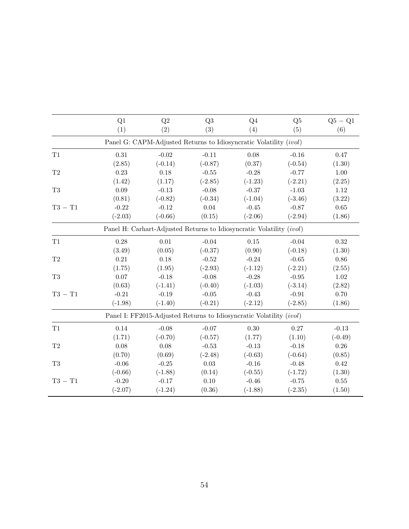|                | Q1        | Q2                                                                   | Q3        | $Q_4$     | Q5        | $Q5 - Q1$ |
|----------------|-----------|----------------------------------------------------------------------|-----------|-----------|-----------|-----------|
|                | (1)       | (2)                                                                  | (3)       | (4)       | (5)       | (6)       |
|                |           | Panel G: CAPM-Adjusted Returns to Idiosyncratic Volatility (ivol)    |           |           |           |           |
| T1             | 0.31      | $-0.02$                                                              | $-0.11$   | 0.08      | $-0.16$   | 0.47      |
|                | (2.85)    | $(-0.14)$                                                            | $(-0.87)$ | (0.37)    | $(-0.54)$ | (1.30)    |
| $\mathrm{T}2$  | 0.23      | 0.18                                                                 | $-0.55$   | $-0.28$   | $-0.77$   | 1.00      |
|                | (1.42)    | (1.17)                                                               | $(-2.85)$ | $(-1.23)$ | $(-2.21)$ | (2.25)    |
| T <sub>3</sub> | 0.09      | $-0.13$                                                              | $-0.08$   | $-0.37$   | $-1.03$   | 1.12      |
|                | (0.81)    | $(-0.82)$                                                            | $(-0.34)$ | $(-1.04)$ | $(-3.46)$ | (3.22)    |
| $T3 - T1$      | $-0.22$   | $-0.12$                                                              | 0.04      | $-0.45$   | $-0.87$   | 0.65      |
|                | $(-2.03)$ | $(-0.66)$                                                            | (0.15)    | $(-2.06)$ | $(-2.94)$ | (1.86)    |
|                |           | Panel H: Carhart-Adjusted Returns to Idiosyncratic Volatility (ivol) |           |           |           |           |
| T1             | 0.28      | 0.01                                                                 | $-0.04$   | 0.15      | $-0.04$   | 0.32      |
|                | (3.49)    | (0.05)                                                               | $(-0.37)$ | (0.90)    | $(-0.18)$ | (1.30)    |
| $\mathrm{T}2$  | 0.21      | 0.18                                                                 | $-0.52$   | $-0.24$   | $-0.65$   | 0.86      |
|                | (1.75)    | (1.95)                                                               | $(-2.93)$ | $(-1.12)$ | $(-2.21)$ | (2.55)    |
| $\rm{T}3$      | 0.07      | $-0.18$                                                              | $-0.08$   | $-0.28$   | $-0.95$   | 1.02      |
|                | (0.63)    | $(-1.41)$                                                            | $(-0.40)$ | $(-1.03)$ | $(-3.14)$ | (2.82)    |
| $T3 - T1$      | $-0.21$   | $-0.19$                                                              | $-0.05$   | $-0.43$   | $-0.91$   | 0.70      |
|                | $(-1.98)$ | $(-1.40)$                                                            | $(-0.21)$ | $(-2.12)$ | $(-2.85)$ | (1.86)    |
|                |           | Panel I: FF2015-Adjusted Returns to Idiosyncratic Volatility (ivol)  |           |           |           |           |
| T1             | 0.14      | $-0.08$                                                              | $-0.07$   | 0.30      | 0.27      | $-0.13$   |
|                | (1.71)    | $(-0.70)$                                                            | $(-0.57)$ | (1.77)    | (1.10)    | $(-0.49)$ |
| $\mathrm{T}2$  | 0.08      | $0.08\,$                                                             | $-0.53$   | $-0.13$   | $-0.18$   | 0.26      |
|                | (0.70)    | (0.69)                                                               | $(-2.48)$ | $(-0.63)$ | $(-0.64)$ | (0.85)    |
| $\rm{T}3$      | $-0.06$   | $-0.25$                                                              | 0.03      | $-0.16$   | $-0.48$   | 0.42      |
|                | $(-0.66)$ | $(-1.88)$                                                            | (0.14)    | $(-0.55)$ | $(-1.72)$ | (1.30)    |
| $T3 - T1$      | $-0.20$   | $-0.17$                                                              | 0.10      | $-0.46$   | $-0.75$   | $0.55\,$  |
|                | $(-2.07)$ | $(-1.24)$                                                            | (0.36)    | $(-1.88)$ | $(-2.35)$ | (1.50)    |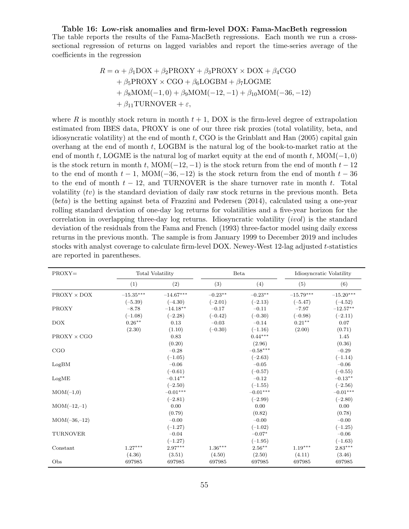<span id="page-55-0"></span>**Table 16: Low-risk anomalies and firm-level DOX: Fama-MacBeth regression** The table reports the results of the Fama-MacBeth regressions. Each month we run a crosssectional regression of returns on lagged variables and report the time-series average of the coefficients in the regression

$$
R = \alpha + \beta_1 \text{DOX} + \beta_2 \text{PROXY} + \beta_3 \text{PROXY} \times \text{DOX} + \beta_4 \text{CGO}
$$
  
+  $\beta_5 \text{PROXY} \times \text{CGO} + \beta_6 \text{LOGBM} + \beta_7 \text{LOGME}$   
+  $\beta_8 \text{MOM}(-1,0) + \beta_9 \text{MOM}(-12,-1) + \beta_{10} \text{MOM}(-36,-12)$   
+  $\beta_{11} \text{TURNOVER} + \varepsilon$ ,

where  $R$  is monthly stock return in month  $t + 1$ , DOX is the firm-level degree of extrapolation estimated from IBES data, PROXY is one of our three risk proxies (total volatility, beta, and idiosyncratic volatility) at the end of month *t*, CGO is the [Grinblatt and Han](#page-29-15) ([2005\)](#page-29-15) capital gain overhang at the end of month *t*, LOGBM is the natural log of the book-to-market ratio at the end of month *t*, LOGME is the natural log of market equity at the end of month *t*, MOM(*−*1*,* 0) is the stock return in month *t*, MOM $(-12, -1)$  is the stock return from the end of month  $t - 12$ to the end of month  $t - 1$ , MOM( $-36, -12$ ) is the stock return from the end of month  $t - 36$ to the end of month *t −* 12, and TURNOVER is the share turnover rate in month *t*. Total volatility (*tv*) is the standard deviation of daily raw stock returns in the previous month. Beta (*beta*) is the betting against beta of [Frazzini and Pedersen](#page-28-2) ([2014\)](#page-28-2), calculated using a one-year rolling standard deviation of one-day log returns for volatilities and a five-year horizon for the correlation in overlapping three-day log returns. Idiosyncratic volatility (*ivol*) is the standard deviation of the residuals from the [Fama and French](#page-28-11) [\(1993](#page-28-11)) three-factor model using daily excess returns in the previous month. The sample is from January 1999 to December 2019 and includes stocks with analyst coverage to calculate firm-level DOX. Newey-West 12-lag adjusted *t*-statistics are reported in parentheses.

| $PROXY=$           | Total Volatility        |             | Beta      |            | Idiosyncratic Volatility |             |
|--------------------|-------------------------|-------------|-----------|------------|--------------------------|-------------|
|                    | (1)                     | (2)         | (3)       | (4)        | (5)                      | (6)         |
| $PROXY \times DOX$ | $-15.35^{\ast\ast\ast}$ | $-14.67***$ | $-0.23**$ | $-0.23**$  | $-15.79***$              | $-15.20***$ |
|                    | $(-5.39)$               | $(-4.30)$   | $(-2.01)$ | $(-2.13)$  | $(-5.47)$                | $(-4.52)$   |
| <b>PROXY</b>       | $-8.78$                 | $-14.18**$  | $-0.17$   | $-0.11$    | $-7.97$                  | $-12.57**$  |
|                    | $(-1.08)$               | $(-2.28)$   | $(-0.42)$ | $(-0.30)$  | $(-0.98)$                | $(-2.11)$   |
| <b>DOX</b>         | $0.26***$               | 0.13        | $-0.03$   | $-0.14$    | $0.21***$                | 0.07        |
|                    | (2.30)                  | (1.10)      | $(-0.30)$ | $(-1.16)$  | (2.00)                   | (0.71)      |
| $PROXY \times CGO$ |                         | 0.83        |           | $0.44***$  |                          | 1.45        |
|                    |                         | (0.20)      |           | (2.96)     |                          | (0.36)      |
| CGO                |                         | $-0.28$     |           | $-0.58***$ |                          | $-0.29$     |
|                    |                         | $(-1.05)$   |           | $(-2.63)$  |                          | $(-1.14)$   |
| LogBM              |                         | $-0.06$     |           | $-0.05$    |                          | $-0.06$     |
|                    |                         | $(-0.61)$   |           | $(-0.57)$  |                          | $(-0.55)$   |
| LogME              |                         | $-0.14***$  |           | $-0.12$    |                          | $-0.13**$   |
|                    |                         | $(-2.50)$   |           | $(-1.55)$  |                          | $(-2.56)$   |
| $MOM(-1,0)$        |                         | $-0.01***$  |           | $-0.01***$ |                          | $-0.01***$  |
|                    |                         | $(-2.81)$   |           | $(-2.99)$  |                          | $(-2.80)$   |
| $MOM(-12,-1)$      |                         | 0.00        |           | 0.00       |                          | 0.00        |
|                    |                         | (0.79)      |           | (0.82)     |                          | (0.78)      |
| $MOM(-36,-12)$     |                         | $-0.00$     |           | $-0.00$    |                          | $-0.00$     |
|                    |                         | $(-1.27)$   |           | $(-1.02)$  |                          | $(-1.25)$   |
| <b>TURNOVER</b>    |                         | $-0.04$     |           | $-0.07*$   |                          | $-0.06$     |
|                    |                         | $(-1.27)$   |           | $(-1.95)$  |                          | $(-1.63)$   |
| Constant           | $1.27***$               | $2.97***$   | $1.36***$ | $2.56***$  | $1.19***$                | $2.83***$   |
|                    | (4.36)                  | (3.51)      | (4.50)    | (2.50)     | (4.11)                   | (3.46)      |
| Obs                | 697985                  | 697985      | 697985    | 697985     | 697985                   | 697985      |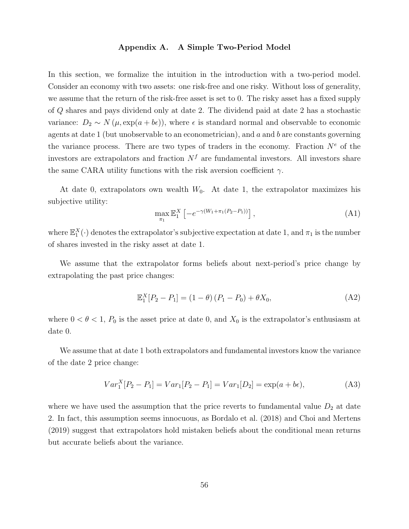### **Appendix A. A Simple Two-Period Model**

In this section, we formalize the intuition in the introduction with a two-period model. Consider an economy with two assets: one risk-free and one risky. Without loss of generality, we assume that the return of the risk-free asset is set to 0. The risky asset has a fixed supply of *Q* shares and pays dividend only at date 2. The dividend paid at date 2 has a stochastic variance:  $D_2 \sim N(\mu, \exp(a+b\epsilon))$ , where  $\epsilon$  is standard normal and observable to economic agents at date 1 (but unobservable to an econometrician), and *a* and *b* are constants governing the variance process. There are two types of traders in the economy. Fraction  $N^e$  of the investors are extrapolators and fraction  $N<sup>f</sup>$  are fundamental investors. All investors share the same CARA utility functions with the risk aversion coefficient  $\gamma$ .

At date 0, extrapolators own wealth  $W_0$ . At date 1, the extrapolator maximizes his subjective utility:

$$
\max_{\pi_1} \mathbb{E}_1^X \left[ -e^{-\gamma (W_1 + \pi_1 (P_2 - P_1))} \right], \tag{A1}
$$

where  $\mathbb{E}_1^X(\cdot)$  denotes the extrapolator's subjective expectation at date 1, and  $\pi_1$  is the number of shares invested in the risky asset at date 1.

We assume that the extrapolator forms beliefs about next-period's price change by extrapolating the past price changes:

$$
\mathbb{E}_1^X [P_2 - P_1] = (1 - \theta) (P_1 - P_0) + \theta X_0,
$$
\n(A2)

where  $0 < \theta < 1$ ,  $P_0$  is the asset price at date 0, and  $X_0$  is the extrapolator's enthusiasm at date 0.

We assume that at date 1 both extrapolators and fundamental investors know the variance of the date 2 price change:

$$
Var_1^X[P_2 - P_1] = Var_1[P_2 - P_1] = Var_1[D_2] = \exp(a + b\epsilon),
$$
\n(A3)

where we have used the assumption that the price reverts to fundamental value  $D_2$  at date 2. In fact, this assumption seems innocuous, as [Bordalo et al.](#page-27-10) [\(2018\)](#page-27-10) and [Choi and Mertens](#page-28-22) ([2019\)](#page-28-22) suggest that extrapolators hold mistaken beliefs about the conditional mean returns but accurate beliefs about the variance.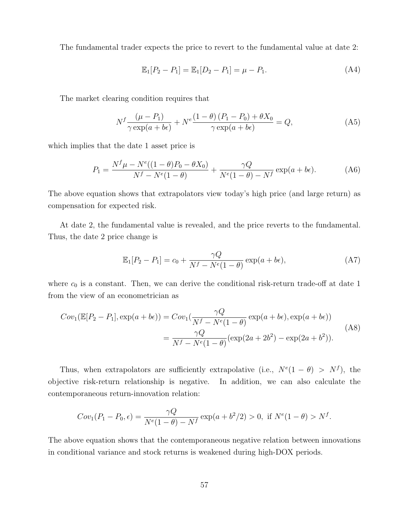The fundamental trader expects the price to revert to the fundamental value at date 2:

$$
\mathbb{E}_1[P_2 - P_1] = \mathbb{E}_1[D_2 - P_1] = \mu - P_1.
$$
 (A4)

The market clearing condition requires that

$$
N^f \frac{(\mu - P_1)}{\gamma \exp(a + b\epsilon)} + N^e \frac{(1 - \theta)(P_1 - P_0) + \theta X_0}{\gamma \exp(a + b\epsilon)} = Q,
$$
 (A5)

which implies that the date 1 asset price is

$$
P_1 = \frac{N^f \mu - N^e((1 - \theta)P_0 - \theta X_0)}{N^f - N^e(1 - \theta)} + \frac{\gamma Q}{N^e(1 - \theta) - N^f} \exp(a + b\epsilon).
$$
 (A6)

The above equation shows that extrapolators view today's high price (and large return) as compensation for expected risk.

At date 2, the fundamental value is revealed, and the price reverts to the fundamental. Thus, the date 2 price change is

$$
\mathbb{E}_1[P_2 - P_1] = c_0 + \frac{\gamma Q}{N^f - N^e(1 - \theta)} \exp(a + b\epsilon), \tag{A7}
$$

where  $c_0$  is a constant. Then, we can derive the conditional risk-return trade-off at date 1 from the view of an econometrician as

<span id="page-57-0"></span>
$$
Cov_1(\mathbb{E}[P_2 - P_1], \exp(a + b\epsilon)) = Cov_1(\frac{\gamma Q}{N^f - N^e(1 - \theta)} \exp(a + b\epsilon), \exp(a + b\epsilon))
$$
  
= 
$$
\frac{\gamma Q}{N^f - N^e(1 - \theta)} (\exp(2a + 2b^2) - \exp(2a + b^2)).
$$
 (A8)

Thus, when extrapolators are sufficiently extrapolative (i.e.,  $N^e(1 - \theta) > N^f$ ), the objective risk-return relationship is negative. In addition, we can also calculate the contemporaneous return-innovation relation:

$$
Cov_1(P_1 - P_0, \epsilon) = \frac{\gamma Q}{N^e (1 - \theta) - N^f} \exp(a + b^2/2) > 0, \text{ if } N^e (1 - \theta) > N^f.
$$

The above equation shows that the contemporaneous negative relation between innovations in conditional variance and stock returns is weakened during high-DOX periods.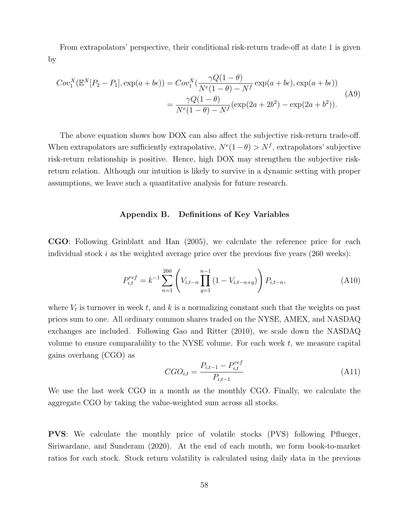From extrapolators' perspective, their conditional risk-return trade-off at date 1 is given by

$$
Cov_1^X(\mathbb{E}^X[P_2 - P_1], \exp(a + b\epsilon)) = Cov_1^X(\frac{\gamma Q(1 - \theta)}{N^e(1 - \theta) - N^f} \exp(a + b\epsilon), \exp(a + b\epsilon))
$$
  
= 
$$
\frac{\gamma Q(1 - \theta)}{N^e(1 - \theta) - N^f} (\exp(2a + 2b^2) - \exp(2a + b^2)).
$$
 (A9)

The above equation shows how DOX can also affect the subjective risk-return trade-off. When extrapolators are sufficiently extrapolative,  $N^{e}(1 - \theta) > N^{f}$ , extrapolators' subjective risk-return relationship is positive. Hence, high DOX may strengthen the subjective riskreturn relation. Although our intuition is likely to survive in a dynamic setting with proper assumptions, we leave such a quantitative analysis for future research.

### **Appendix B. Definitions of Key Variables**

<span id="page-58-0"></span>**CGO**: Following [Grinblatt and Han](#page-29-15) [\(2005\)](#page-29-15), we calculate the reference price for each individual stock *i* as the weighted average price over the previous five years (260 weeks):

$$
P_{i,t}^{ref} = k^{-1} \sum_{n=1}^{260} \left( V_{i,t-n} \prod_{q=1}^{n-1} \left( 1 - V_{i,t-n+q} \right) \right) P_{i,t-n}, \tag{A10}
$$

where  $V_t$  is turnover in week  $t$ , and  $k$  is a normalizing constant such that the weights on past prices sum to one. All ordinary common shares traded on the NYSE, AMEX, and NASDAQ exchanges are included. Following [Gao and Ritter](#page-29-17) [\(2010\)](#page-29-17), we scale down the NASDAQ volume to ensure comparability to the NYSE volume. For each week *t*, we measure capital gains overhang (CGO) as

$$
CGO_{i,t} = \frac{P_{i,t-1} - P_{i,t}^{ref}}{P_{i,t-1}}
$$
\n(A11)

We use the last week CGO in a month as the monthly CGO. Finally, we calculate the aggregate CGO by taking the value-weighted sum across all stocks.

**PVS**: We calculate the monthly price of volatile stocks (PVS) following [Pflueger,](#page-30-14) [Siriwardane, and Sunderam](#page-30-14) [\(2020\)](#page-30-14). At the end of each month, we form book-to-market ratios for each stock. Stock return volatility is calculated using daily data in the previous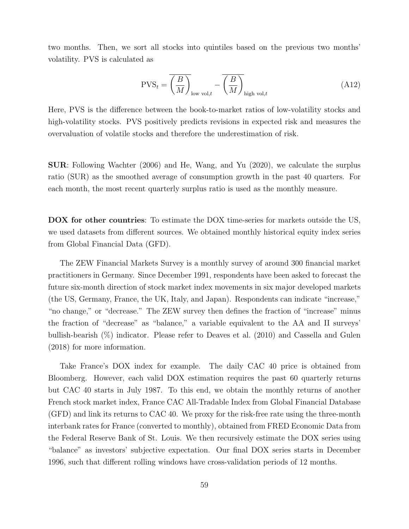two months. Then, we sort all stocks into quintiles based on the previous two months' volatility. PVS is calculated as

$$
PVS_t = \overline{\left(\frac{B}{M}\right)}_{\text{low vol},t} - \overline{\left(\frac{B}{M}\right)}_{\text{high vol},t}
$$
 (A12)

Here, PVS is the difference between the book-to-market ratios of low-volatility stocks and high-volatility stocks. PVS positively predicts revisions in expected risk and measures the overvaluation of volatile stocks and therefore the underestimation of risk.

**SUR**: Following [Wachter](#page-30-16) [\(2006\)](#page-30-16) and [He, Wang, and Yu](#page-29-18) ([2020](#page-29-18)), we calculate the surplus ratio (SUR) as the smoothed average of consumption growth in the past 40 quarters. For each month, the most recent quarterly surplus ratio is used as the monthly measure.

**DOX for other countries**: To estimate the DOX time-series for markets outside the US, we used datasets from different sources. We obtained monthly historical equity index series from Global Financial Data (GFD).

The ZEW Financial Markets Survey is a monthly survey of around 300 financial market practitioners in Germany. Since December 1991, respondents have been asked to forecast the future six-month direction of stock market index movements in six major developed markets (the US, Germany, France, the UK, Italy, and Japan). Respondents can indicate "increase," "no change," or "decrease." The ZEW survey then defines the fraction of "increase" minus the fraction of "decrease" as "balance," a variable equivalent to the AA and II surveys' bullish-bearish (%) indicator. Please refer to [Deaves et al.](#page-28-23) ([2010](#page-28-23)) and [Cassella and Gulen](#page-28-0) ([2018\)](#page-28-0) for more information.

Take France's DOX index for example. The daily CAC 40 price is obtained from Bloomberg. However, each valid DOX estimation requires the past 60 quarterly returns but CAC 40 starts in July 1987. To this end, we obtain the monthly returns of another French stock market index, France CAC All-Tradable Index from Global Financial Database (GFD) and link its returns to CAC 40. We proxy for the risk-free rate using the three-month interbank rates for France (converted to monthly), obtained from FRED Economic Data from the Federal Reserve Bank of St. Louis. We then recursively estimate the DOX series using "balance" as investors' subjective expectation. Our final DOX series starts in December 1996, such that different rolling windows have cross-validation periods of 12 months.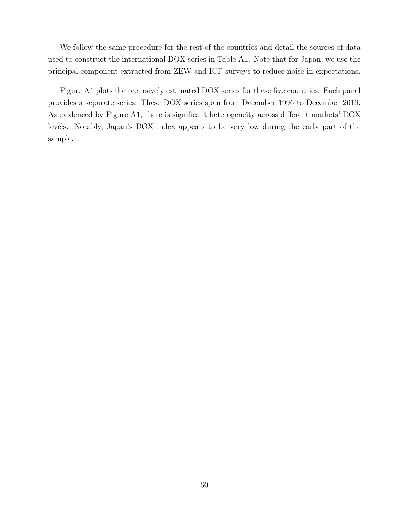We follow the same procedure for the rest of the countries and detail the sources of data used to construct the international DOX series in Table [A1.](#page-61-0) Note that for Japan, we use the principal component extracted from ZEW and ICF surveys to reduce noise in expectations.

Figure [A1](#page-62-0) plots the recursively estimated DOX series for these five countries. Each panel provides a separate series. These DOX series span from December 1996 to December 2019. As evidenced by Figure [A1,](#page-62-0) there is significant heterogeneity across different markets' DOX levels. Notably, Japan's DOX index appears to be very low during the early part of the sample.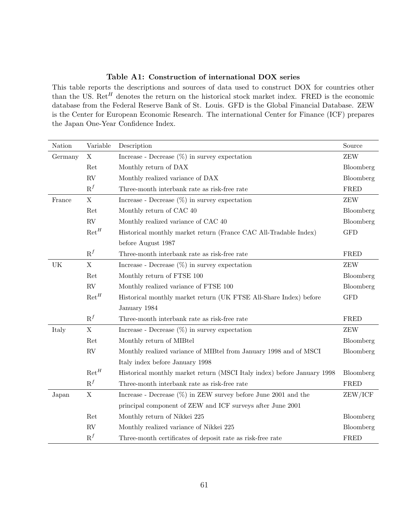### **Table A1: Construction of international DOX series**

<span id="page-61-0"></span>This table reports the descriptions and sources of data used to construct DOX for countries other than the US. Ret*<sup>H</sup>* denotes the return on the historical stock market index. FRED is the economic database from the Federal Reserve Bank of St. Louis. GFD is the Global Financial Database. ZEW is the Center for European Economic Research. The international Center for Finance (ICF) prepares the Japan One-Year Confidence Index.

| Nation  | Variable         | Description                                                             | Source      |
|---------|------------------|-------------------------------------------------------------------------|-------------|
| Germany | $\mathbf X$      | Increase - Decrease $(\%)$ in survey expectation                        |             |
|         | Ret              | Monthly return of DAX                                                   | Bloomberg   |
|         | <b>RV</b>        | Monthly realized variance of DAX                                        | Bloomberg   |
|         | $\mathbf{R}^f$   | Three-month interbank rate as risk-free rate                            | <b>FRED</b> |
| France  | $\mathbf X$      | Increase - Decrease $(\%)$ in survey expectation                        | <b>ZEW</b>  |
|         | Ret              | Monthly return of CAC 40                                                | Bloomberg   |
|         | <b>RV</b>        | Monthly realized variance of CAC 40                                     | Bloomberg   |
|         | $\mathrm{Ret}^H$ | Historical monthly market return (France CAC All-Tradable Index)        | <b>GFD</b>  |
|         |                  | before August 1987                                                      |             |
|         | $R^f$            | Three-month interbank rate as risk-free rate                            | FRED        |
| UK      | $\mathbf X$      | Increase - Decrease $(\%)$ in survey expectation                        | <b>ZEW</b>  |
|         | Ret              | Monthly return of FTSE 100                                              | Bloomberg   |
|         | <b>RV</b>        | Monthly realized variance of FTSE 100                                   | Bloomberg   |
|         | $\mathrm{Ret}^H$ | Historical monthly market return (UK FTSE All-Share Index) before       | <b>GFD</b>  |
|         |                  | January $1984\,$                                                        |             |
|         | $R^f$            | Three-month interbank rate as risk-free rate                            | FRED        |
| Italy   | $\mathbf X$      | Increase - Decrease $(\%)$ in survey expectation                        | <b>ZEW</b>  |
|         | Ret              | Monthly return of MIBtel                                                | Bloomberg   |
|         | RV               | Monthly realized variance of MIBtel from January 1998 and of MSCI       | Bloomberg   |
|         |                  | Italy index before January 1998                                         |             |
|         | $\mathrm{Ret}^H$ | Historical monthly market return (MSCI Italy index) before January 1998 | Bloomberg   |
|         | $\mathbf{R}^f$   | Three-month interbank rate as risk-free rate                            | <b>FRED</b> |
| Japan   | $\mathbf X$      | Increase - Decrease $(\%)$ in ZEW survey before June 2001 and the       | ZEW/ICF     |
|         |                  | principal component of ZEW and ICF surveys after June 2001              |             |
|         | Ret              | Monthly return of Nikkei 225                                            | Bloomberg   |
|         | <b>RV</b>        | Monthly realized variance of Nikkei 225                                 | Bloomberg   |
|         | $R^f$            | Three-month certificates of deposit rate as risk-free rate              | <b>FRED</b> |